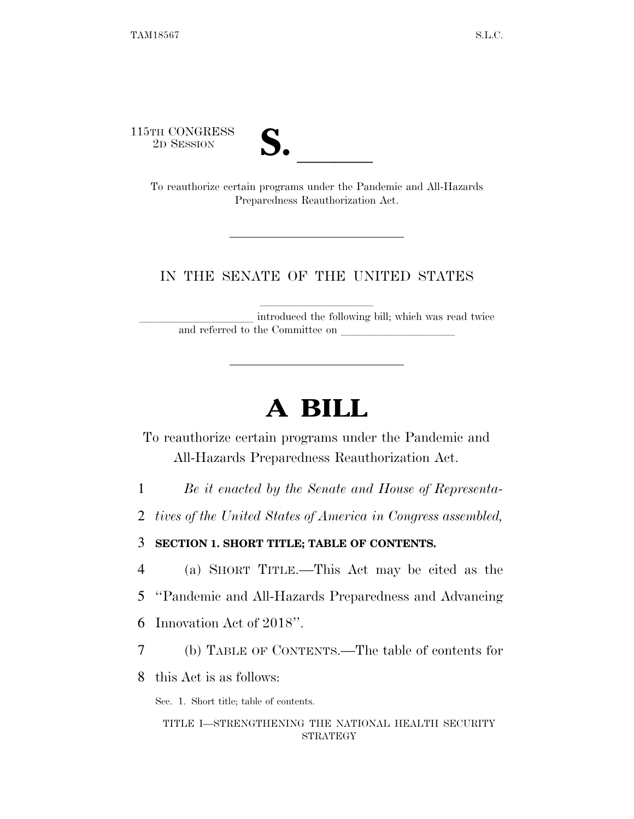115TH CONGRESS<br>2D SESSION



TH CONGRESS<br>
2D SESSION<br>
To reauthorize certain programs under the Pandemic and All-Hazards Preparedness Reauthorization Act.

### IN THE SENATE OF THE UNITED STATES

introduced the following bill; which was read twice and referred to the Committee on

## **A BILL**

To reauthorize certain programs under the Pandemic and All-Hazards Preparedness Reauthorization Act.

1 *Be it enacted by the Senate and House of Representa-*

2 *tives of the United States of America in Congress assembled,* 

3 **SECTION 1. SHORT TITLE; TABLE OF CONTENTS.** 

4 (a) SHORT TITLE.—This Act may be cited as the

5 ''Pandemic and All-Hazards Preparedness and Advancing

6 Innovation Act of 2018''.

7 (b) TABLE OF CONTENTS.—The table of contents for

8 this Act is as follows:

Sec. 1. Short title; table of contents.

TITLE I—STRENGTHENING THE NATIONAL HEALTH SECURITY STRATEGY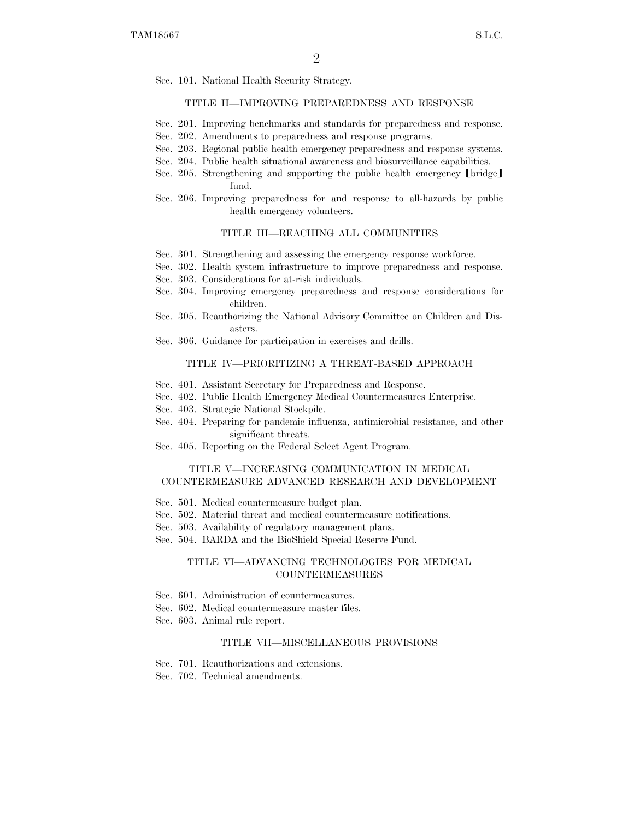Sec. 101. National Health Security Strategy.

#### TITLE II—IMPROVING PREPAREDNESS AND RESPONSE

- Sec. 201. Improving benchmarks and standards for preparedness and response.
- Sec. 202. Amendments to preparedness and response programs.
- Sec. 203. Regional public health emergency preparedness and response systems.
- Sec. 204. Public health situational awareness and biosurveillance capabilities.
- Sec. 205. Strengthening and supporting the public health emergency  $\lceil \text{bridge} \rceil$ fund.
- Sec. 206. Improving preparedness for and response to all-hazards by public health emergency volunteers.

#### TITLE III—REACHING ALL COMMUNITIES

- Sec. 301. Strengthening and assessing the emergency response workforce.
- Sec. 302. Health system infrastructure to improve preparedness and response.
- Sec. 303. Considerations for at-risk individuals.
- Sec. 304. Improving emergency preparedness and response considerations for children.
- Sec. 305. Reauthorizing the National Advisory Committee on Children and Disasters.
- Sec. 306. Guidance for participation in exercises and drills.

#### TITLE IV—PRIORITIZING A THREAT-BASED APPROACH

- Sec. 401. Assistant Secretary for Preparedness and Response.
- Sec. 402. Public Health Emergency Medical Countermeasures Enterprise.
- Sec. 403. Strategic National Stockpile.
- Sec. 404. Preparing for pandemic influenza, antimicrobial resistance, and other significant threats.
- Sec. 405. Reporting on the Federal Select Agent Program.

#### TITLE V—INCREASING COMMUNICATION IN MEDICAL COUNTERMEASURE ADVANCED RESEARCH AND DEVELOPMENT

- Sec. 501. Medical countermeasure budget plan.
- Sec. 502. Material threat and medical countermeasure notifications.
- Sec. 503. Availability of regulatory management plans.
- Sec. 504. BARDA and the BioShield Special Reserve Fund.

#### TITLE VI—ADVANCING TECHNOLOGIES FOR MEDICAL COUNTERMEASURES

- Sec. 601. Administration of countermeasures.
- Sec. 602. Medical countermeasure master files.
- Sec. 603. Animal rule report.

#### TITLE VII—MISCELLANEOUS PROVISIONS

- Sec. 701. Reauthorizations and extensions.
- Sec. 702. Technical amendments.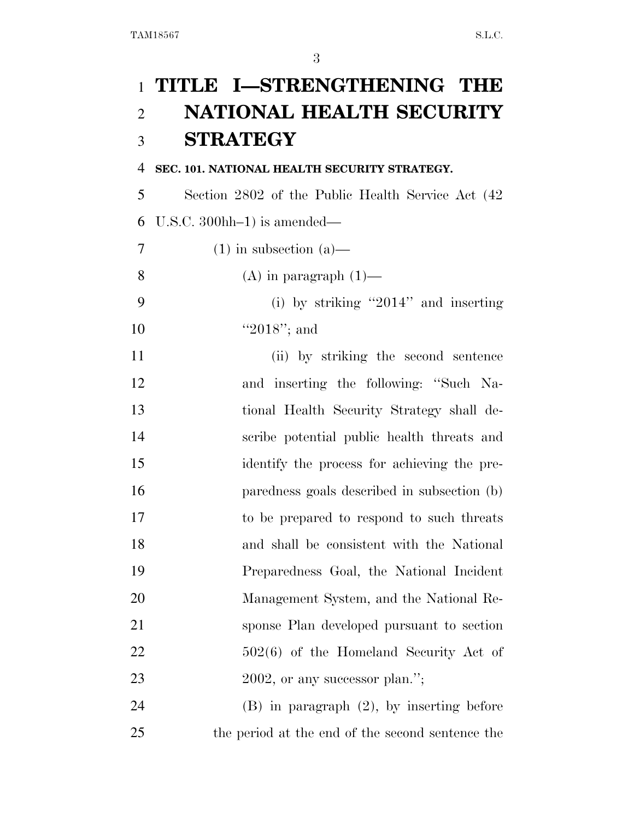## **TITLE I—STRENGTHENING THE NATIONAL HEALTH SECURITY STRATEGY**

#### **SEC. 101. NATIONAL HEALTH SECURITY STRATEGY.**

 Section 2802 of the Public Health Service Act (42 U.S.C. 300hh–1) is amended—

- 7 (1) in subsection (a)
- 8 (A) in paragraph  $(1)$ —
- (i) by striking ''2014'' and inserting 10 ''2018''; and
- (ii) by striking the second sentence and inserting the following: ''Such Na- tional Health Security Strategy shall de- scribe potential public health threats and identify the process for achieving the pre- paredness goals described in subsection (b) to be prepared to respond to such threats and shall be consistent with the National Preparedness Goal, the National Incident Management System, and the National Re- sponse Plan developed pursuant to section 22 502(6) of the Homeland Security Act of 23 2002, or any successor plan.";

 (B) in paragraph (2), by inserting before the period at the end of the second sentence the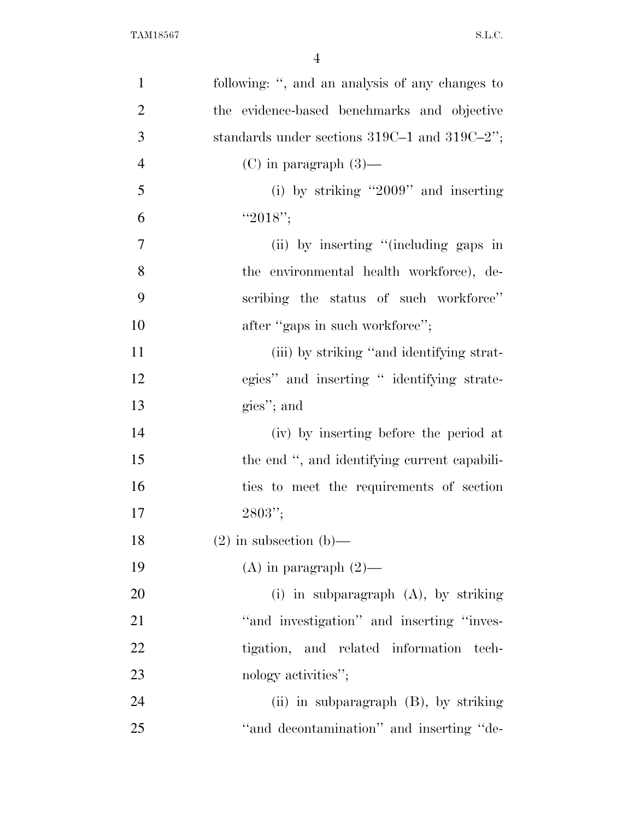| $\mathbf{1}$   | following: ", and an analysis of any changes to   |
|----------------|---------------------------------------------------|
| $\overline{2}$ | the evidence-based benchmarks and objective       |
| 3              | standards under sections $319C-1$ and $319C-2$ "; |
| $\overline{4}$ | $(C)$ in paragraph $(3)$ —                        |
| 5              | (i) by striking "2009" and inserting              |
| 6              | " $2018"$ ;                                       |
| $\overline{7}$ | (ii) by inserting "(including gaps in             |
| 8              | the environmental health workforce), de-          |
| 9              | scribing the status of such workforce"            |
| 10             | after "gaps in such workforce";                   |
| 11             | (iii) by striking "and identifying strat-         |
| 12             | egies" and inserting " identifying strate-        |
| 13             | gies"; and                                        |
| 14             | (iv) by inserting before the period at            |
| 15             | the end ", and identifying current capabili-      |
| 16             | ties to meet the requirements of section          |
| 17             | $2803"$ ;                                         |
| 18             | $(2)$ in subsection $(b)$ —                       |
| 19             | (A) in paragraph $(2)$ —                          |
| <b>20</b>      | (i) in subparagraph $(A)$ , by striking           |
| 21             | "and investigation" and inserting "inves-         |
| 22             | tigation, and related information<br>tech-        |
| 23             | nology activities";                               |
| 24             | (ii) in subparagraph $(B)$ , by striking          |
| 25             | "and decontamination" and inserting "de-          |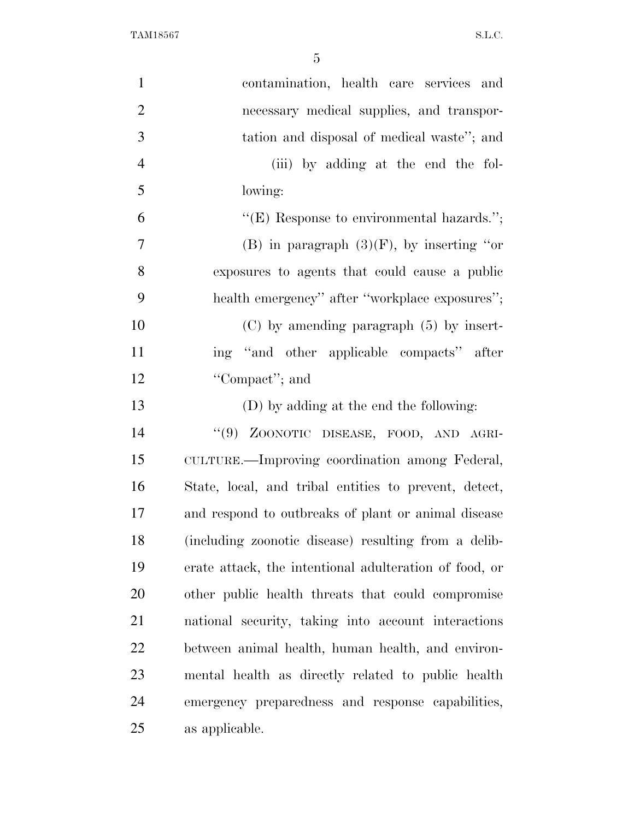| $\mathbf{1}$   | contamination, health care services and                |
|----------------|--------------------------------------------------------|
| $\overline{2}$ | necessary medical supplies, and transpor-              |
| 3              | tation and disposal of medical waste"; and             |
| $\overline{4}$ | (iii) by adding at the end the fol-                    |
| 5              | lowing:                                                |
| 6              | " $(E)$ Response to environmental hazards.";           |
| $\overline{7}$ | (B) in paragraph $(3)(F)$ , by inserting "or           |
| 8              | exposures to agents that could cause a public          |
| 9              | health emergency" after "workplace exposures";         |
| 10             | $(C)$ by amending paragraph $(5)$ by insert-           |
| 11             | ing "and other applicable compacts" after              |
| 12             | "Compact"; and                                         |
| 13             | (D) by adding at the end the following:                |
| 14             | "(9) ZOONOTIC DISEASE, FOOD, AND AGRI-                 |
| 15             | CULTURE.—Improving coordination among Federal,         |
| 16             | State, local, and tribal entities to prevent, detect,  |
| 17             | and respond to outbreaks of plant or animal disease    |
| 18             | (including zoonotic disease) resulting from a delib-   |
| 19             | erate attack, the intentional adulteration of food, or |
| 20             | other public health threats that could compromise      |
| 21             | national security, taking into account interactions    |
| 22             | between animal health, human health, and environ-      |
| 23             | mental health as directly related to public health     |
| 24             | emergency preparedness and response capabilities,      |
| 25             | as applicable.                                         |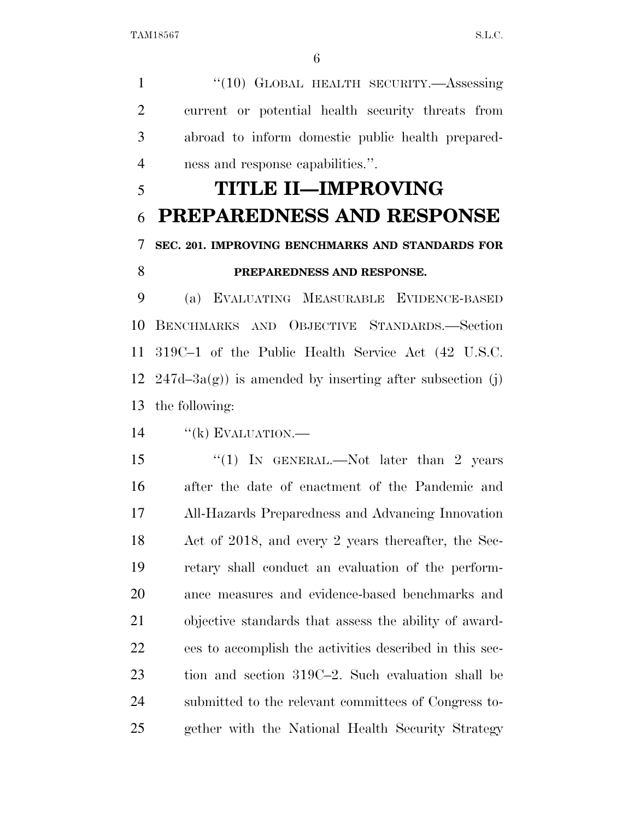1 "(10) GLOBAL HEALTH SECURITY.—Assessing current or potential health security threats from abroad to inform domestic public health prepared-ness and response capabilities.''.

# **TITLE II—IMPROVING PREPAREDNESS AND RESPONSE SEC. 201. IMPROVING BENCHMARKS AND STANDARDS FOR PREPAREDNESS AND RESPONSE.**

 (a) EVALUATING MEASURABLE EVIDENCE-BASED BENCHMARKS AND OBJECTIVE STANDARDS.—Section 319C–1 of the Public Health Service Act (42 U.S.C. 12 247d–3a(g)) is amended by inserting after subsection (j) the following:

14 "(k) EVALUATION.—

15 "(1) In GENERAL.—Not later than 2 years after the date of enactment of the Pandemic and All-Hazards Preparedness and Advancing Innovation Act of 2018, and every 2 years thereafter, the Sec- retary shall conduct an evaluation of the perform- ance measures and evidence-based benchmarks and objective standards that assess the ability of award- ees to accomplish the activities described in this sec- tion and section 319C–2. Such evaluation shall be submitted to the relevant committees of Congress to-gether with the National Health Security Strategy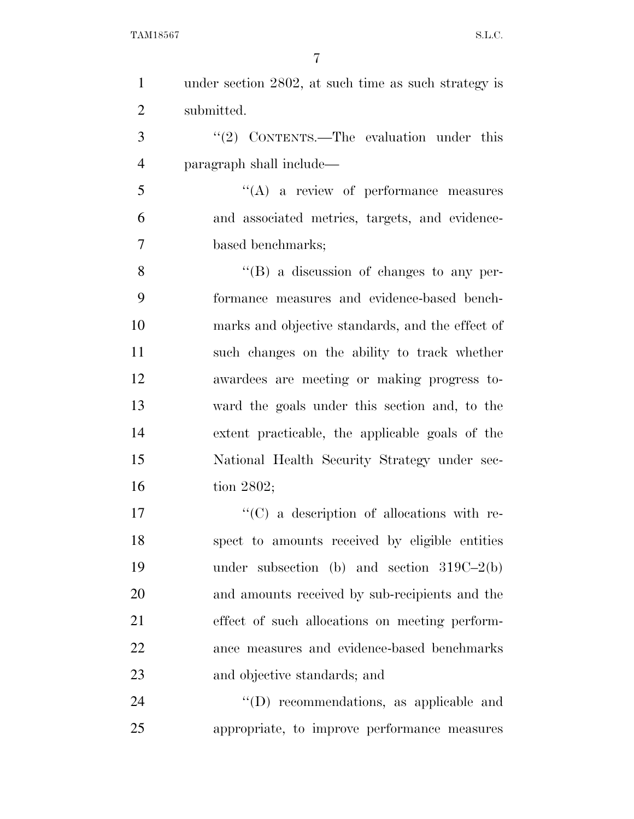| $\mathbf{1}$   | under section 2802, at such time as such strategy is |
|----------------|------------------------------------------------------|
| $\overline{2}$ | submitted.                                           |
| 3              | "(2) CONTENTS.—The evaluation under this             |
| 4              | paragraph shall include—                             |
| 5              | $\lq\lq$ a review of performance measures            |
| 6              | and associated metrics, targets, and evidence-       |
| $\overline{7}$ | based benchmarks;                                    |
| 8              | $\lq\lq (B)$ a discussion of changes to any per-     |
| 9              | formance measures and evidence-based bench-          |
| 10             | marks and objective standards, and the effect of     |
| 11             | such changes on the ability to track whether         |
| 12             | awardees are meeting or making progress to-          |
| 13             | ward the goals under this section and, to the        |
| 14             | extent practicable, the applicable goals of the      |
| 15             | National Health Security Strategy under sec-         |
| 16             | tion $2802$ ;                                        |
| 17             | $\lq\lq$ (C) a description of allocations with re-   |
| 18             | spect to amounts received by eligible entities       |
| 19             | under subsection (b) and section $319C-2(b)$         |
| 20             | and amounts received by sub-recipients and the       |
| 21             | effect of such allocations on meeting perform-       |
| 22             | ance measures and evidence-based benchmarks          |
| 23             | and objective standards; and                         |
| 24             | $\lq\lq$ recommendations, as applicable and          |
| 25             | appropriate, to improve performance measures         |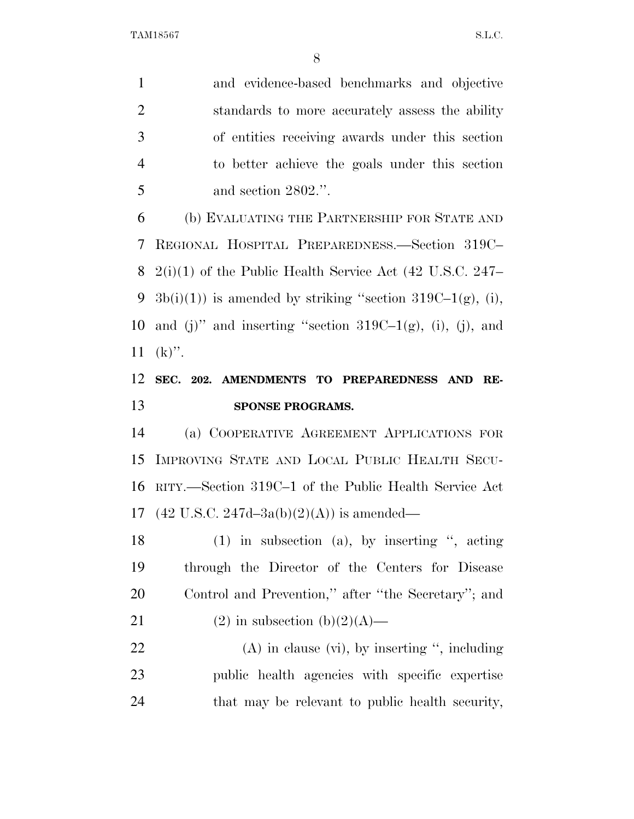and evidence-based benchmarks and objective standards to more accurately assess the ability of entities receiving awards under this section to better achieve the goals under this section and section 2802.''.

 (b) EVALUATING THE PARTNERSHIP FOR STATE AND REGIONAL HOSPITAL PREPAREDNESS.—Section 319C– 2(i)(1) of the Public Health Service Act (42 U.S.C. 247– 9 3b(i)(1)) is amended by striking "section 319C–1(g), (i), 10 and (j)" and inserting "section  $319C-1(g)$ , (i), (j), and  $11 \text{ (k)}$ ".

### **SEC. 202. AMENDMENTS TO PREPAREDNESS AND RE-SPONSE PROGRAMS.**

 (a) COOPERATIVE AGREEMENT APPLICATIONS FOR IMPROVING STATE AND LOCAL PUBLIC HEALTH SECU- RITY.—Section 319C–1 of the Public Health Service Act 17 (42 U.S.C. 247d–3a(b)(2)(A)) is amended—

 (1) in subsection (a), by inserting '', acting through the Director of the Centers for Disease Control and Prevention,'' after ''the Secretary''; and

21 (2) in subsection  $(b)(2)(A)$ —

22 (A) in clause (vi), by inserting ", including public health agencies with specific expertise that may be relevant to public health security,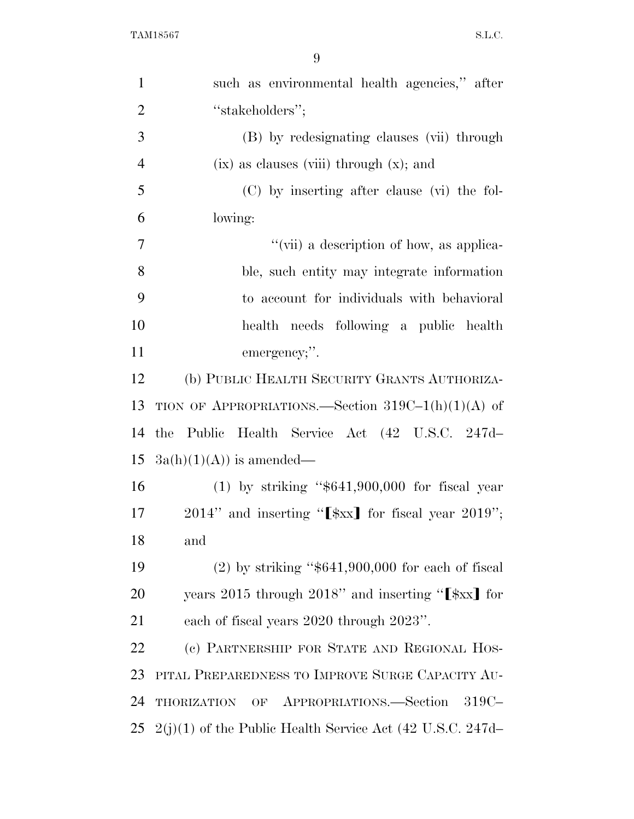| $\mathbf{1}$   | such as environmental health agencies," after                                          |
|----------------|----------------------------------------------------------------------------------------|
| $\overline{2}$ | "stakeholders";                                                                        |
| 3              | (B) by redesignating clauses (vii) through                                             |
| $\overline{4}$ | $(ix)$ as clauses (viii) through $(x)$ ; and                                           |
| 5              | (C) by inserting after clause (vi) the fol-                                            |
| 6              | lowing:                                                                                |
| 7              | "(vii) a description of how, as applica-                                               |
| 8              | ble, such entity may integrate information                                             |
| 9              | to account for individuals with behavioral                                             |
| 10             | health needs following a public health                                                 |
| 11             | emergency;".                                                                           |
| 12             | (b) PUBLIC HEALTH SECURITY GRANTS AUTHORIZA-                                           |
| 13             | TION OF APPROPRIATIONS.—Section $319C-1(h)(1)(A)$ of                                   |
| 14             | the Public Health Service Act (42 U.S.C. 247d-                                         |
| 15             | $3a(h)(1)(A))$ is amended—                                                             |
| 16             | $(1)$ by striking "\$641,900,000 for fiscal year                                       |
| 17             | $2014$ " and inserting " $[\frac{1}{2}x \cdot \frac{1}{2}x]$ for fiscal year $2019$ "; |
| 18             | and                                                                                    |
| 19             | $(2)$ by striking "\$641,900,000 for each of fiscal                                    |
| 20             | years 2015 through 2018" and inserting " $[\frac{1}{2}x]$ for                          |
| 21             | each of fiscal years 2020 through 2023".                                               |
| 22             | (c) PARTNERSHIP FOR STATE AND REGIONAL HOS-                                            |
| 23             | PITAL PREPAREDNESS TO IMPROVE SURGE CAPACITY AU-                                       |
| 24             | THORIZATION OF APPROPRIATIONS.—Section<br>$319C-$                                      |
| 25             | $2(j)(1)$ of the Public Health Service Act (42 U.S.C. 247d-                            |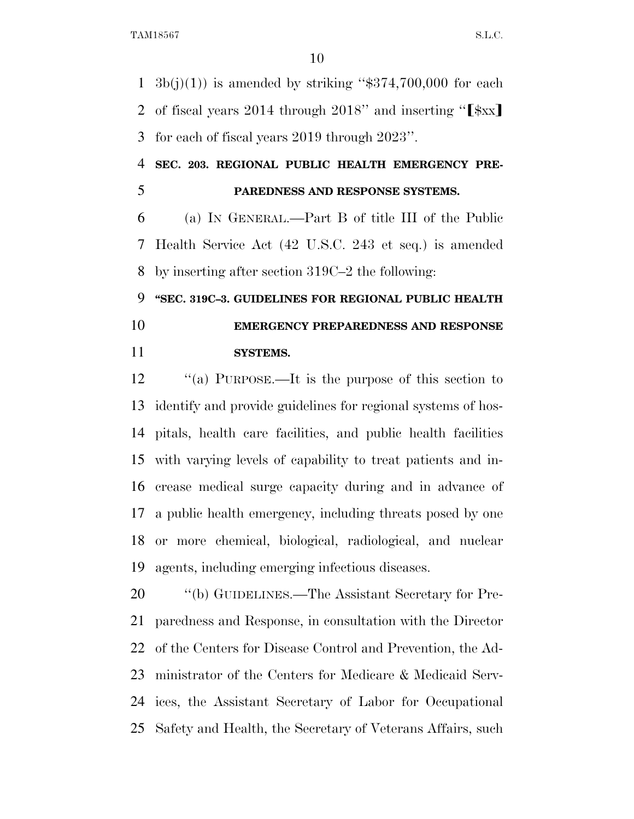1  $3b(j)(1)$  is amended by striking "\$374,700,000 for each 2 of fiscal years 2014 through 2018" and inserting " $\left[\frac{1}{2}x\right]$ for each of fiscal years 2019 through 2023''.

 **SEC. 203. REGIONAL PUBLIC HEALTH EMERGENCY PRE-PAREDNESS AND RESPONSE SYSTEMS.** 

 (a) IN GENERAL.—Part B of title III of the Public Health Service Act (42 U.S.C. 243 et seq.) is amended by inserting after section 319C–2 the following:

## **''SEC. 319C–3. GUIDELINES FOR REGIONAL PUBLIC HEALTH EMERGENCY PREPAREDNESS AND RESPONSE SYSTEMS.**

12 "(a) PURPOSE.—It is the purpose of this section to identify and provide guidelines for regional systems of hos- pitals, health care facilities, and public health facilities with varying levels of capability to treat patients and in- crease medical surge capacity during and in advance of a public health emergency, including threats posed by one or more chemical, biological, radiological, and nuclear agents, including emerging infectious diseases.

 ''(b) GUIDELINES.—The Assistant Secretary for Pre- paredness and Response, in consultation with the Director of the Centers for Disease Control and Prevention, the Ad- ministrator of the Centers for Medicare & Medicaid Serv- ices, the Assistant Secretary of Labor for Occupational Safety and Health, the Secretary of Veterans Affairs, such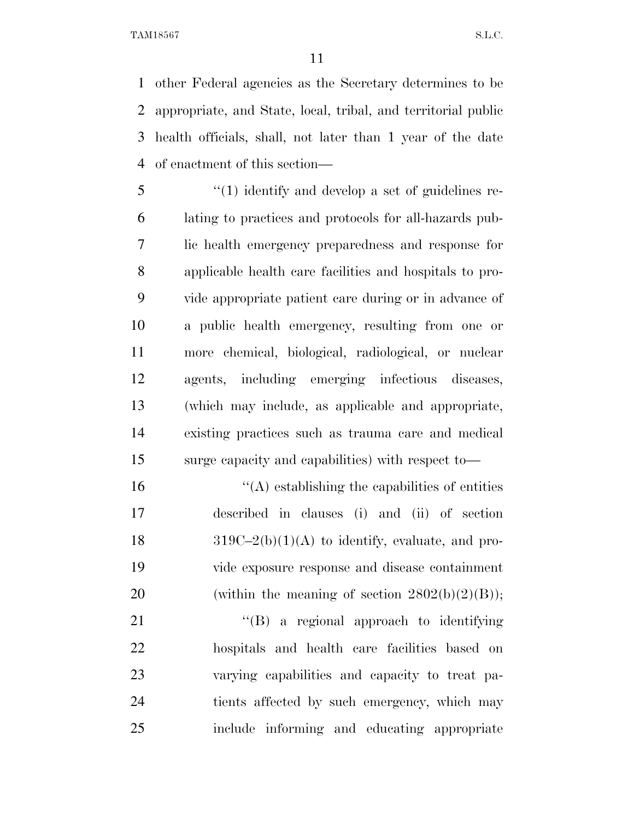other Federal agencies as the Secretary determines to be appropriate, and State, local, tribal, and territorial public health officials, shall, not later than 1 year of the date of enactment of this section—

 ''(1) identify and develop a set of guidelines re- lating to practices and protocols for all-hazards pub- lic health emergency preparedness and response for applicable health care facilities and hospitals to pro- vide appropriate patient care during or in advance of a public health emergency, resulting from one or more chemical, biological, radiological, or nuclear agents, including emerging infectious diseases, (which may include, as applicable and appropriate, existing practices such as trauma care and medical surge capacity and capabilities) with respect to—

 $\mathcal{L}(\mathbf{A})$  establishing the capabilities of entities described in clauses (i) and (ii) of section 18  $319C-2(b)(1)(A)$  to identify, evaluate, and pro- vide exposure response and disease containment 20 (within the meaning of section  $2802(b)(2)(B)$ );

21 "'(B) a regional approach to identifying hospitals and health care facilities based on varying capabilities and capacity to treat pa- tients affected by such emergency, which may include informing and educating appropriate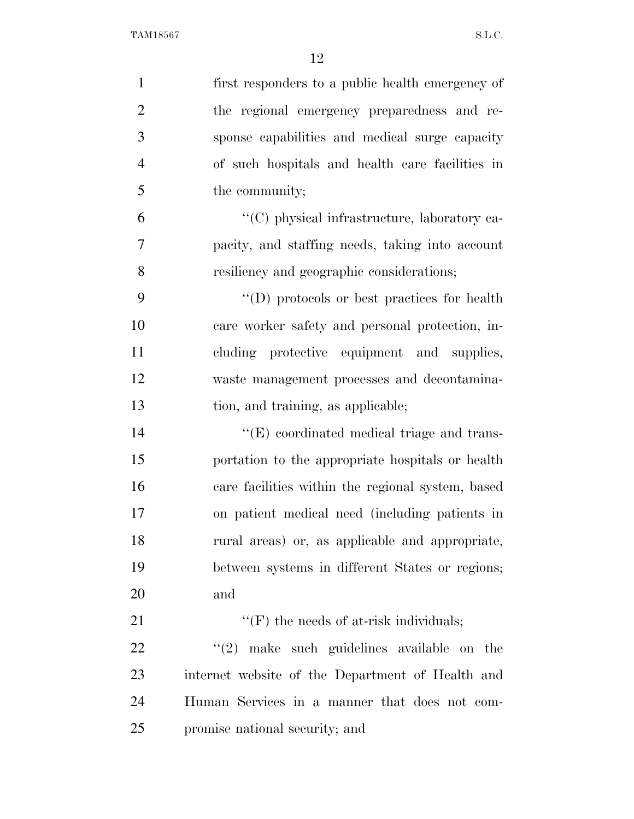| $\mathbf{1}$   | first responders to a public health emergency of    |
|----------------|-----------------------------------------------------|
| $\overline{2}$ | the regional emergency preparedness and re-         |
| 3              | sponse capabilities and medical surge capacity      |
| $\overline{4}$ | of such hospitals and health care facilities in     |
| 5              | the community;                                      |
| 6              | "(C) physical infrastructure, laboratory ca-        |
| $\overline{7}$ | pacity, and staffing needs, taking into account     |
| 8              | resiliency and geographic considerations;           |
| 9              | $\lq\lq$ (D) protocols or best practices for health |
| 10             | care worker safety and personal protection, in-     |
| 11             | cluding protective equipment and supplies,          |
| 12             | waste management processes and decontamina-         |
| 13             | tion, and training, as applicable;                  |
| 14             | $\lq\lq(E)$ coordinated medical triage and trans-   |
| 15             | portation to the appropriate hospitals or health    |
| 16             | care facilities within the regional system, based   |
| 17             | on patient medical need (including patients in      |
| 18             | rural areas) or, as applicable and appropriate,     |
| 19             | between systems in different States or regions;     |
| 20             | and                                                 |
| 21             | $\lq\lq(F)$ the needs of at-risk individuals;       |
| 22             | $\lq(2)$ make such guidelines available on the      |
| 23             | internet website of the Department of Health and    |
| 24             | Human Services in a manner that does not com-       |
| 25             | promise national security; and                      |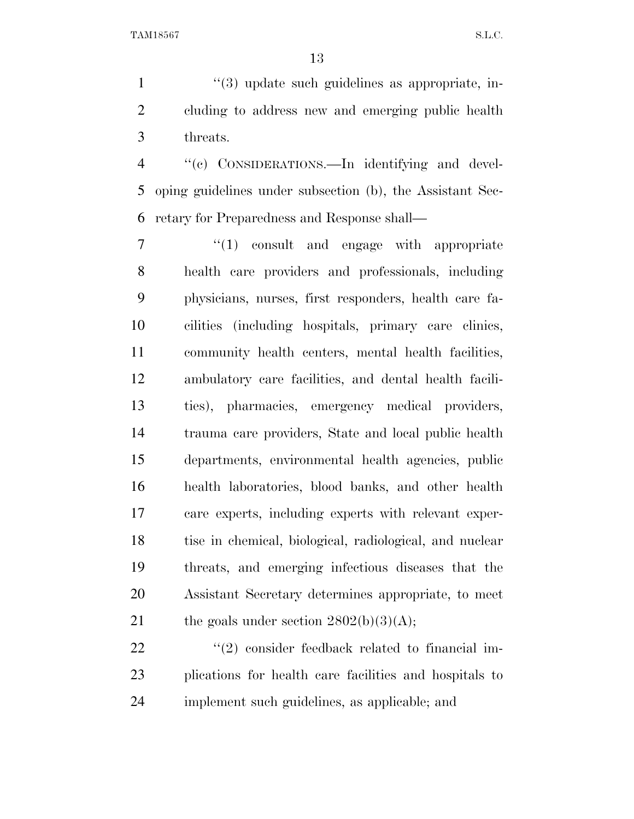1  $\frac{1}{2}$   $\frac{1}{3}$  update such guidelines as appropriate, in- cluding to address new and emerging public health threats.

 ''(c) CONSIDERATIONS.—In identifying and devel- oping guidelines under subsection (b), the Assistant Sec-retary for Preparedness and Response shall—

 $\frac{1}{1}$  consult and engage with appropriate health care providers and professionals, including physicians, nurses, first responders, health care fa- cilities (including hospitals, primary care clinics, community health centers, mental health facilities, ambulatory care facilities, and dental health facili- ties), pharmacies, emergency medical providers, trauma care providers, State and local public health departments, environmental health agencies, public health laboratories, blood banks, and other health care experts, including experts with relevant exper- tise in chemical, biological, radiological, and nuclear threats, and emerging infectious diseases that the Assistant Secretary determines appropriate, to meet 21 the goals under section  $2802(b)(3)(A);$ 

22 ''(2) consider feedback related to financial im- plications for health care facilities and hospitals to implement such guidelines, as applicable; and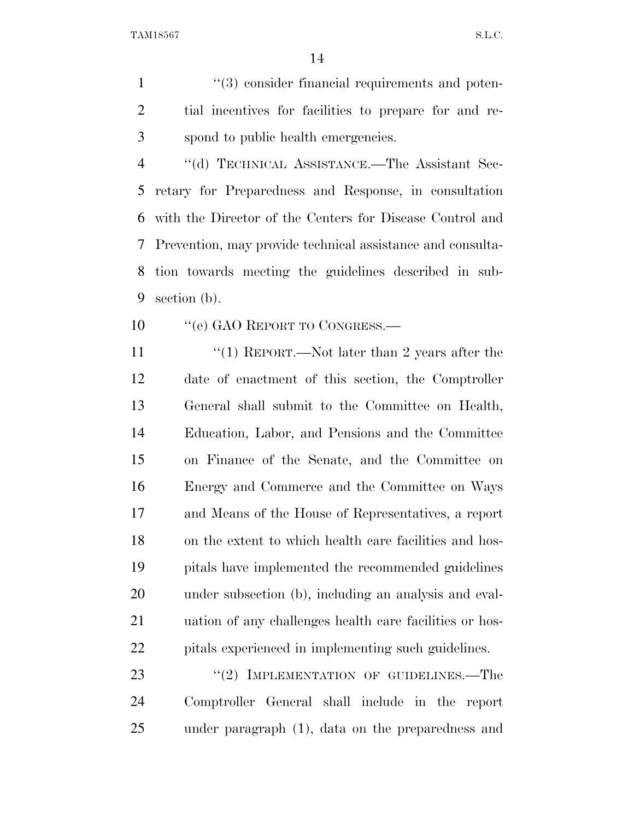1  $(3)$  consider financial requirements and poten- tial incentives for facilities to prepare for and re-spond to public health emergencies.

 ''(d) TECHNICAL ASSISTANCE.—The Assistant Sec- retary for Preparedness and Response, in consultation with the Director of the Centers for Disease Control and Prevention, may provide technical assistance and consulta- tion towards meeting the guidelines described in sub-section (b).

10 "'(e) GAO REPORT TO CONGRESS.—

11 ''(1) REPORT.—Not later than 2 years after the date of enactment of this section, the Comptroller General shall submit to the Committee on Health, Education, Labor, and Pensions and the Committee on Finance of the Senate, and the Committee on Energy and Commerce and the Committee on Ways and Means of the House of Representatives, a report on the extent to which health care facilities and hos- pitals have implemented the recommended guidelines under subsection (b), including an analysis and eval- uation of any challenges health care facilities or hos-pitals experienced in implementing such guidelines.

23 "(2) IMPLEMENTATION OF GUIDELINES.—The Comptroller General shall include in the report under paragraph (1), data on the preparedness and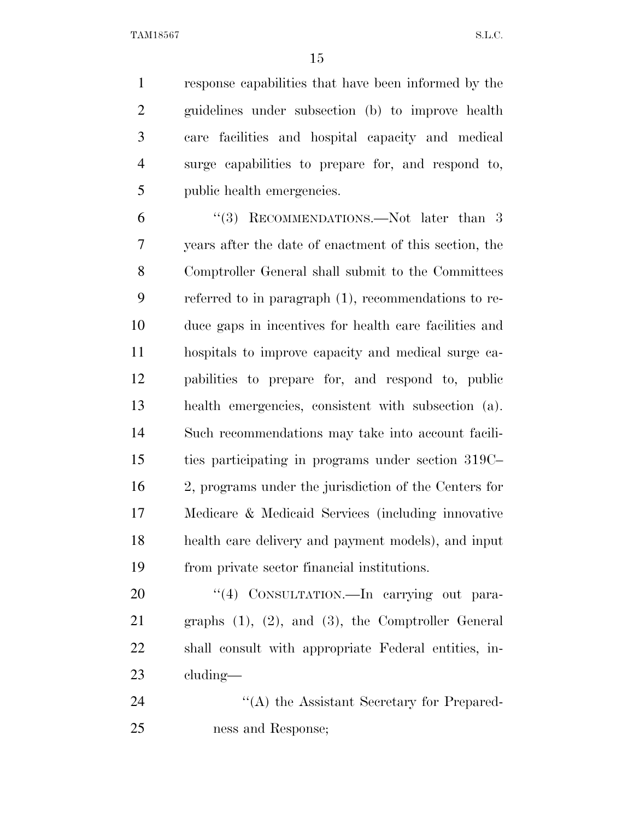response capabilities that have been informed by the guidelines under subsection (b) to improve health care facilities and hospital capacity and medical surge capabilities to prepare for, and respond to, public health emergencies.

6 "(3) RECOMMENDATIONS.—Not later than 3 years after the date of enactment of this section, the Comptroller General shall submit to the Committees referred to in paragraph (1), recommendations to re- duce gaps in incentives for health care facilities and hospitals to improve capacity and medical surge ca- pabilities to prepare for, and respond to, public health emergencies, consistent with subsection (a). Such recommendations may take into account facili- ties participating in programs under section 319C– 2, programs under the jurisdiction of the Centers for Medicare & Medicaid Services (including innovative health care delivery and payment models), and input from private sector financial institutions.

20 "(4) CONSULTATION.—In carrying out para- graphs (1), (2), and (3), the Comptroller General shall consult with appropriate Federal entities, in-cluding—

24 "(A) the Assistant Secretary for Prepared-ness and Response;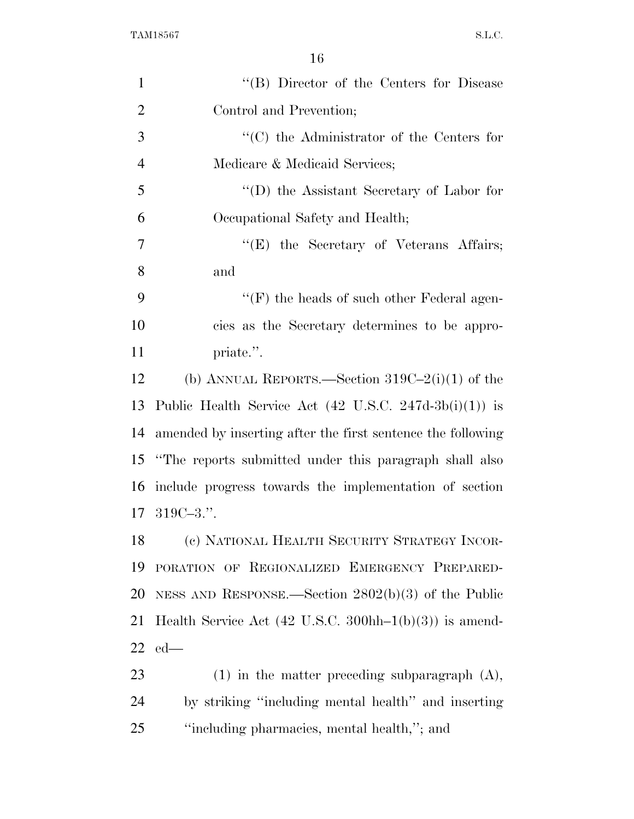| $\mathbf{1}$   | "(B) Director of the Centers for Disease                                           |
|----------------|------------------------------------------------------------------------------------|
| $\overline{2}$ | Control and Prevention;                                                            |
| 3              | $\lq\lq$ (C) the Administrator of the Centers for                                  |
| $\overline{4}$ | Medicare & Medicaid Services;                                                      |
| 5              | $\lq\lq$ the Assistant Secretary of Labor for                                      |
| 6              | Occupational Safety and Health;                                                    |
| 7              | $\lq\lq(E)$ the Secretary of Veterans Affairs;                                     |
| 8              | and                                                                                |
| 9              | $\lq\lq(F)$ the heads of such other Federal agen-                                  |
| 10             | cies as the Secretary determines to be appro-                                      |
| 11             | priate.".                                                                          |
| 12             | (b) ANNUAL REPORTS.—Section $319C-2(i)(1)$ of the                                  |
| 13             | Public Health Service Act $(42 \text{ U.S.C. } 247d-3b(i)(1))$ is                  |
| 14             | amended by inserting after the first sentence the following                        |
| 15             | "The reports submitted under this paragraph shall also                             |
| 16             | include progress towards the implementation of section                             |
| 17             | $319C - 3$ .".                                                                     |
| 18             | (c) NATIONAL HEALTH SECURITY STRATEGY INCOR-                                       |
| 19             | PORATION OF REGIONALIZED EMERGENCY PREPARED-                                       |
| 20             | NESS AND RESPONSE.—Section $2802(b)(3)$ of the Public                              |
| 21             | Health Service Act $(42 \text{ U.S.C. } 300 \text{hh} - 1(\text{b})(3))$ is amend- |
| 22             | $ed$ —                                                                             |
| 23             | $(1)$ in the matter preceding subparagraph $(A)$ ,                                 |
| 24             | by striking "including mental health" and inserting                                |
| 25             | "including pharmacies, mental health,"; and                                        |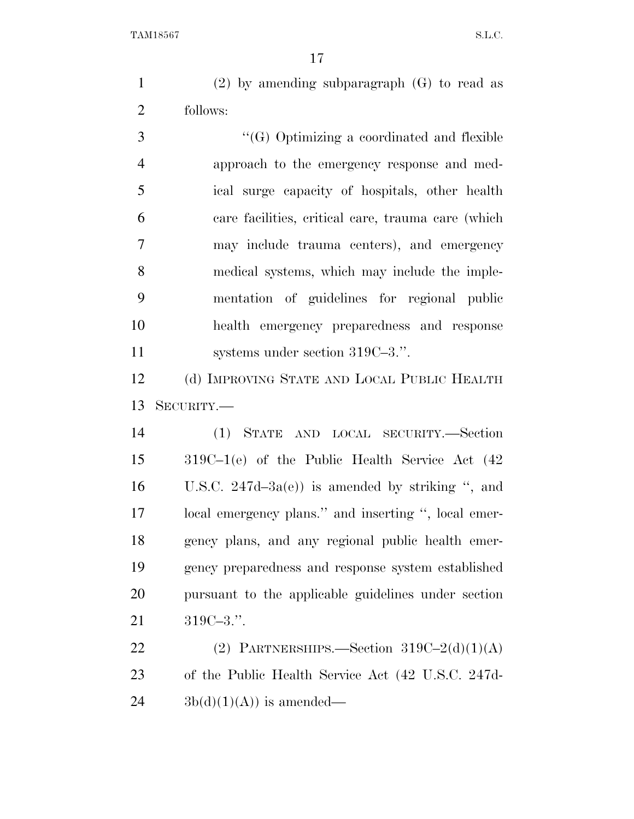(2) by amending subparagraph (G) to read as follows:

 ''(G) Optimizing a coordinated and flexible approach to the emergency response and med- ical surge capacity of hospitals, other health care facilities, critical care, trauma care (which may include trauma centers), and emergency medical systems, which may include the imple- mentation of guidelines for regional public health emergency preparedness and response 11 systems under section 319C–3.".

 (d) IMPROVING STATE AND LOCAL PUBLIC HEALTH SECURITY.—

 (1) STATE AND LOCAL SECURITY.—Section 319C–1(e) of the Public Health Service Act (42 U.S.C. 247d–3a(e)) is amended by striking '', and local emergency plans.'' and inserting '', local emer- gency plans, and any regional public health emer- gency preparedness and response system established pursuant to the applicable guidelines under section 319C–3.''.

22 (2) PARTNERSHIPS.—Section  $319C-2(d)(1)(A)$  of the Public Health Service Act (42 U.S.C. 247d- $24 \qquad \text{3b(d)(1)(A))}$  is amended—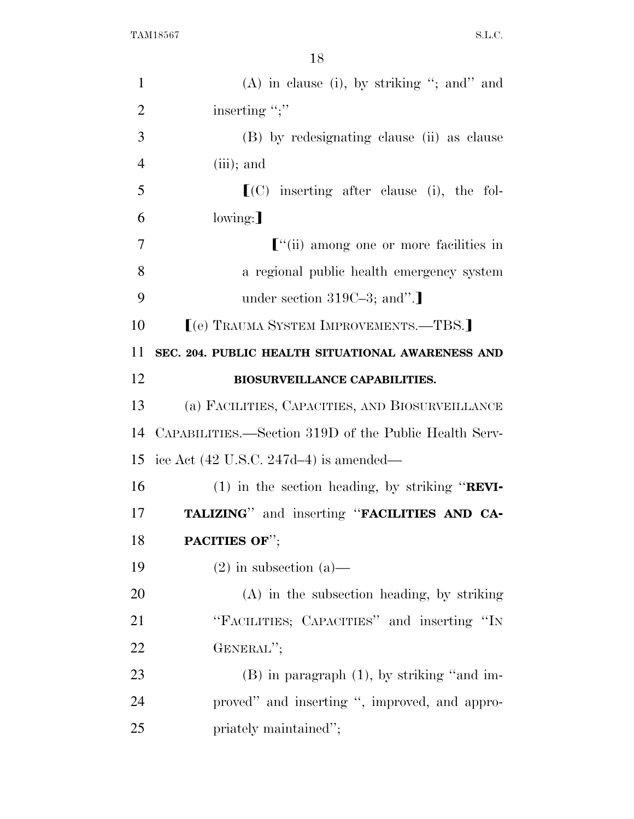| $\mathbf{1}$   | $(A)$ in clause (i), by striking "; and" and          |
|----------------|-------------------------------------------------------|
| $\overline{2}$ | inserting ";"                                         |
| 3              | (B) by redesignating clause (ii) as clause            |
| $\overline{4}$ | $(iii)$ ; and                                         |
| 5              | $\lfloor$ (C) inserting after clause (i), the fol-    |
| 6              | lowing:                                               |
| 7              | $\lbrack$ "(ii) among one or more facilities in       |
| 8              | a regional public health emergency system             |
| 9              | under section 319C-3; and".                           |
| 10             | [(e) TRAUMA SYSTEM IMPROVEMENTS.—TBS.]                |
| 11             | SEC. 204. PUBLIC HEALTH SITUATIONAL AWARENESS AND     |
| 12             | <b>BIOSURVEILLANCE CAPABILITIES.</b>                  |
| 13             | (a) FACILITIES, CAPACITIES, AND BIOSURVEILLANCE       |
| 14             | CAPABILITIES.—Section 319D of the Public Health Serv- |
| 15             | ice Act $(42 \text{ U.S.C. } 247d-4)$ is amended—     |
| 16             | $(1)$ in the section heading, by striking "REVI-      |
| 17             | TALIZING" and inserting "FACILITIES AND CA-           |
| 18             | PACITIES OF";                                         |
| 19             | $(2)$ in subsection $(a)$ —                           |
| 20             | $(A)$ in the subsection heading, by striking          |
| 21             | "FACILITIES; CAPACITIES" and inserting "IN            |
| 22             | GENERAL";                                             |
| 23             | $(B)$ in paragraph $(1)$ , by striking "and im-       |
| 24             | proved" and inserting ", improved, and appro-         |
| 25             | priately maintained";                                 |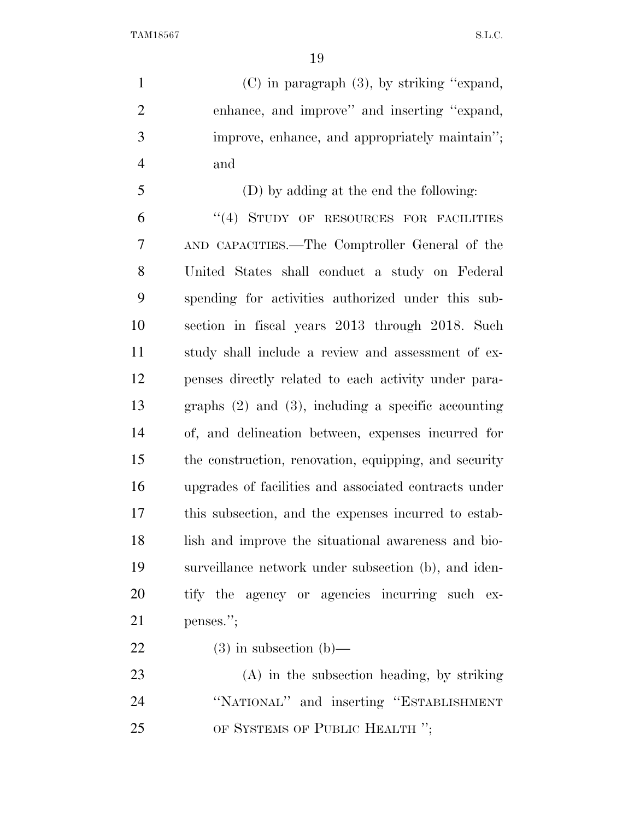(C) in paragraph (3), by striking ''expand, enhance, and improve'' and inserting ''expand, improve, enhance, and appropriately maintain''; and

 (D) by adding at the end the following: ''(4) STUDY OF RESOURCES FOR FACILITIES AND CAPACITIES.—The Comptroller General of the United States shall conduct a study on Federal spending for activities authorized under this sub- section in fiscal years 2013 through 2018. Such study shall include a review and assessment of ex- penses directly related to each activity under para- graphs (2) and (3), including a specific accounting of, and delineation between, expenses incurred for the construction, renovation, equipping, and security upgrades of facilities and associated contracts under this subsection, and the expenses incurred to estab- lish and improve the situational awareness and bio- surveillance network under subsection (b), and iden- tify the agency or agencies incurring such ex-penses.'';

22 (3) in subsection  $(b)$ —

 (A) in the subsection heading, by striking ''NATIONAL'' and inserting ''ESTABLISHMENT 25 OF SYSTEMS OF PUBLIC HEALTH ";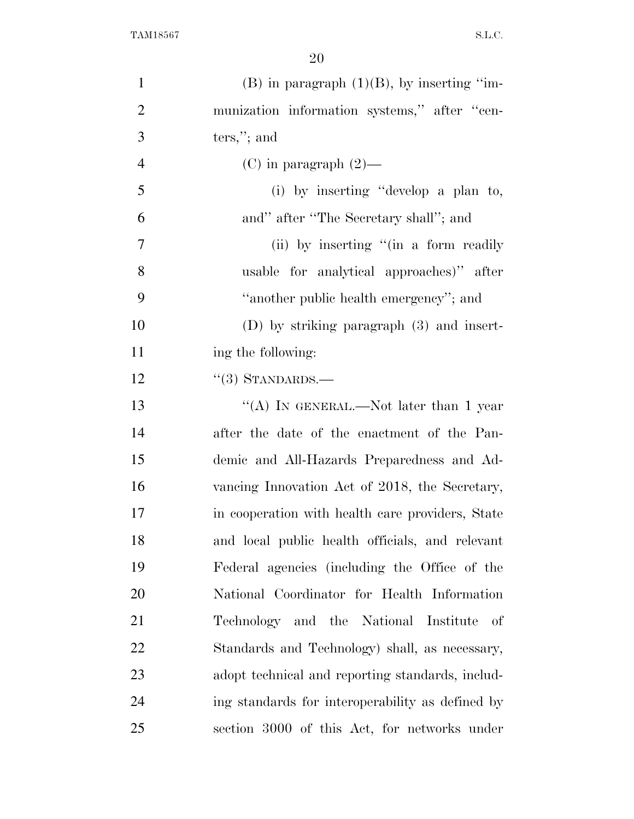| $\mathbf{1}$   | $(B)$ in paragraph $(1)(B)$ , by inserting "im-  |
|----------------|--------------------------------------------------|
| $\overline{2}$ | munization information systems," after "cen-     |
| 3              | $ters,$ "; and                                   |
| $\overline{4}$ | $(C)$ in paragraph $(2)$ —                       |
| 5              | (i) by inserting "develop a plan to,             |
| 6              | and" after "The Secretary shall"; and            |
| 7              | (ii) by inserting "(in a form readily            |
| 8              | usable for analytical approaches)" after         |
| 9              | "another public health emergency"; and           |
| 10             | $(D)$ by striking paragraph $(3)$ and insert-    |
| 11             | ing the following:                               |
| 12             | $\cdot\cdot(3)$ STANDARDS.—                      |
| 13             | "(A) IN GENERAL.—Not later than 1 year           |
| 14             | after the date of the enactment of the Pan-      |
| 15             | demic and All-Hazards Preparedness and Ad-       |
| 16             | vancing Innovation Act of 2018, the Secretary,   |
| 17             | in cooperation with health care providers, State |
| 18             | and local public health officials, and relevant  |
| 19             | Federal agencies (including the Office of the    |
| 20             | National Coordinator for Health Information      |
| 21             | Technology and the National Institute<br>of      |
| 22             | Standards and Technology) shall, as necessary,   |
| 23             | adopt technical and reporting standards, includ- |
| 24             | ing standards for interoperability as defined by |
| 25             | section 3000 of this Act, for networks under     |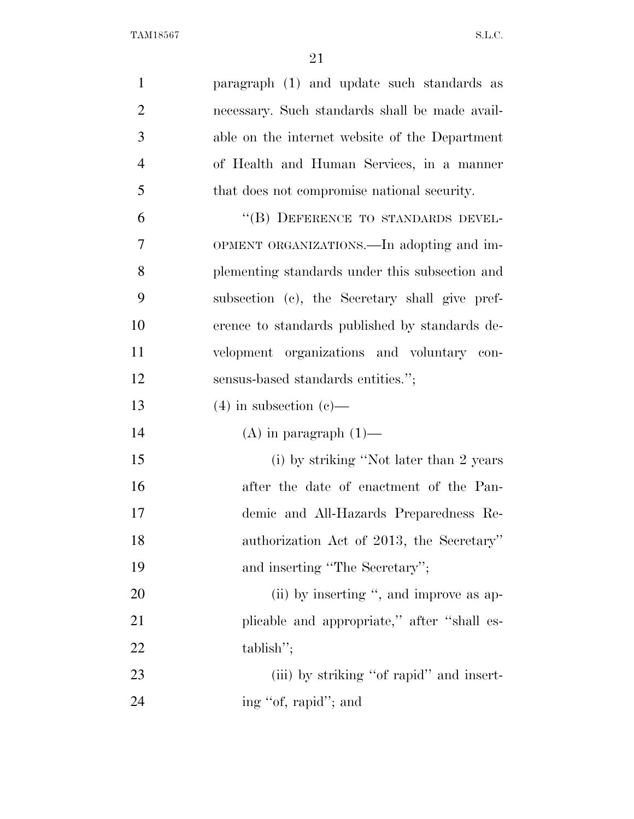| $\mathbf{1}$   | paragraph (1) and update such standards as     |
|----------------|------------------------------------------------|
| $\overline{2}$ | necessary. Such standards shall be made avail- |
| 3              | able on the internet website of the Department |
| $\overline{4}$ | of Health and Human Services, in a manner      |
| 5              | that does not compromise national security.    |
| 6              | "(B) DEFERENCE TO STANDARDS DEVEL-             |
| 7              | OPMENT ORGANIZATIONS.—In adopting and im-      |
| 8              | plementing standards under this subsection and |
| 9              | subsection (c), the Secretary shall give pref- |
| 10             | erence to standards published by standards de- |
| 11             | velopment organizations and voluntary con-     |
| 12             | sensus-based standards entities.";             |
| 13             | $(4)$ in subsection $(e)$ —                    |
| 14             | $(A)$ in paragraph $(1)$ —                     |
| 15             | (i) by striking "Not later than 2 years        |
| 16             | after the date of enactment of the Pan-        |
| 17             | demic and All-Hazards Preparedness Re-         |
| 18             | authorization Act of 2013, the Secretary"      |
| 19             | and inserting "The Secretary";                 |
| 20             | (ii) by inserting ", and improve as ap-        |
| 21             | plicable and appropriate," after "shall es-    |
| 22             | tablish";                                      |
| 23             | (iii) by striking "of rapid" and insert-       |
| 24             | ing "of, rapid"; and                           |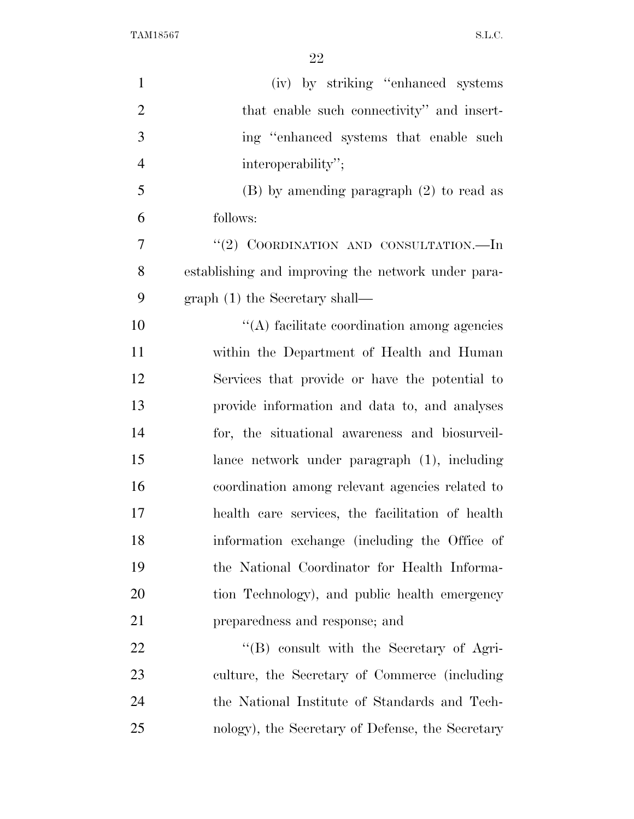| $\mathbf{1}$   | (iv) by striking "enhanced systems                 |
|----------------|----------------------------------------------------|
| $\overline{2}$ | that enable such connectivity" and insert-         |
| 3              | ing "enhanced systems that enable such             |
| $\overline{4}$ | interoperability";                                 |
| 5              | $(B)$ by amending paragraph $(2)$ to read as       |
| 6              | follows:                                           |
| 7              | "(2) COORDINATION AND CONSULTATION.—In             |
| 8              | establishing and improving the network under para- |
| 9              | $graph(1)$ the Secretary shall—                    |
| 10             | $\lq\lq$ facilitate coordination among agencies    |
| 11             | within the Department of Health and Human          |
| 12             | Services that provide or have the potential to     |
| 13             | provide information and data to, and analyses      |
| 14             | for, the situational awareness and biosurveil-     |
| 15             | lance network under paragraph (1), including       |
| 16             | coordination among relevant agencies related to    |
| 17             | health care services, the facilitation of health   |
| 18             | information exchange (including the Office of      |
| 19             | the National Coordinator for Health Informa-       |
| 20             | tion Technology), and public health emergency      |
| 21             | preparedness and response; and                     |
| 22             | "(B) consult with the Secretary of Agri-           |
| 23             | culture, the Secretary of Commerce (including      |
| 24             | the National Institute of Standards and Tech-      |
| 25             | nology), the Secretary of Defense, the Secretary   |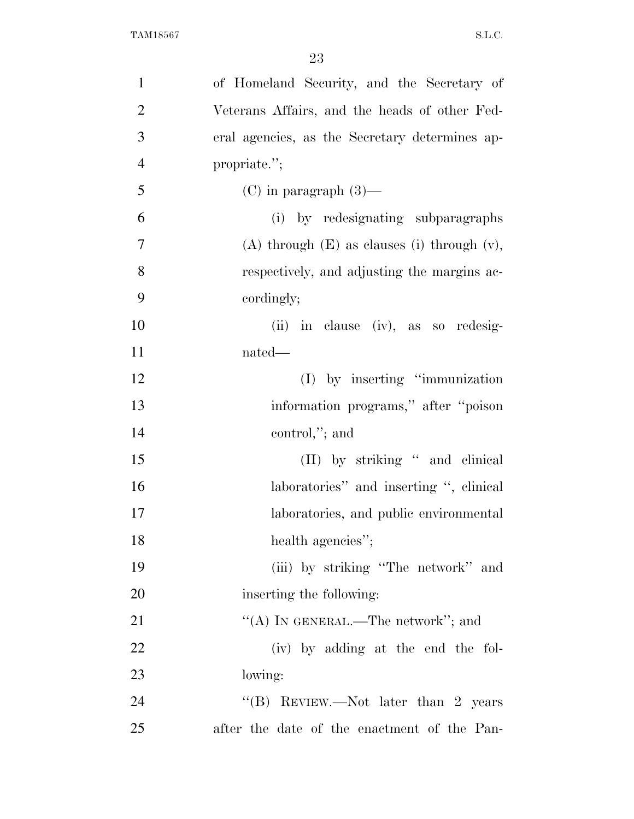| $\mathbf{1}$   | of Homeland Security, and the Secretary of         |
|----------------|----------------------------------------------------|
| $\overline{2}$ | Veterans Affairs, and the heads of other Fed-      |
| 3              | eral agencies, as the Secretary determines ap-     |
| $\overline{4}$ | propriate.";                                       |
| 5              | $(C)$ in paragraph $(3)$ —                         |
| 6              | (i) by redesignating subparagraphs                 |
| $\overline{7}$ | $(A)$ through $(E)$ as clauses (i) through $(v)$ , |
| 8              | respectively, and adjusting the margins ac-        |
| 9              | cordingly;                                         |
| 10             | (ii) in clause (iv), as so redesig-                |
| 11             | nated—                                             |
| 12             | $(I)$ by inserting "immunization"                  |
| 13             | information programs," after "poison"              |
| 14             | control,"; and                                     |
| 15             | (II) by striking " and clinical                    |
| 16             | laboratories" and inserting ", clinical            |
| 17             | laboratories, and public environmental             |
| 18             | health agencies";                                  |
| 19             | (iii) by striking "The network" and                |
| 20             | inserting the following:                           |
| 21             | "(A) IN GENERAL.—The network"; and                 |
| 22             | (iv) by adding at the end the fol-                 |
| 23             | lowing:                                            |
| 24             | "(B) REVIEW.—Not later than 2 years                |
| 25             | after the date of the enactment of the Pan-        |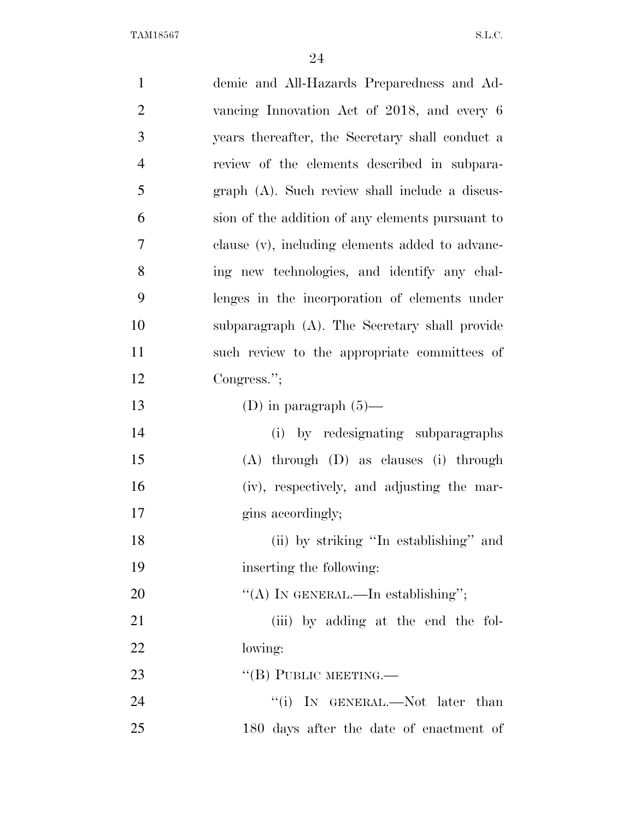| $\mathbf{1}$   | demic and All-Hazards Preparedness and Ad-       |
|----------------|--------------------------------------------------|
| $\overline{2}$ | vancing Innovation Act of 2018, and every 6      |
| 3              | years thereafter, the Secretary shall conduct a  |
| $\overline{4}$ | review of the elements described in subpara-     |
| 5              | graph (A). Such review shall include a discus-   |
| 6              | sion of the addition of any elements pursuant to |
| 7              | clause (v), including elements added to advanc-  |
| 8              | ing new technologies, and identify any chal-     |
| 9              | lenges in the incorporation of elements under    |
| 10             | subparagraph (A). The Secretary shall provide    |
| 11             | such review to the appropriate committees of     |
| 12             | Congress.";                                      |
| 13             | (D) in paragraph $(5)$ —                         |
| 14             | (i) by redesignating subparagraphs               |
| 15             | $(A)$ through $(D)$ as clauses $(i)$ through     |
| 16             | (iv), respectively, and adjusting the mar-       |
| 17             | gins accordingly;                                |
| 18             | (ii) by striking "In establishing" and           |
| 19             | inserting the following:                         |
| 20             | "(A) IN GENERAL.—In establishing";               |
| 21             | (iii) by adding at the end the fol-              |
| 22             | lowing:                                          |
| 23             | $\lq\lq$ (B) PUBLIC MEETING.—                    |
| 24             | "(i) IN GENERAL.—Not later than                  |
| 25             | 180 days after the date of enactment of          |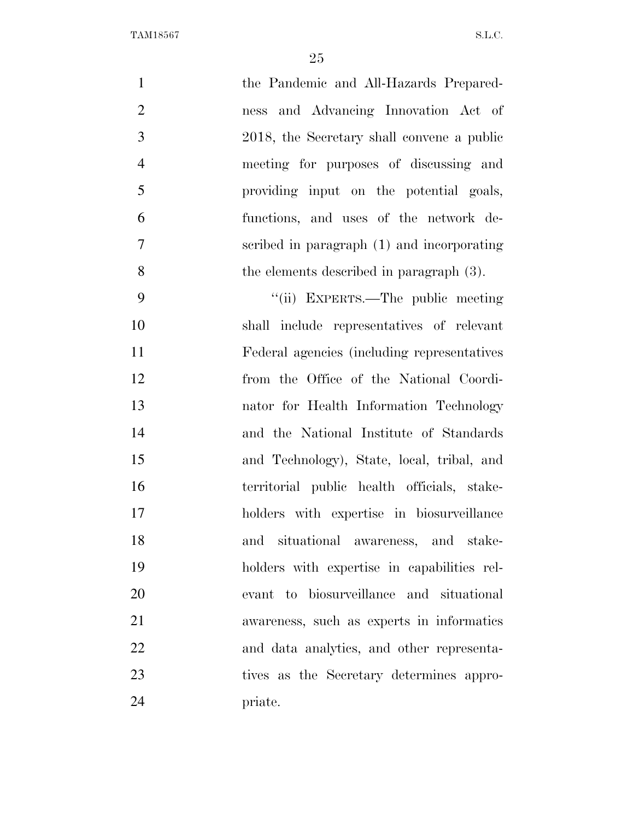| $\mathbf{1}$   | the Pandemic and All-Hazards Prepared-       |
|----------------|----------------------------------------------|
| $\overline{2}$ | ness and Advancing Innovation Act of         |
| 3              | 2018, the Secretary shall convene a public   |
| $\overline{4}$ | meeting for purposes of discussing and       |
| 5              | providing input on the potential goals,      |
| 6              | functions, and uses of the network de-       |
| 7              | scribed in paragraph (1) and incorporating   |
| 8              | the elements described in paragraph (3).     |
| 9              | "(ii) EXPERTS.—The public meeting            |
| 10             | shall include representatives of relevant    |
| 11             | Federal agencies (including representatives) |
| 12             | from the Office of the National Coordi-      |
| 13             | nator for Health Information Technology      |
| 14             | and the National Institute of Standards      |
| 15             | and Technology), State, local, tribal, and   |
| 16             | territorial public health officials, stake-  |
| 17             | holders with expertise in biosurveillance    |
| 18             | and situational awareness, and stake-        |
| 19             | holders with expertise in capabilities rel-  |
| $20\,$         | evant to biosurveillance and situational     |
| 21             | awareness, such as experts in informatics    |
| 22             | and data analytics, and other representa-    |
| 23             | tives as the Secretary determines appro-     |
| 24             | priate.                                      |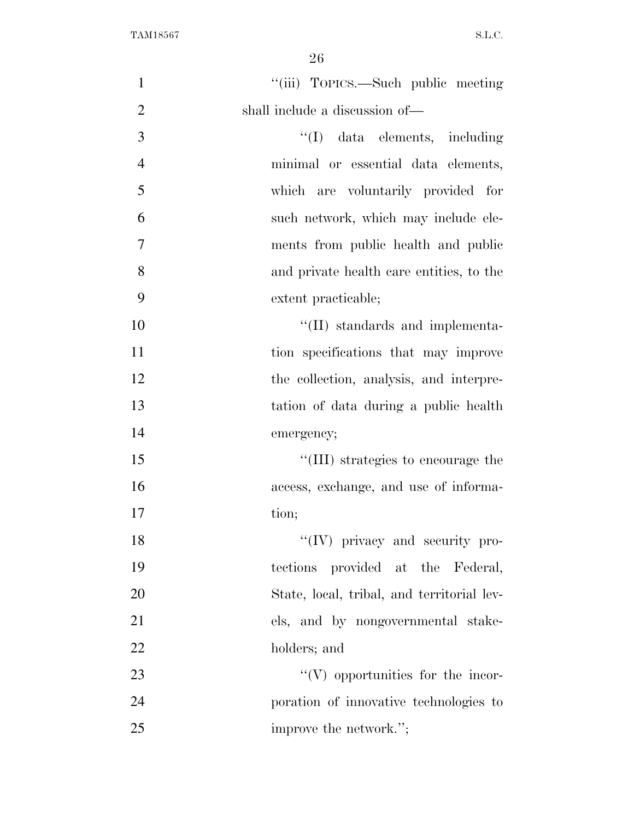| $\mathbf{1}$   | "(iii) TOPICS.—Such public meeting         |
|----------------|--------------------------------------------|
| $\overline{2}$ | shall include a discussion of—             |
| 3              | "(I) data elements, including              |
| $\overline{4}$ | minimal or essential data elements,        |
| 5              | which are voluntarily provided for         |
| 6              | such network, which may include ele-       |
| 7              | ments from public health and public        |
| 8              | and private health care entities, to the   |
| 9              | extent practicable;                        |
| 10             | $\lq\lq$ (II) standards and implementa-    |
| 11             | tion specifications that may improve       |
| 12             | the collection, analysis, and interpre-    |
| 13             | tation of data during a public health      |
| 14             | emergency;                                 |
| 15             | "(III) strategies to encourage the         |
| 16             | access, exchange, and use of informa-      |
| 17             | tion;                                      |
| 18             | $\lq\lq (IV)$ privacy and security pro-    |
| 19             | tections provided at the Federal,          |
| 20             | State, local, tribal, and territorial lev- |
| 21             | els, and by nongovernmental stake-         |
| 22             | holders; and                               |
| 23             | $\lq\lq(V)$ opportunities for the incor-   |
| 24             | poration of innovative technologies to     |
| 25             | improve the network.";                     |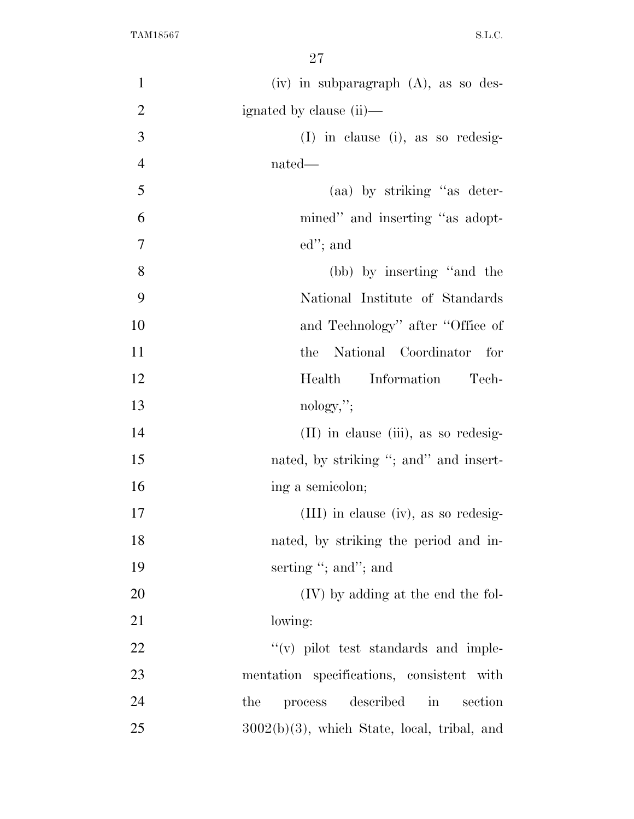| $\mathbf{1}$   | $(iv)$ in subparagraph $(A)$ , as so des-      |
|----------------|------------------------------------------------|
| $\overline{2}$ | ignated by clause (ii)—                        |
| 3              | $(I)$ in clause (i), as so redesig-            |
| $\overline{4}$ | nated—                                         |
| 5              | (aa) by striking "as deter-                    |
| 6              | mined" and inserting "as adopt-                |
| $\tau$         | $ed$ "; and                                    |
| 8              | (bb) by inserting "and the                     |
| 9              | National Institute of Standards                |
| 10             | and Technology" after "Office of               |
| 11             | National Coordinator<br>the<br>for             |
| 12             | Information<br>Health<br>Tech-                 |
| 13             | nology,";                                      |
| 14             | (II) in clause (iii), as so redesig-           |
| 15             | nated, by striking "; and" and insert-         |
| 16             | ing a semicolon;                               |
| 17             | (III) in clause (iv), as so redesig-           |
| 18             | nated, by striking the period and in-          |
| 19             | serting "; and"; and                           |
| 20             | (IV) by adding at the end the fol-             |
| 21             | lowing:                                        |
| 22             | $\lq\lq$ (v) pilot test standards and imple-   |
| 23             | mentation specifications, consistent with      |
| 24             | described<br>the<br>process<br>section<br>in   |
| 25             | $3002(b)(3)$ , which State, local, tribal, and |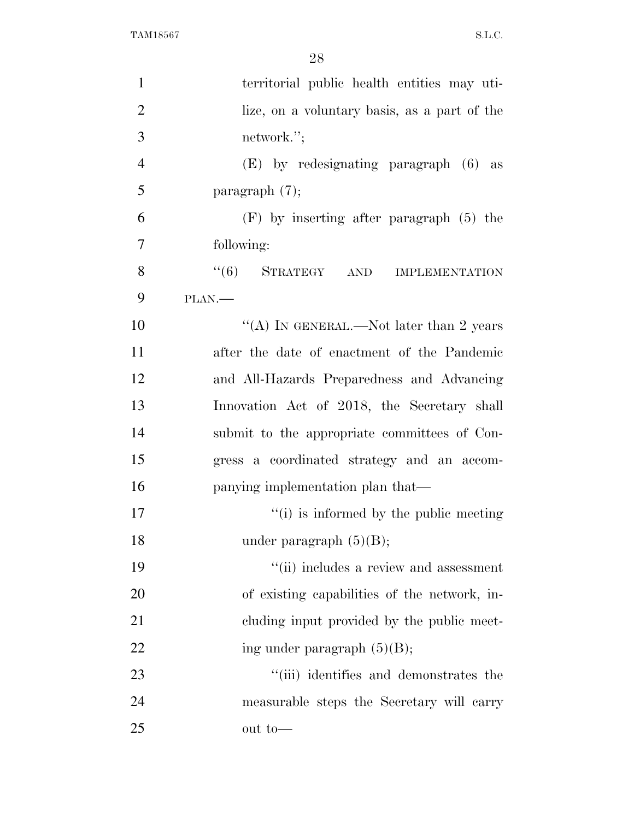| $\mathbf{1}$   | territorial public health entities may uti-      |
|----------------|--------------------------------------------------|
| $\overline{2}$ | lize, on a voluntary basis, as a part of the     |
| 3              | network.";                                       |
| $\overline{4}$ | (E) by redesignating paragraph (6) as            |
| 5              | paragraph $(7)$ ;                                |
| 6              | $(F)$ by inserting after paragraph $(5)$ the     |
| 7              | following:                                       |
| 8              | $\cdot\cdot\cdot(6)$ STRATEGY AND IMPLEMENTATION |
| 9              | PLAN.                                            |
| 10             | "(A) IN GENERAL.—Not later than 2 years          |
| 11             | after the date of enactment of the Pandemic      |
| 12             | and All-Hazards Preparedness and Advancing       |
| 13             | Innovation Act of 2018, the Secretary shall      |
| 14             | submit to the appropriate committees of Con-     |
| 15             | gress a coordinated strategy and an accom-       |
| 16             | panying implementation plan that—                |
| 17             | "(i) is informed by the public meeting           |
| 18             | under paragraph $(5)(B)$ ;                       |
| 19             | "(ii) includes a review and assessment           |
| 20             | of existing capabilities of the network, in-     |
| 21             | eluding input provided by the public meet-       |
| 22             | ing under paragraph $(5)(B)$ ;                   |
| 23             | "(iii) identifies and demonstrates the           |
| 24             | measurable steps the Secretary will carry        |
| 25             | out to-                                          |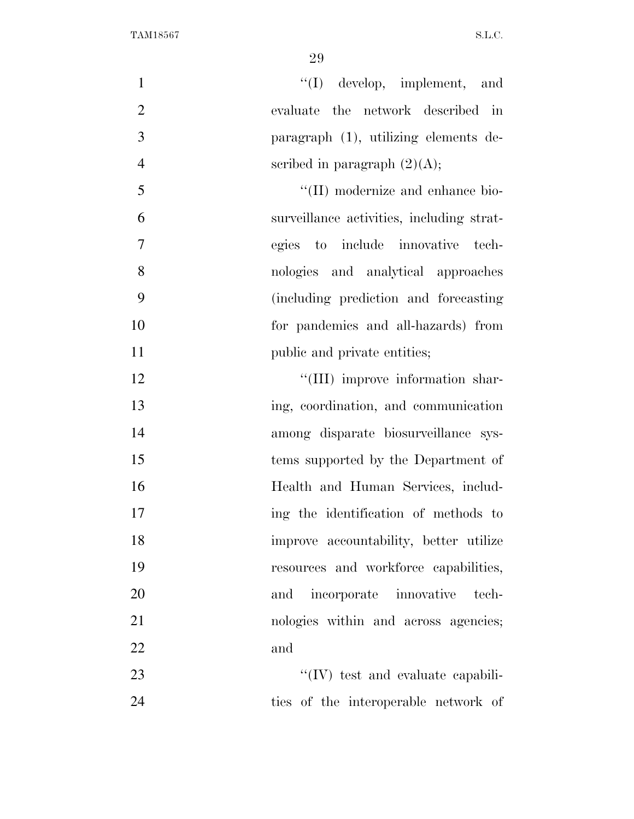| $\mathbf{1}$   | $\lq\lq$ develop, implement, and          |
|----------------|-------------------------------------------|
| $\overline{2}$ | evaluate the network described in         |
| 3              | paragraph (1), utilizing elements de-     |
| $\overline{4}$ | scribed in paragraph $(2)(A);$            |
| 5              | "(II) modernize and enhance bio-          |
| 6              | surveillance activities, including strat- |
| $\tau$         | egies to include innovative tech-         |
| 8              | nologies and analytical approaches        |
| 9              | (including prediction and forecasting)    |
| 10             | for pandemics and all-hazards) from       |
| 11             | public and private entities;              |
| 12             | "(III) improve information shar-          |
| 13             | ing, coordination, and communication      |
| 14             | among disparate biosurveillance sys-      |
| 15             | tems supported by the Department of       |
| 16             | Health and Human Services, includ-        |
| 17             | ing the identification of methods to      |
| 18             | improve accountability, better utilize    |
| 19             | resources and workforce capabilities,     |
| 20             | and incorporate innovative tech-          |
| 21             | nologies within and across agencies;      |
| 22             | and                                       |
| 23             | "(IV) test and evaluate capabili-         |
| 24             | ties of the interoperable network of      |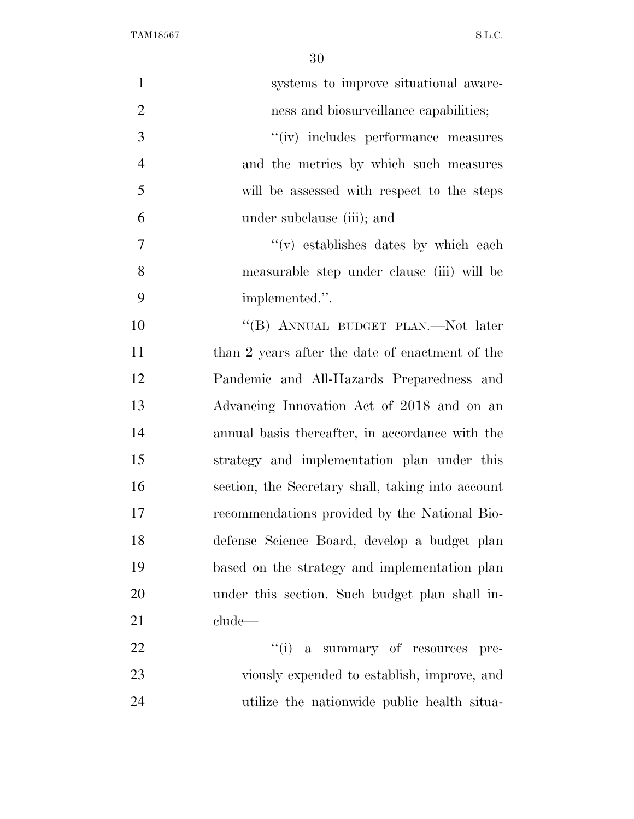| $\mathbf{1}$   | systems to improve situational aware-             |
|----------------|---------------------------------------------------|
| $\overline{2}$ | ness and biosurveillance capabilities;            |
| 3              | "(iv) includes performance measures               |
| $\overline{4}$ | and the metrics by which such measures            |
| 5              | will be assessed with respect to the steps        |
| 6              | under subclause (iii); and                        |
| $\overline{7}$ | $f'(v)$ establishes dates by which each           |
| 8              | measurable step under clause (iii) will be        |
| 9              | implemented.".                                    |
| 10             | "(B) ANNUAL BUDGET PLAN.—Not later                |
| 11             | than 2 years after the date of enactment of the   |
| 12             | Pandemic and All-Hazards Preparedness and         |
| 13             | Advancing Innovation Act of 2018 and on an        |
| 14             | annual basis thereafter, in accordance with the   |
| 15             | strategy and implementation plan under this       |
| 16             | section, the Secretary shall, taking into account |
| 17             | recommendations provided by the National Bio-     |
| 18             | defense Science Board, develop a budget plan      |
| 19             | based on the strategy and implementation plan     |
| 20             | under this section. Such budget plan shall in-    |
| 21             | clude—                                            |
| 22             | "(i) a summary of resources pre-                  |
| 23             | viously expended to establish, improve, and       |
| 24             | utilize the nationwide public health situa-       |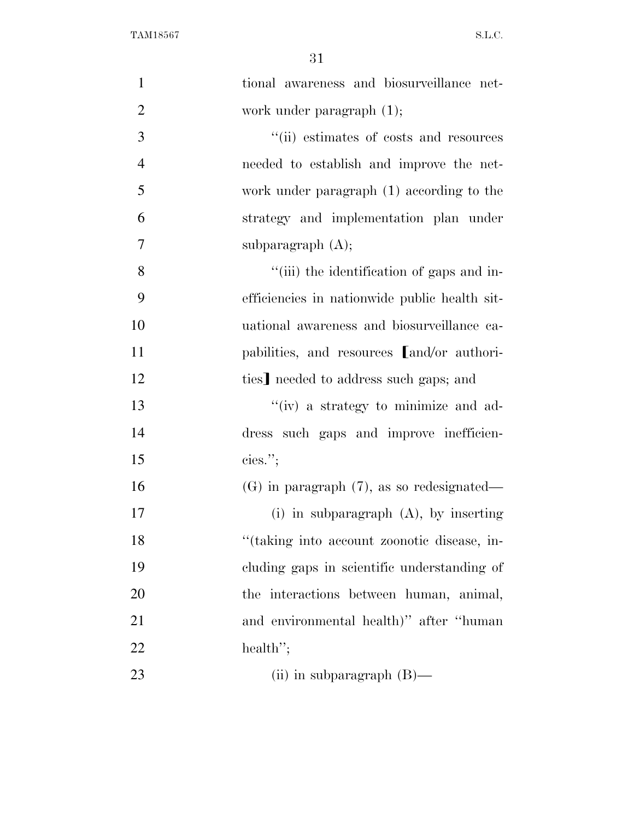| $\mathbf{1}$   | tional awareness and biosurveillance net-      |
|----------------|------------------------------------------------|
| $\overline{2}$ | work under paragraph $(1)$ ;                   |
| 3              | "(ii) estimates of costs and resources         |
| $\overline{4}$ | needed to establish and improve the net-       |
| 5              | work under paragraph (1) according to the      |
| 6              | strategy and implementation plan under         |
| 7              | subparagraph $(A)$ ;                           |
| 8              | "(iii) the identification of gaps and in-      |
| 9              | efficiencies in nationwide public health sit-  |
| 10             | uational awareness and biosurveillance ca-     |
| 11             | pabilities, and resources [and/or authori-     |
| 12             | ties] needed to address such gaps; and         |
| 13             | "(iv) a strategy to minimize and ad-           |
| 14             | dress such gaps and improve inefficien-        |
| 15             | cies."                                         |
| 16             | $(G)$ in paragraph $(7)$ , as so redesignated— |
| 17             | (i) in subparagraph $(A)$ , by inserting       |
| 18             | "(taking into account zoonotic disease, in-    |
| 19             | cluding gaps in scientific understanding of    |
| 20             | the interactions between human, animal,        |
| 21             | and environmental health)" after "human"       |
| 22             | health";                                       |
| 23             | (ii) in subparagraph $(B)$ —                   |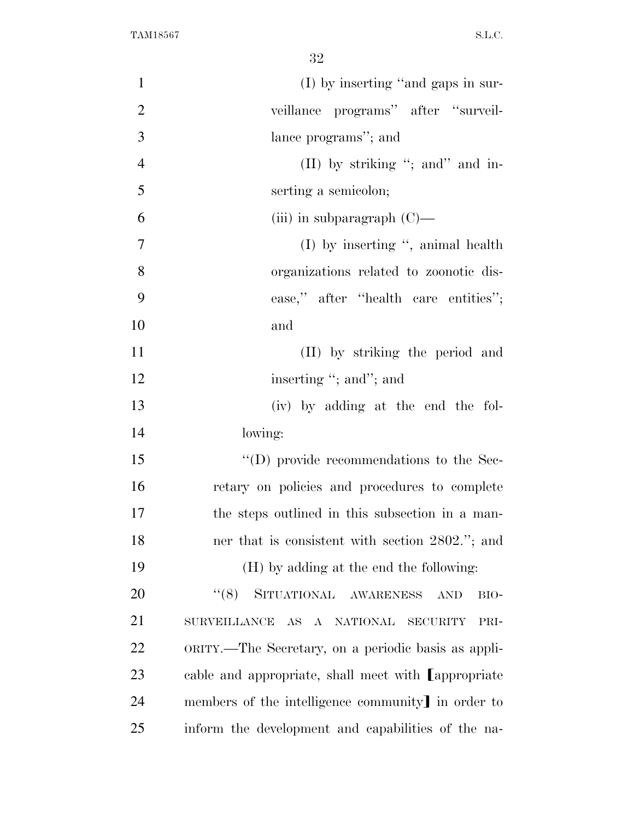| $\mathbf{1}$   | (I) by inserting "and gaps in sur-                    |
|----------------|-------------------------------------------------------|
| $\overline{2}$ | veillance programs" after "surveil-                   |
| 3              | lance programs"; and                                  |
| $\overline{4}$ | (II) by striking "; and " and in-                     |
| 5              | serting a semicolon;                                  |
| 6              | (iii) in subparagraph $(C)$ —                         |
| $\tau$         | $(I)$ by inserting ", animal health                   |
| 8              | organizations related to zoonotic dis-                |
| 9              | ease," after "health care entities";                  |
| 10             | and                                                   |
| 11             | (II) by striking the period and                       |
| 12             | inserting "; and"; and                                |
| 13             | (iv) by adding at the end the fol-                    |
| 14             | lowing:                                               |
| 15             | $\lq\lq$ (D) provide recommendations to the Sec-      |
| 16             | retary on policies and procedures to complete         |
| 17             | the steps outlined in this subsection in a man-       |
| 18             | ner that is consistent with section 2802."; and       |
| 19             | (H) by adding at the end the following:               |
| 20             | SITUATIONAL AWARENESS<br>(6(8))<br><b>AND</b><br>BIO- |
| 21             | SURVEILLANCE AS A NATIONAL SECURITY<br>PRI-           |
| 22             | ORITY.—The Secretary, on a periodic basis as appli-   |
| 23             | cable and appropriate, shall meet with Lappropriate   |
| 24             | members of the intelligence community] in order to    |
| 25             | inform the development and capabilities of the na-    |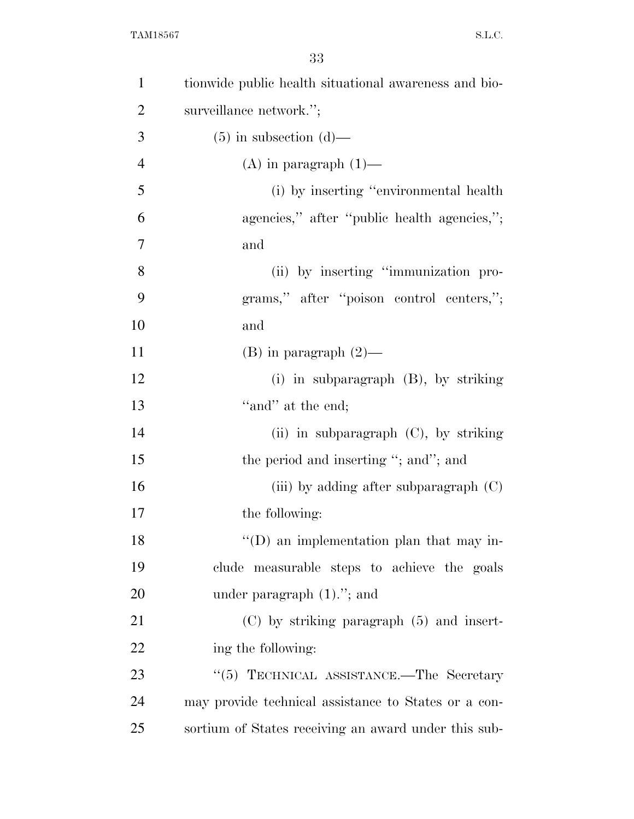| $\mathbf{1}$   | tionwide public health situational awareness and bio- |
|----------------|-------------------------------------------------------|
| $\overline{2}$ | surveillance network.";                               |
| 3              | $(5)$ in subsection $(d)$ —                           |
| $\overline{4}$ | $(A)$ in paragraph $(1)$ —                            |
| 5              | (i) by inserting "environmental health                |
| 6              | agencies," after "public health agencies,";           |
| $\tau$         | and                                                   |
| 8              | (ii) by inserting "immunization pro-                  |
| 9              | grams," after "poison control centers,";              |
| 10             | and                                                   |
| 11             | $(B)$ in paragraph $(2)$ —                            |
| 12             | (i) in subparagraph (B), by striking                  |
| 13             | "and" at the end;                                     |
| 14             | (ii) in subparagraph $(C)$ , by striking              |
| 15             | the period and inserting "; and"; and                 |
| 16             | (iii) by adding after subparagraph $(C)$              |
| 17             | the following:                                        |
| 18             | $\lq\lq$ (D) an implementation plan that may in-      |
| 19             | clude measurable steps to achieve the goals           |
| 20             | under paragraph $(1)$ ."; and                         |
| 21             | $(C)$ by striking paragraph $(5)$ and insert-         |
| 22             | ing the following:                                    |
| 23             | "(5) TECHNICAL ASSISTANCE.—The Secretary              |
| 24             | may provide technical assistance to States or a con-  |
| 25             | sortium of States receiving an award under this sub-  |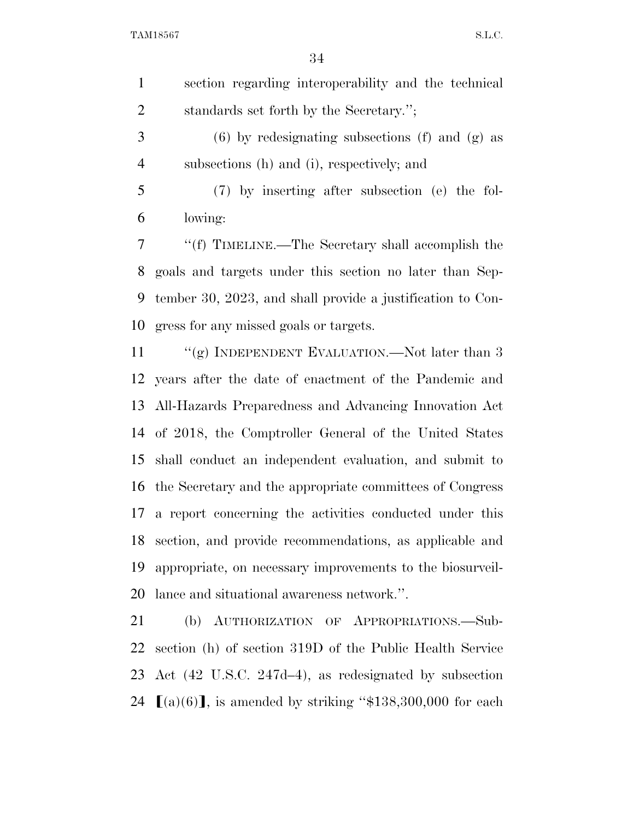| $\mathbf{1}$   | section regarding interoperability and the technical       |
|----------------|------------------------------------------------------------|
| $\overline{2}$ | standards set forth by the Secretary.";                    |
| 3              | $(6)$ by redesignating subsections (f) and (g) as          |
| $\overline{4}$ | subsections (h) and (i), respectively; and                 |
| 5              | (7) by inserting after subsection (e) the fol-             |
| 6              | lowing:                                                    |
| 7              | "(f) TIMELINE.—The Secretary shall accomplish the          |
| 8              | goals and targets under this section no later than Sep-    |
| 9              | tember 30, 2023, and shall provide a justification to Con- |
|                | 10 gress for any missed goals or targets.                  |

11 ""(g) INDEPENDENT EVALUATION.—Not later than 3 years after the date of enactment of the Pandemic and All-Hazards Preparedness and Advancing Innovation Act of 2018, the Comptroller General of the United States shall conduct an independent evaluation, and submit to the Secretary and the appropriate committees of Congress a report concerning the activities conducted under this section, and provide recommendations, as applicable and appropriate, on necessary improvements to the biosurveil-lance and situational awareness network.''.

 (b) AUTHORIZATION OF APPROPRIATIONS.—Sub- section (h) of section 319D of the Public Health Service Act (42 U.S.C. 247d–4), as redesignated by subsection  $\lbrack (a)(6) \rbrack$ , is amended by striking "\$138,300,000 for each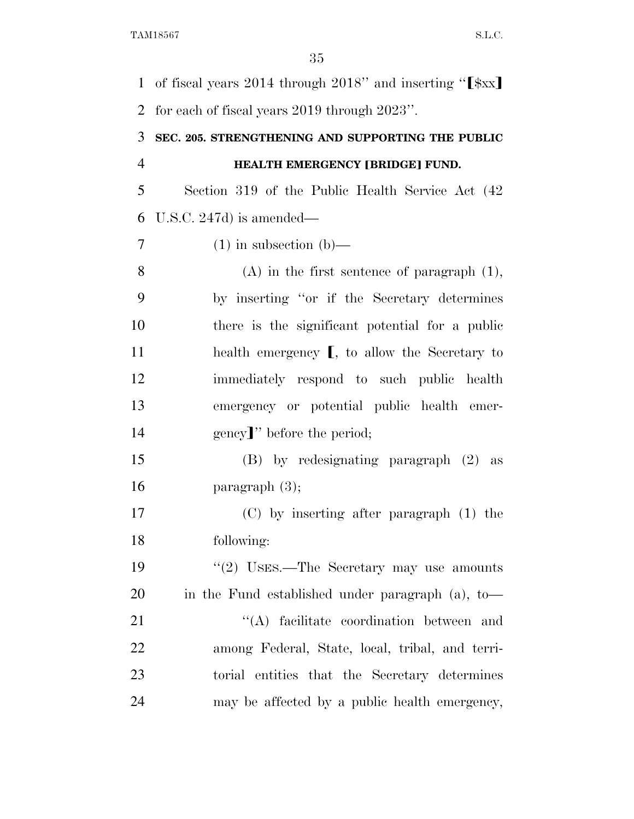1 of fiscal years 2014 through 2018" and inserting " $\left[\frac{1}{2}x\right]$ for each of fiscal years 2019 through 2023''.

### **SEC. 205. STRENGTHENING AND SUPPORTING THE PUBLIC HEALTH EMERGENCY [BRIDGE] FUND.**

 Section 319 of the Public Health Service Act (42 U.S.C. 247d) is amended—

(1) in subsection (b)—

 (A) in the first sentence of paragraph (1), by inserting ''or if the Secretary determines there is the significant potential for a public 11 health emergency **[**, to allow the Secretary to immediately respond to such public health emergency or potential public health emer-14 gency<sup>'</sup>' before the period;

 (B) by redesignating paragraph (2) as paragraph (3);

 (C) by inserting after paragraph (1) the following:

19 ''(2) USES.—The Secretary may use amounts in the Fund established under paragraph (a), to—

21 ''(A) facilitate coordination between and among Federal, State, local, tribal, and terri- torial entities that the Secretary determines may be affected by a public health emergency,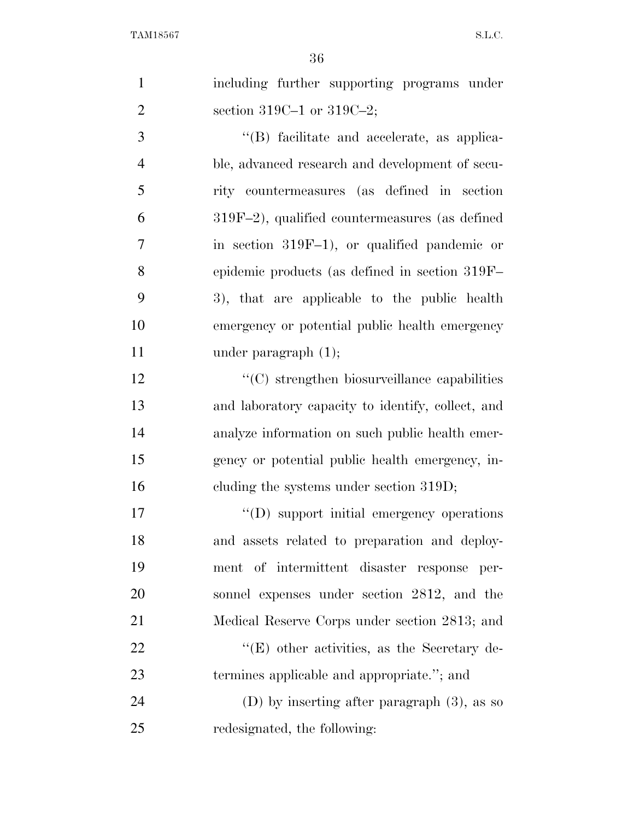| $\mathbf{1}$   | including further supporting programs under         |
|----------------|-----------------------------------------------------|
| $\overline{2}$ | section 319C-1 or 319C-2;                           |
| 3              | "(B) facilitate and accelerate, as applica-         |
| $\overline{4}$ | ble, advanced research and development of secu-     |
| 5              | rity countermeasures (as defined in section         |
| 6              | $319F-2$ ), qualified countermeasures (as defined   |
| 7              | in section $319F-1$ , or qualified pandemic or      |
| 8              | epidemic products (as defined in section 319F-      |
| 9              | 3), that are applicable to the public health        |
| 10             | emergency or potential public health emergency      |
| 11             | under paragraph $(1)$ ;                             |
| 12             | $\cdot$ (C) strengthen biosurveillance capabilities |
| 13             | and laboratory capacity to identify, collect, and   |
| 14             | analyze information on such public health emer-     |
| 15             | gency or potential public health emergency, in-     |
| 16             | cluding the systems under section 319D;             |
| 17             | "(D) support initial emergency operations           |
| 18             | and assets related to preparation and deploy-       |
| 19             | ment of intermittent disaster response per-         |
| 20             | sonnel expenses under section 2812, and the         |
| 21             | Medical Reserve Corps under section 2813; and       |
| 22             | $\lq\lq(E)$ other activities, as the Secretary de-  |
| 23             | termines applicable and appropriate."; and          |
| 24             | (D) by inserting after paragraph $(3)$ , as so      |
| 25             | redesignated, the following:                        |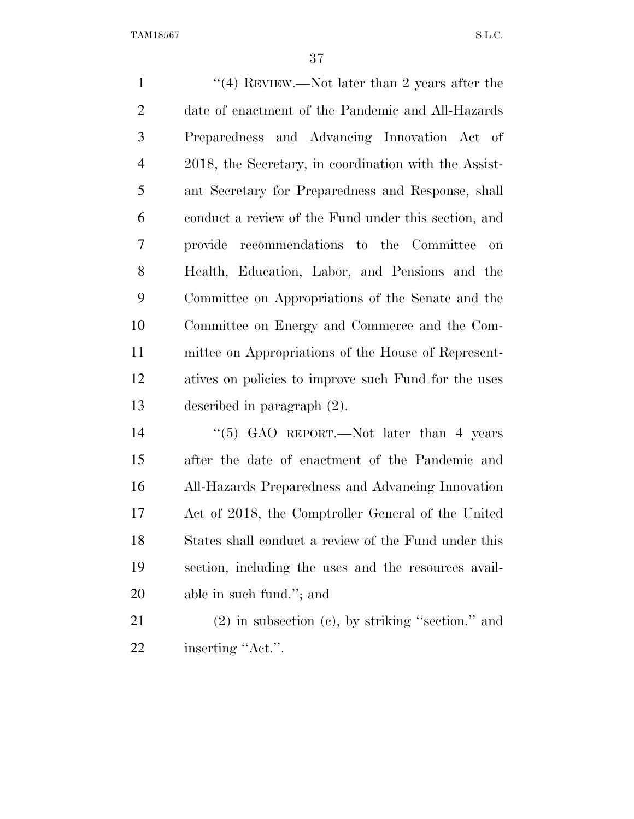1 ''(4) REVIEW.—Not later than 2 years after the date of enactment of the Pandemic and All-Hazards Preparedness and Advancing Innovation Act of 2018, the Secretary, in coordination with the Assist- ant Secretary for Preparedness and Response, shall conduct a review of the Fund under this section, and provide recommendations to the Committee on Health, Education, Labor, and Pensions and the Committee on Appropriations of the Senate and the Committee on Energy and Commerce and the Com- mittee on Appropriations of the House of Represent- atives on policies to improve such Fund for the uses described in paragraph (2). 14 ''(5) GAO REPORT.—Not later than 4 years

 after the date of enactment of the Pandemic and All-Hazards Preparedness and Advancing Innovation Act of 2018, the Comptroller General of the United States shall conduct a review of the Fund under this section, including the uses and the resources avail-able in such fund.''; and

 (2) in subsection (c), by striking ''section.'' and 22 inserting "Act.".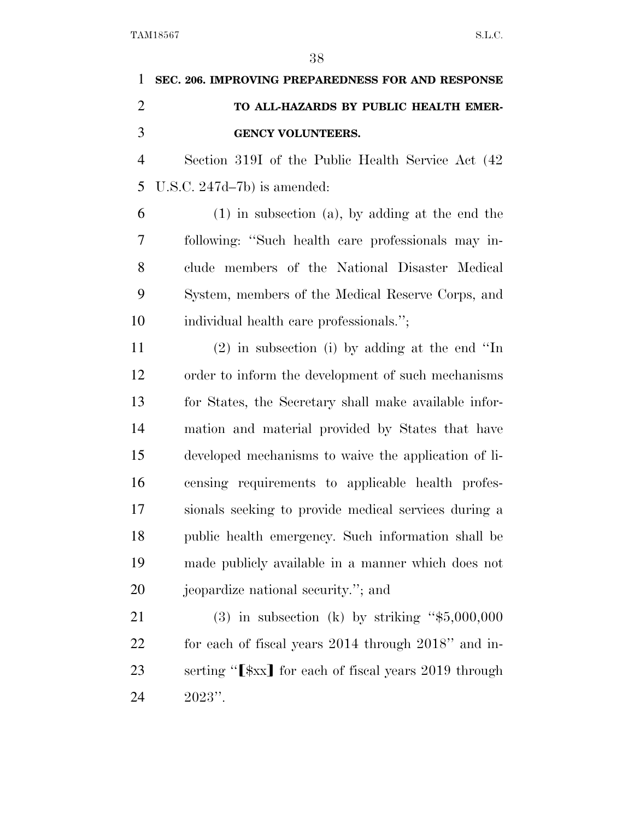| 1 SEC. 206. IMPROVING PREPAREDNESS FOR AND RESPONSE |
|-----------------------------------------------------|
| TO ALL-HAZARDS BY PUBLIC HEALTH EMER-               |
| <b>GENCY VOLUNTEERS.</b>                            |

 Section 319I of the Public Health Service Act (42 U.S.C. 247d–7b) is amended:

 (1) in subsection (a), by adding at the end the following: ''Such health care professionals may in- clude members of the National Disaster Medical System, members of the Medical Reserve Corps, and individual health care professionals.'';

 (2) in subsection (i) by adding at the end ''In order to inform the development of such mechanisms for States, the Secretary shall make available infor- mation and material provided by States that have developed mechanisms to waive the application of li- censing requirements to applicable health profes- sionals seeking to provide medical services during a public health emergency. Such information shall be made publicly available in a manner which does not jeopardize national security.''; and

 (3) in subsection (k) by striking ''\$5,000,000 for each of fiscal years 2014 through 2018'' and in-23 serting "<sup>'</sup> $\frac{1}{x}$  for each of fiscal years 2019 through 2023''.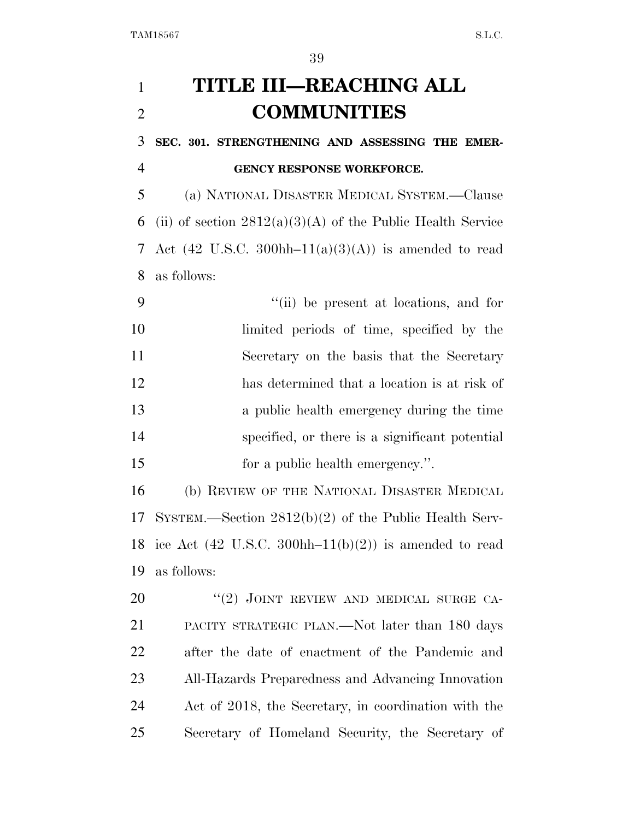# **TITLE III—REACHING ALL COMMUNITIES**

 **SEC. 301. STRENGTHENING AND ASSESSING THE EMER-GENCY RESPONSE WORKFORCE.** 

 (a) NATIONAL DISASTER MEDICAL SYSTEM.—Clause 6 (ii) of section  $2812(a)(3)(A)$  of the Public Health Service 7 Act (42 U.S.C. 300hh–11(a)(3)(A)) is amended to read as follows:

 ''(ii) be present at locations, and for limited periods of time, specified by the Secretary on the basis that the Secretary has determined that a location is at risk of a public health emergency during the time specified, or there is a significant potential 15 for a public health emergency.".

 (b) REVIEW OF THE NATIONAL DISASTER MEDICAL SYSTEM.—Section 2812(b)(2) of the Public Health Serv-18 ice Act  $(42 \text{ U.S.C. } 300 \text{hh} - 11 \text{ (b)}(2))$  is amended to read as follows:

20 "(2) JOINT REVIEW AND MEDICAL SURGE CA- PACITY STRATEGIC PLAN.—Not later than 180 days after the date of enactment of the Pandemic and All-Hazards Preparedness and Advancing Innovation Act of 2018, the Secretary, in coordination with the Secretary of Homeland Security, the Secretary of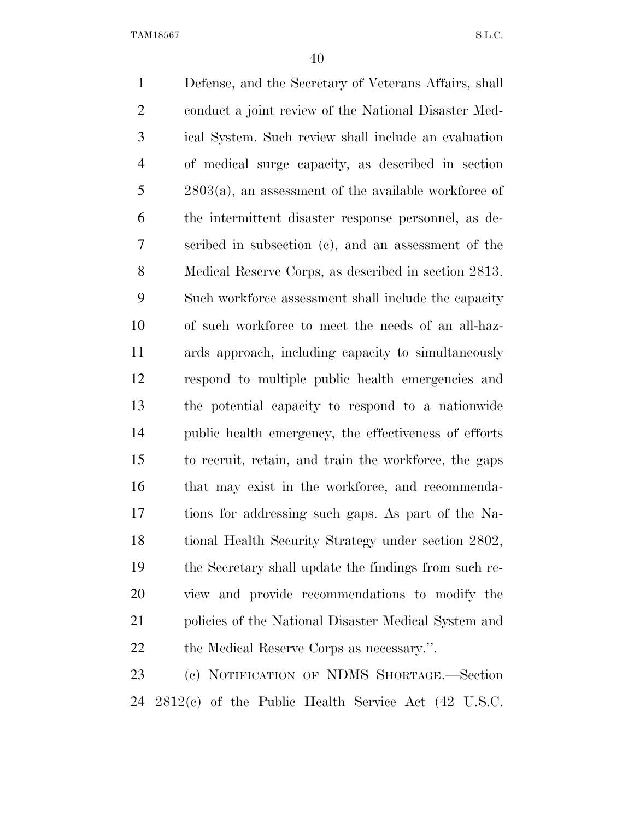Defense, and the Secretary of Veterans Affairs, shall conduct a joint review of the National Disaster Med- ical System. Such review shall include an evaluation of medical surge capacity, as described in section 2803(a), an assessment of the available workforce of the intermittent disaster response personnel, as de- scribed in subsection (c), and an assessment of the Medical Reserve Corps, as described in section 2813. Such workforce assessment shall include the capacity of such workforce to meet the needs of an all-haz- ards approach, including capacity to simultaneously respond to multiple public health emergencies and the potential capacity to respond to a nationwide public health emergency, the effectiveness of efforts to recruit, retain, and train the workforce, the gaps 16 that may exist in the workforce, and recommenda- tions for addressing such gaps. As part of the Na- tional Health Security Strategy under section 2802, the Secretary shall update the findings from such re- view and provide recommendations to modify the 21 policies of the National Disaster Medical System and 22 the Medical Reserve Corps as necessary.". (c) NOTIFICATION OF NDMS SHORTAGE.—Section

2812(c) of the Public Health Service Act (42 U.S.C.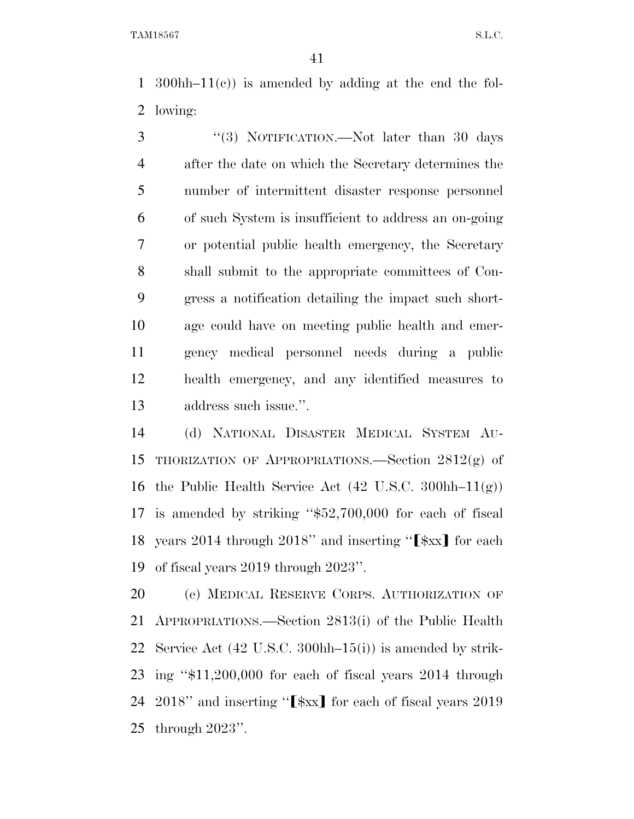300hh–11(c)) is amended by adding at the end the fol-lowing:

3 "(3) NOTIFICATION.—Not later than 30 days after the date on which the Secretary determines the number of intermittent disaster response personnel of such System is insufficient to address an on-going or potential public health emergency, the Secretary shall submit to the appropriate committees of Con- gress a notification detailing the impact such short- age could have on meeting public health and emer- gency medical personnel needs during a public health emergency, and any identified measures to address such issue.''.

 (d) NATIONAL DISASTER MEDICAL SYSTEM AU- THORIZATION OF APPROPRIATIONS.—Section 2812(g) of 16 the Public Health Service Act  $(42 \text{ U.S.C. } 300 \text{hh} - 11(g))$  is amended by striking ''\$52,700,000 for each of fiscal 18 years 2014 through 2018" and inserting " $\left[\frac{1}{2}x\right]$  for each of fiscal years 2019 through 2023''.

 (e) MEDICAL RESERVE CORPS. AUTHORIZATION OF APPROPRIATIONS.—Section 2813(i) of the Public Health Service Act (42 U.S.C. 300hh–15(i)) is amended by strik- ing ''\$11,200,000 for each of fiscal years 2014 through " and inserting " $\left[\frac{1}{2}x\right]$  for each of fiscal years 2019 through 2023''.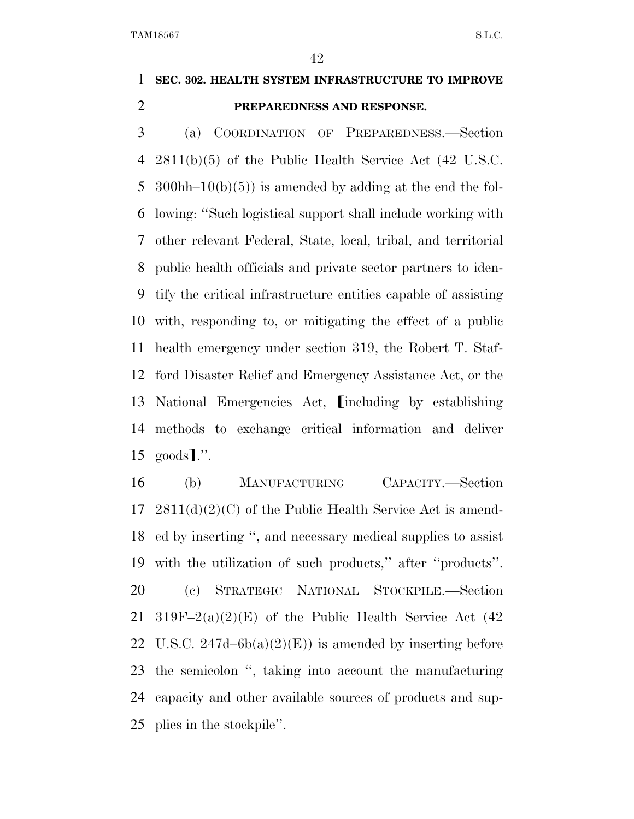### **SEC. 302. HEALTH SYSTEM INFRASTRUCTURE TO IMPROVE PREPAREDNESS AND RESPONSE.**

 (a) COORDINATION OF PREPAREDNESS.—Section 2811(b)(5) of the Public Health Service Act (42 U.S.C. 5 300hh–10(b)(5)) is amended by adding at the end the fol- lowing: ''Such logistical support shall include working with other relevant Federal, State, local, tribal, and territorial public health officials and private sector partners to iden- tify the critical infrastructure entities capable of assisting with, responding to, or mitigating the effect of a public health emergency under section 319, the Robert T. Staf- ford Disaster Relief and Emergency Assistance Act, or the 13 National Emergencies Act, *including by establishing*  methods to exchange critical information and deliver  $15 \text{ goods}$ .".

 (b) MANUFACTURING CAPACITY.—Section 2811(d)(2)(C) of the Public Health Service Act is amend- ed by inserting '', and necessary medical supplies to assist with the utilization of such products,'' after ''products''. (c) STRATEGIC NATIONAL STOCKPILE.—Section 21 319F–2(a)(2)(E) of the Public Health Service Act  $(42)$ 22 U.S.C.  $247d-6b(a)(2)(E)$  is amended by inserting before the semicolon '', taking into account the manufacturing capacity and other available sources of products and sup-plies in the stockpile''.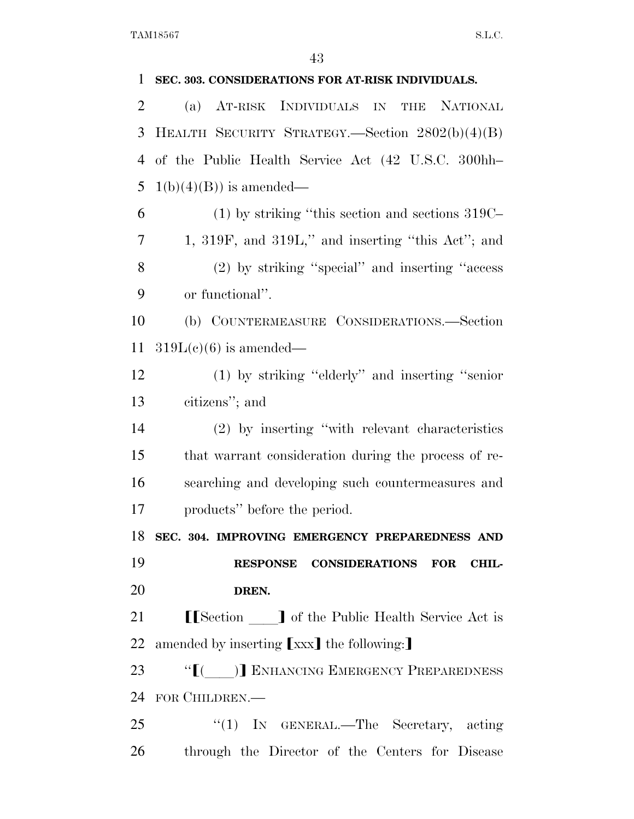| 1              | SEC. 303. CONSIDERATIONS FOR AT-RISK INDIVIDUALS.      |
|----------------|--------------------------------------------------------|
| 2              | AT-RISK INDIVIDUALS IN THE<br><b>NATIONAL</b><br>(a)   |
| 3              | HEALTH SECURITY STRATEGY.—Section 2802(b)(4)(B)        |
| $\overline{4}$ | of the Public Health Service Act (42 U.S.C. 300hh-     |
| 5              | $1(b)(4)(B)$ is amended—                               |
| 6              | $(1)$ by striking "this section and sections 319C-     |
| 7              | 1, 319F, and 319L," and inserting "this $Act$ "; and   |
| 8              | (2) by striking "special" and inserting "access"       |
| 9              | or functional".                                        |
| 10             | (b) COUNTERMEASURE CONSIDERATIONS.-Section             |
| 11             | $319L(e)(6)$ is amended—                               |
| 12             | (1) by striking "elderly" and inserting "senior        |
| 13             | citizens"; and                                         |
| 14             | (2) by inserting "with relevant characteristics        |
| 15             | that warrant consideration during the process of re-   |
| 16             | searching and developing such countermeasures and      |
| 17             | products" before the period.                           |
|                | 18 SEC. 304. IMPROVING EMERGENCY PREPAREDNESS AND      |
| 19             | RESPONSE CONSIDERATIONS FOR<br><b>CHIL-</b>            |
| 20             | DREN.                                                  |
| 21             | <b>[[Section</b> ] of the Public Health Service Act is |
| 22             | amended by inserting [xxx] the following:              |
| 23             | "[( )] ENHANCING EMERGENCY PREPAREDNESS                |
| 24             | FOR CHILDREN.-                                         |
| 25             |                                                        |
|                | "(1) IN GENERAL.—The Secretary, acting                 |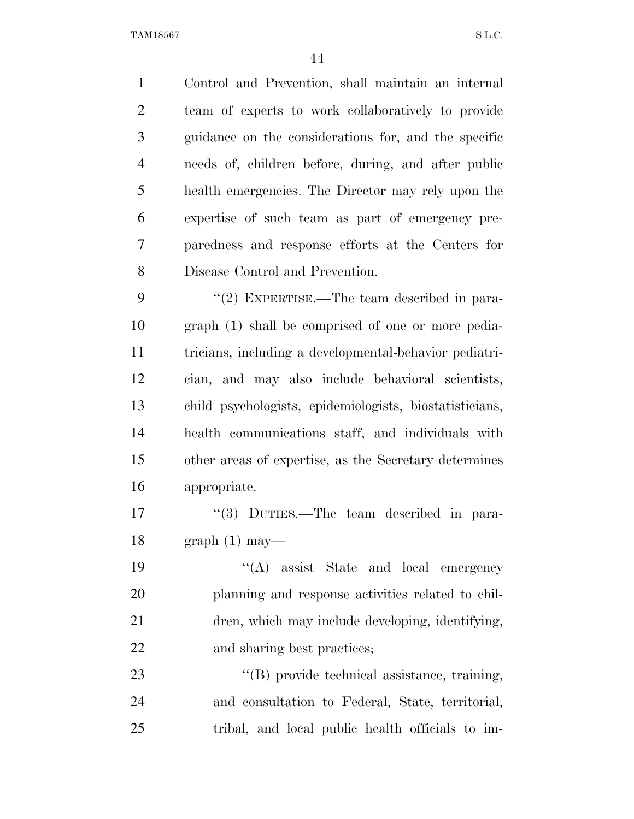Control and Prevention, shall maintain an internal team of experts to work collaboratively to provide guidance on the considerations for, and the specific needs of, children before, during, and after public health emergencies. The Director may rely upon the expertise of such team as part of emergency pre- paredness and response efforts at the Centers for Disease Control and Prevention. 9 "(2) EXPERTISE.—The team described in para- graph (1) shall be comprised of one or more pedia- tricians, including a developmental-behavior pediatri- cian, and may also include behavioral scientists, child psychologists, epidemiologists, biostatisticians, health communications staff, and individuals with other areas of expertise, as the Secretary determines appropriate. 17 ''(3) DUTIES.—The team described in para-18 graph  $(1)$  may—

 ''(A) assist State and local emergency planning and response activities related to chil- dren, which may include developing, identifying, 22 and sharing best practices;

23  $\langle (B) \rangle$  provide technical assistance, training, and consultation to Federal, State, territorial, tribal, and local public health officials to im-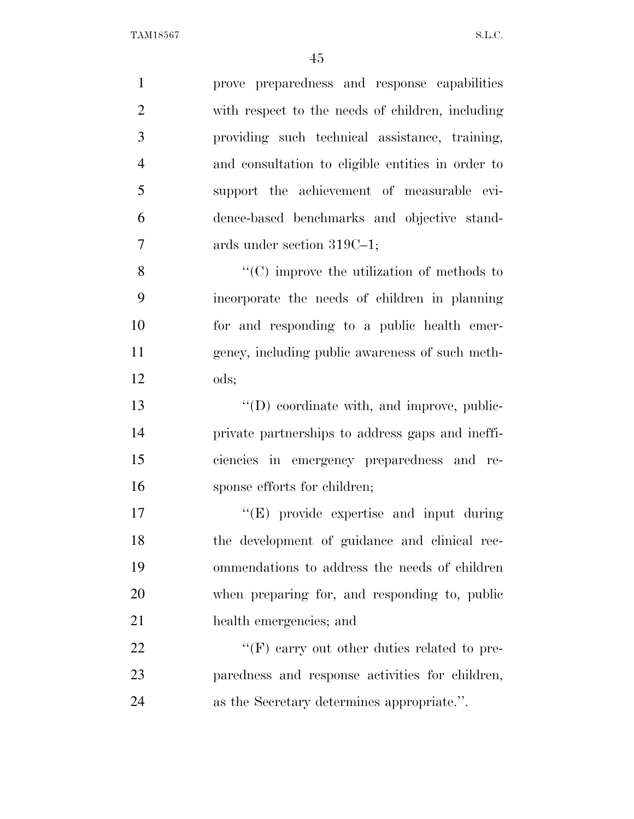| $\mathbf{1}$   | prove preparedness and response capabilities       |
|----------------|----------------------------------------------------|
| $\overline{2}$ | with respect to the needs of children, including   |
| 3              | providing such technical assistance, training,     |
| $\overline{4}$ | and consultation to eligible entities in order to  |
| 5              | support the achievement of measurable evi-         |
| 6              | dence-based benchmarks and objective stand-        |
| 7              | ards under section 319C-1;                         |
| 8              | $\lq\lq$ (C) improve the utilization of methods to |
| 9              | incorporate the needs of children in planning      |
| 10             | for and responding to a public health emer-        |
| 11             | gency, including public awareness of such meth-    |
| 12             | ods;                                               |
| 13             | $\lq\lq$ coordinate with, and improve, public-     |
| 14             | private partnerships to address gaps and ineffi-   |
| 15             | ciencies in emergency preparedness and re-         |
| 16             | sponse efforts for children;                       |
| 17             | $\lq\lq(E)$ provide expertise and input during     |
| 18             | the development of guidance and clinical rec-      |
| 19             | ommendations to address the needs of children      |
| 20             | when preparing for, and responding to, public      |
| 21             | health emergencies; and                            |
| 22             | $\lq\lq(F)$ carry out other duties related to pre- |
| 23             | paredness and response activities for children,    |
| 24             | as the Secretary determines appropriate.".         |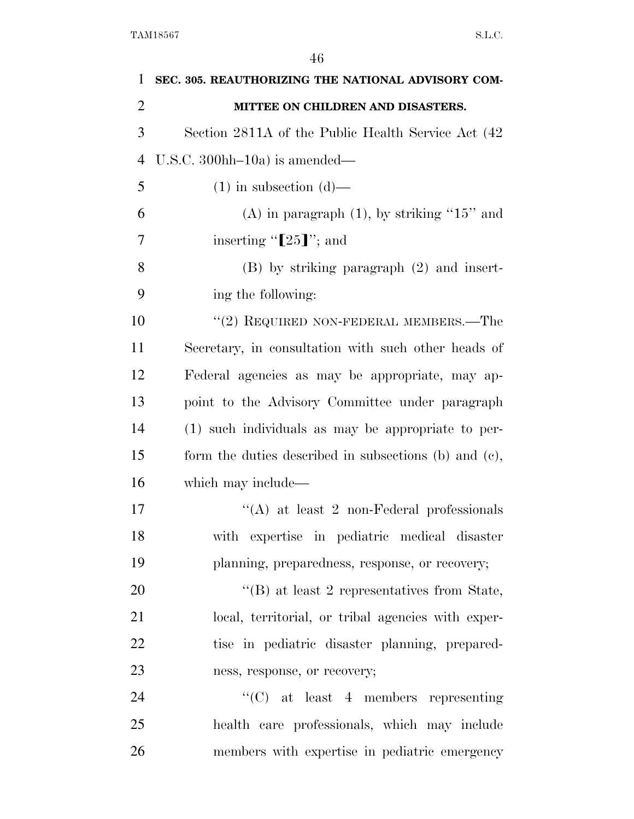| 1              | SEC. 305. REAUTHORIZING THE NATIONAL ADVISORY COM-    |
|----------------|-------------------------------------------------------|
| $\overline{2}$ | MITTEE ON CHILDREN AND DISASTERS.                     |
| 3              | Section 2811A of the Public Health Service Act (42    |
| $\overline{4}$ | U.S.C. $300hh-10a$ is amended—                        |
| 5              | $(1)$ in subsection $(d)$ —                           |
| 6              | $(A)$ in paragraph $(1)$ , by striking "15" and       |
| 7              | inserting " $[25]'$ ; and                             |
| 8              | $(B)$ by striking paragraph $(2)$ and insert-         |
| 9              | ing the following:                                    |
| 10             | $``(2)$ REQUIRED NON-FEDERAL MEMBERS.—The             |
| 11             | Secretary, in consultation with such other heads of   |
| 12             | Federal agencies as may be appropriate, may ap-       |
| 13             | point to the Advisory Committee under paragraph       |
| 14             | (1) such individuals as may be appropriate to per-    |
| 15             | form the duties described in subsections (b) and (c), |
| 16             | which may include—                                    |
| 17             | $\lq\lq$ at least 2 non-Federal professionals         |
| 18             | with expertise in pediatric medical disaster          |
| 19             | planning, preparedness, response, or recovery;        |
| 20             | $\lq\lq$ (B) at least 2 representatives from State,   |
| 21             | local, territorial, or tribal agencies with exper-    |
| 22             | tise in pediatric disaster planning, prepared-        |
| 23             | ness, response, or recovery;                          |
| 24             | $\lq\lq$ (C) at least 4 members representing          |
| 25             | health care professionals, which may include          |
| 26             | members with expertise in pediatric emergency         |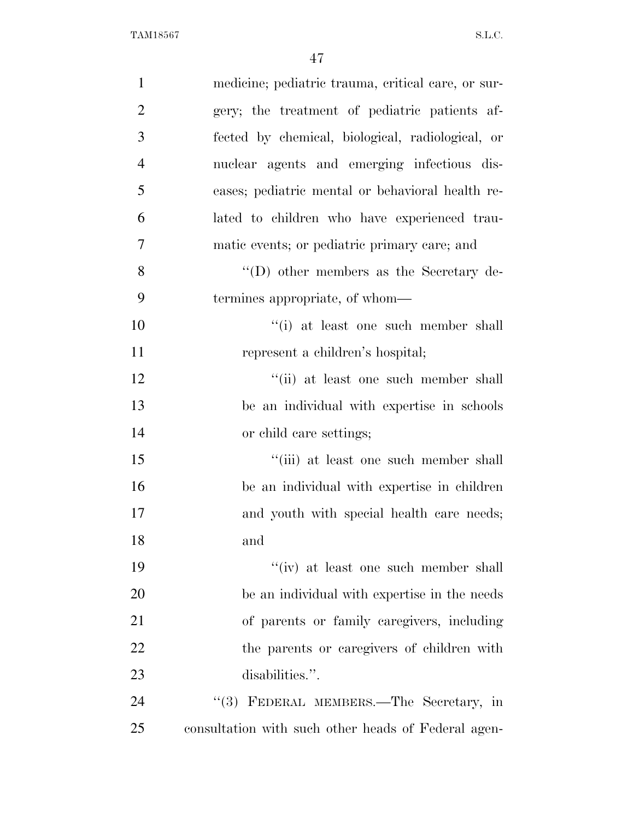| $\mathbf{1}$   | medicine; pediatric trauma, critical care, or sur-  |
|----------------|-----------------------------------------------------|
| $\overline{2}$ | gery; the treatment of pediatric patients af-       |
| 3              | fected by chemical, biological, radiological, or    |
| $\overline{4}$ | nuclear agents and emerging infectious dis-         |
| 5              | eases; pediatric mental or behavioral health re-    |
| 6              | lated to children who have experienced trau-        |
| $\overline{7}$ | matic events; or pediatric primary care; and        |
| 8              | $\lq\lq$ other members as the Secretary de-         |
| 9              | termines appropriate, of whom—                      |
| 10             | "(i) at least one such member shall                 |
| 11             | represent a children's hospital;                    |
| 12             | "(ii) at least one such member shall                |
| 13             | be an individual with expertise in schools          |
| 14             | or child care settings;                             |
| 15             | "(iii) at least one such member shall               |
| 16             | be an individual with expertise in children         |
| 17             | and youth with special health care needs;           |
| 18             | and                                                 |
| 19             | $``(iv)$ at least one such member shall             |
| 20             | be an individual with expertise in the needs        |
| 21             | of parents or family caregivers, including          |
| 22             | the parents or caregivers of children with          |
| 23             | disabilities.".                                     |
| 24             | "(3) FEDERAL MEMBERS.—The Secretary, in             |
| 25             | consultation with such other heads of Federal agen- |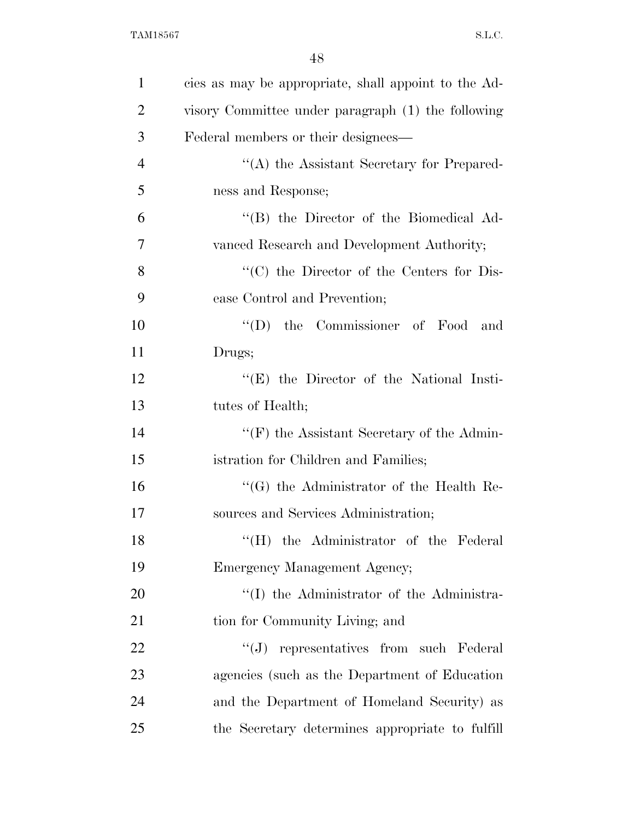| $\mathbf{1}$   | cies as may be appropriate, shall appoint to the Ad- |
|----------------|------------------------------------------------------|
| $\overline{2}$ | visory Committee under paragraph (1) the following   |
| 3              | Federal members or their designees—                  |
| $\overline{4}$ | "(A) the Assistant Secretary for Prepared-           |
| 5              | ness and Response;                                   |
| 6              | "(B) the Director of the Biomedical Ad-              |
| 7              | vanced Research and Development Authority;           |
| 8              | "(C) the Director of the Centers for Dis-            |
| 9              | ease Control and Prevention;                         |
| 10             | "(D) the Commissioner of Food and                    |
| 11             | Drugs;                                               |
| 12             | $\lq\lq$ (E) the Director of the National Insti-     |
| 13             | tutes of Health;                                     |
| 14             | $\lq\lq(F)$ the Assistant Secretary of the Admin-    |
| 15             | istration for Children and Families;                 |
| 16             | "(G) the Administrator of the Health Re-             |
| 17             | sources and Services Administration;                 |
| 18             | "(H) the Administrator of the Federal                |
| 19             | Emergency Management Agency;                         |
| 20             | "(I) the Administrator of the Administra-            |
| 21             | tion for Community Living; and                       |
| 22             | "(J) representatives from such Federal               |
| 23             | agencies (such as the Department of Education        |
| 24             | and the Department of Homeland Security) as          |
| 25             | the Secretary determines appropriate to fulfill      |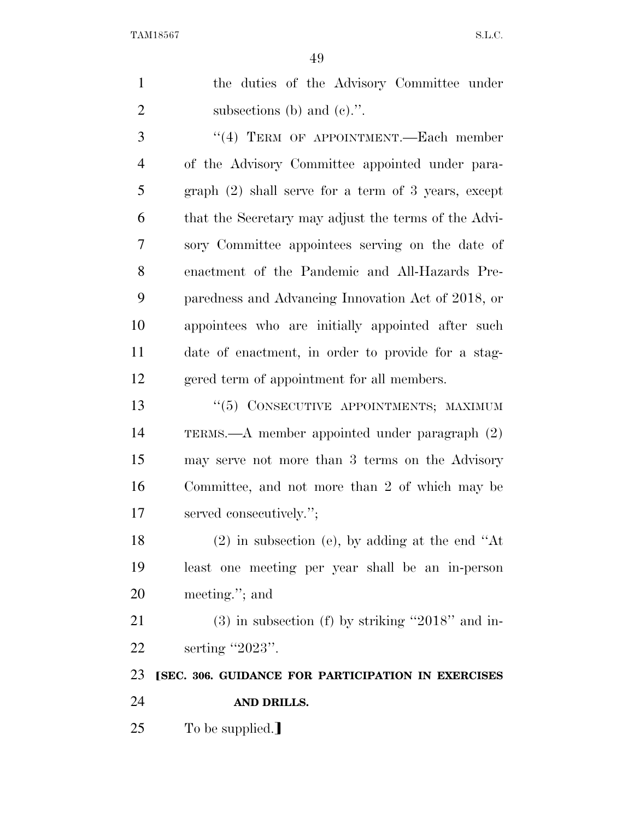| $\mathbf{1}$   | the duties of the Advisory Committee under            |
|----------------|-------------------------------------------------------|
| $\overline{2}$ | subsections (b) and (c).".                            |
| 3              | "(4) TERM OF APPOINTMENT.—Each member                 |
| $\overline{4}$ | of the Advisory Committee appointed under para-       |
| 5              | graph $(2)$ shall serve for a term of 3 years, except |
| 6              | that the Secretary may adjust the terms of the Advi-  |
| 7              | sory Committee appointees serving on the date of      |
| 8              | enactment of the Pandemic and All-Hazards Pre-        |
| 9              | paredness and Advancing Innovation Act of 2018, or    |
| 10             | appointees who are initially appointed after such     |
| 11             | date of enactment, in order to provide for a stag-    |
| 12             | gered term of appointment for all members.            |
| 13             | "(5) CONSECUTIVE APPOINTMENTS; MAXIMUM                |
| 14             | TERMS.— $A$ member appointed under paragraph $(2)$    |
| 15             | may serve not more than 3 terms on the Advisory       |
| 16             | Committee, and not more than 2 of which may be        |
| 17             | served consecutively.";                               |
| 18             | $(2)$ in subsection (e), by adding at the end "At     |
| 19             | least one meeting per year shall be an in-person      |
| 20             | meeting."; and                                        |
| 21             | $(3)$ in subsection (f) by striking "2018" and in-    |
| 22             | serting "2023".                                       |
| 23             | [SEC. 306. GUIDANCE FOR PARTICIPATION IN EXERCISES    |
| 24             | AND DRILLS.                                           |
| 25             | To be supplied.]                                      |
|                |                                                       |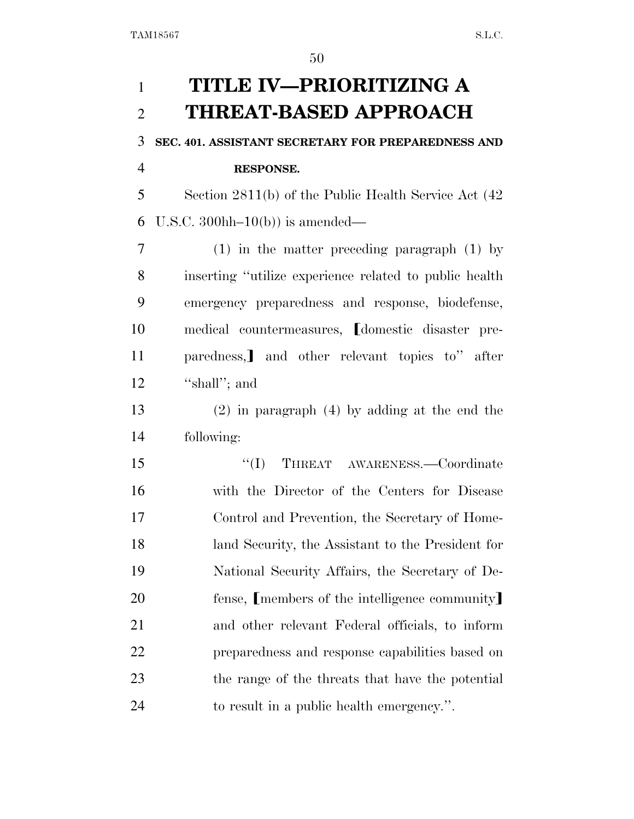# **TITLE IV—PRIORITIZING A THREAT-BASED APPROACH SEC. 401. ASSISTANT SECRETARY FOR PREPAREDNESS AND RESPONSE.**  Section 2811(b) of the Public Health Service Act (42 6 U.S.C. 300hh– $10(b)$  is amended— (1) in the matter preceding paragraph (1) by inserting ''utilize experience related to public health emergency preparedness and response, biodefense, 10 medical countermeasures, domestic disaster pre-11 paredness, and other relevant topics to" after 12 "shall"; and (2) in paragraph (4) by adding at the end the following: ''(I) THREAT AWARENESS.—Coordinate with the Director of the Centers for Disease Control and Prevention, the Secretary of Home- land Security, the Assistant to the President for National Security Affairs, the Secretary of De-20 fense, [members of the intelligence community] and other relevant Federal officials, to inform preparedness and response capabilities based on the range of the threats that have the potential to result in a public health emergency.''.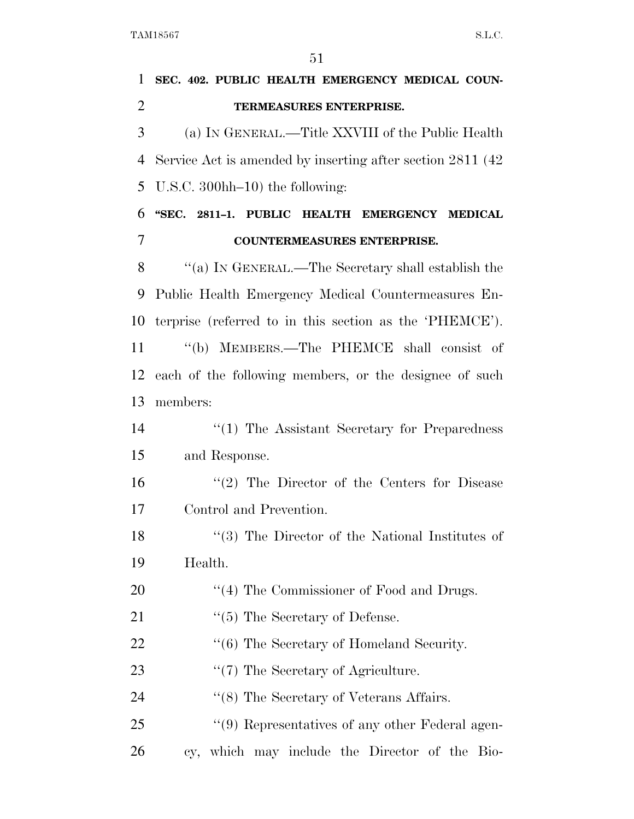| $\mathbf{1}$   | SEC. 402. PUBLIC HEALTH EMERGENCY MEDICAL COUN-             |
|----------------|-------------------------------------------------------------|
| $\overline{2}$ | TERMEASURES ENTERPRISE.                                     |
| 3              | (a) IN GENERAL.—Title XXVIII of the Public Health           |
| 4              | Service Act is amended by inserting after section 2811 (42) |
| 5              | U.S.C. 300hh $-10$ ) the following:                         |
| 6              | "SEC. 2811-1. PUBLIC HEALTH EMERGENCY MEDICAL               |
| 7              | <b>COUNTERMEASURES ENTERPRISE.</b>                          |
| 8              | "(a) IN GENERAL.—The Secretary shall establish the          |
| 9              | Public Health Emergency Medical Countermeasures En-         |
| 10             | terprise (referred to in this section as the 'PHEMCE').     |
| 11             | "(b) MEMBERS.—The PHEMCE shall consist of                   |
| 12             | each of the following members, or the designee of such      |
| 13             | members:                                                    |
| 14             | $\lq(1)$ The Assistant Secretary for Preparedness           |
| 15             | and Response.                                               |
| 16             | $\lq(2)$ The Director of the Centers for Disease            |
| 17             | Control and Prevention.                                     |
| 18             | $\lq(3)$ The Director of the National Institutes of         |
| 19             | Health.                                                     |
| 20             | $\lq(4)$ The Commissioner of Food and Drugs.                |
| 21             | $\lq(5)$ The Secretary of Defense.                          |
| 22             | "(6) The Secretary of Homeland Security.                    |
| 23             | $\lq(7)$ The Secretary of Agriculture.                      |
| 24             | $\cdot$ (8) The Secretary of Veterans Affairs.              |
| 25             | "(9) Representatives of any other Federal agen-             |
| 26             | cy, which may include the Director of the Bio-              |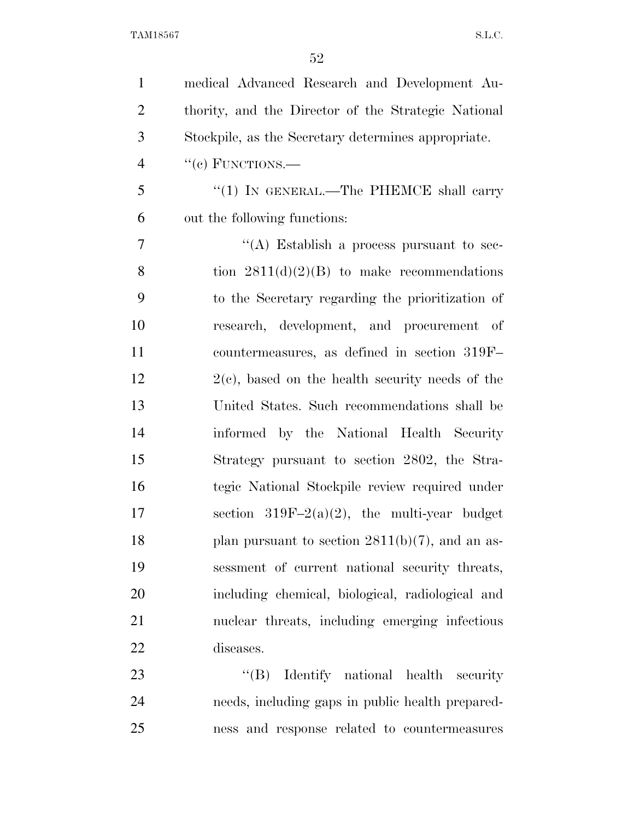| $\mathbf{1}$   | medical Advanced Research and Development Au-       |
|----------------|-----------------------------------------------------|
| $\overline{2}$ | thority, and the Director of the Strategic National |
| 3              | Stockpile, as the Secretary determines appropriate. |
| $\overline{4}$ | $``(e)$ FUNCTIONS.—                                 |
| 5              | "(1) IN GENERAL.—The PHEMCE shall carry             |
| 6              | out the following functions:                        |
| 7              | "(A) Establish a process pursuant to sec-           |
| 8              | tion $2811(d)(2)(B)$ to make recommendations        |
| 9              | to the Secretary regarding the prioritization of    |
| 10             | research, development, and procurement of           |
| 11             | countermeasures, as defined in section 319F-        |
| 12             | $2(e)$ , based on the health security needs of the  |
| 13             | United States. Such recommendations shall be        |
| 14             | informed by the National Health Security            |
| 15             | Strategy pursuant to section 2802, the Stra-        |
| 16             | tegic National Stockpile review required under      |
| 17             | section $319F-2(a)(2)$ , the multi-year budget      |
| 18             | plan pursuant to section $2811(b)(7)$ , and an as-  |
| 19             | sessment of current national security threats,      |
| 20             | including chemical, biological, radiological and    |
| 21             | nuclear threats, including emerging infectious      |
| 22             | diseases.                                           |
| 23             | $\lq\lq (B)$ Identify national health<br>security   |
| 24             | needs, including gaps in public health prepared-    |
| 25             | ness and response related to countermeasures        |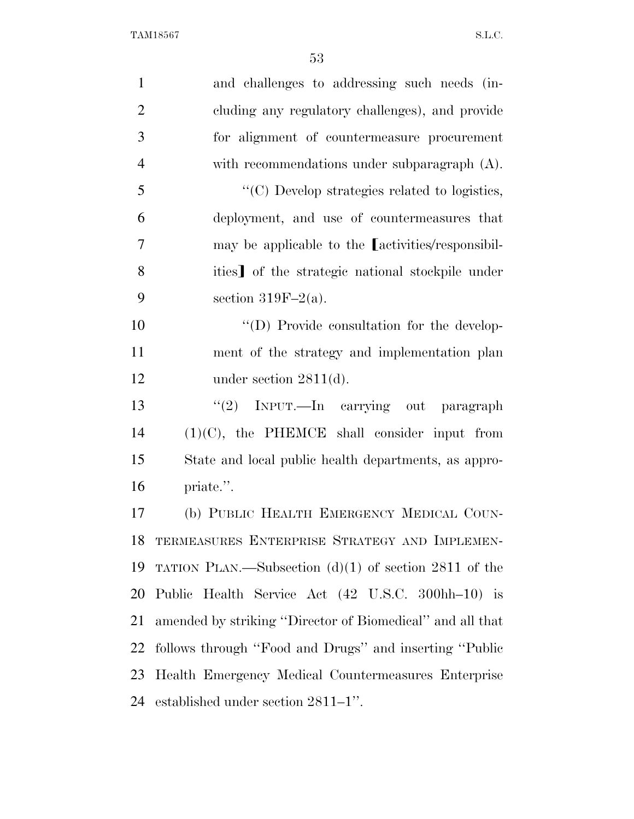| $\mathbf{1}$   | and challenges to addressing such needs (in-                       |
|----------------|--------------------------------------------------------------------|
| $\overline{2}$ | cluding any regulatory challenges), and provide                    |
| 3              | for alignment of countermeasure procurement                        |
| $\overline{4}$ | with recommendations under subparagraph $(A)$ .                    |
| 5              | $\lq\lq$ <sup>c</sup> (C) Develop strategies related to logistics, |
| 6              | deployment, and use of countermeasures that                        |
| $\overline{7}$ | may be applicable to the <i>activities</i> /responsibil-           |
| 8              | ities] of the strategic national stockpile under                   |
| 9              | section 319F-2(a).                                                 |
| 10             | "(D) Provide consultation for the develop-                         |
| 11             | ment of the strategy and implementation plan                       |
| 12             | under section $2811(d)$ .                                          |
| 13             | "(2) INPUT.—In carrying out paragraph                              |
| 14             | $(1)(C)$ , the PHEMCE shall consider input from                    |
| 15             | State and local public health departments, as appro-               |
| 16             | priate.".                                                          |
| 17             | (b) PUBLIC HEALTH EMERGENCY MEDICAL COUN-                          |
| 18             | TERMEASURES ENTERPRISE STRATEGY AND IMPLEMEN-                      |
| 19             | TATION PLAN.—Subsection $(d)(1)$ of section 2811 of the            |
| 20             | Public Health Service Act (42 U.S.C. 300hh-10) is                  |
| 21             | amended by striking "Director of Biomedical" and all that          |
| 22             | follows through "Food and Drugs" and inserting "Public             |
| 23             | Health Emergency Medical Countermeasures Enterprise                |
|                | 24 established under section 2811–1".                              |
|                |                                                                    |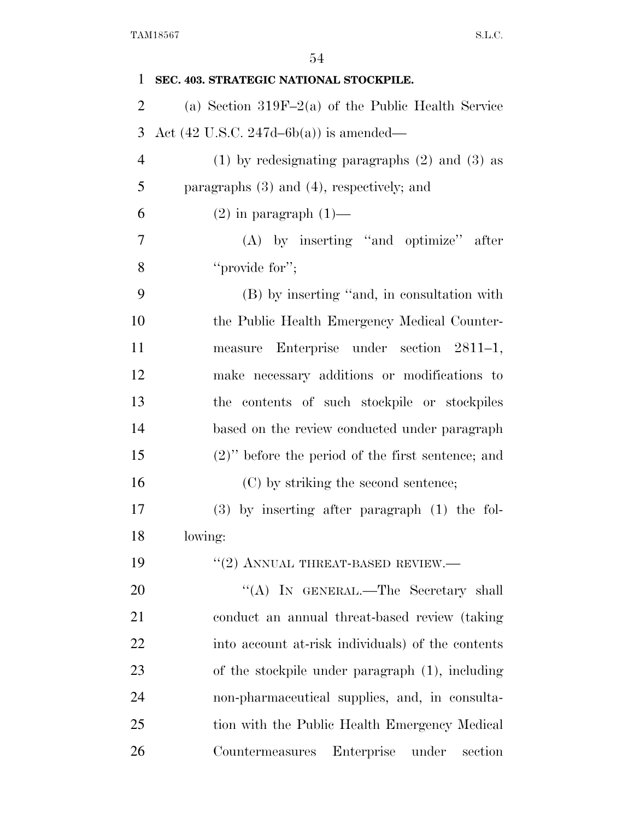| $\mathbf{1}$   | SEC. 403. STRATEGIC NATIONAL STOCKPILE.              |
|----------------|------------------------------------------------------|
| $\overline{2}$ | (a) Section $319F-2(a)$ of the Public Health Service |
| 3              | Act $(42 \text{ U.S.C. } 247d - 6b(a))$ is amended—  |
| $\overline{4}$ | $(1)$ by redesignating paragraphs $(2)$ and $(3)$ as |
| 5              | paragraphs $(3)$ and $(4)$ , respectively; and       |
| 6              | $(2)$ in paragraph $(1)$ —                           |
| 7              | $(A)$ by inserting "and optimize" after              |
| 8              | "provide for";                                       |
| 9              | (B) by inserting "and, in consultation with          |
| 10             | the Public Health Emergency Medical Counter-         |
| 11             | measure Enterprise under section 2811-1,             |
| 12             | make necessary additions or modifications to         |
| 13             | the contents of such stockpile or stockpiles         |
| 14             | based on the review conducted under paragraph        |
| 15             | $(2)$ " before the period of the first sentence; and |
| 16             | (C) by striking the second sentence;                 |
| 17             | $(3)$ by inserting after paragraph $(1)$ the fol-    |
| 18             | lowing:                                              |
| 19             | $"(2)$ ANNUAL THREAT-BASED REVIEW.—                  |
| 20             | "(A) IN GENERAL.—The Secretary shall                 |
| 21             | conduct an annual threat-based review (taking        |
| 22             | into account at-risk individuals) of the contents    |
| 23             | of the stockpile under paragraph (1), including      |
| 24             | non-pharmaceutical supplies, and, in consulta-       |
| 25             | tion with the Public Health Emergency Medical        |
| 26             | Enterprise<br>section<br>Countermeasures<br>under    |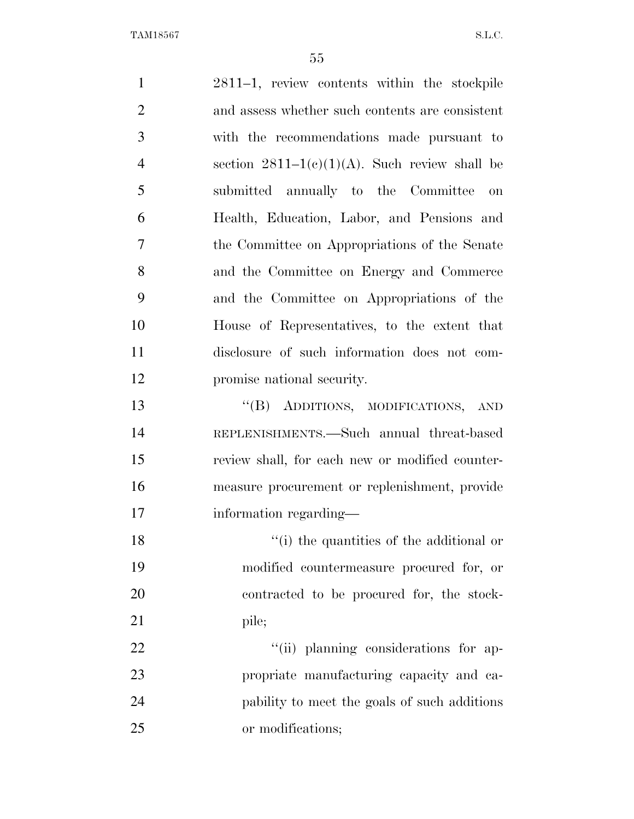2811–1, review contents within the stockpile and assess whether such contents are consistent with the recommendations made pursuant to 4 section  $2811-1(c)(1)(A)$ . Such review shall be submitted annually to the Committee on Health, Education, Labor, and Pensions and the Committee on Appropriations of the Senate and the Committee on Energy and Commerce and the Committee on Appropriations of the House of Representatives, to the extent that disclosure of such information does not com- promise national security. ''(B) ADDITIONS, MODIFICATIONS, AND REPLENISHMENTS.—Such annual threat-based review shall, for each new or modified counter- measure procurement or replenishment, provide information regarding— 18 ''(i) the quantities of the additional or modified countermeasure procured for, or contracted to be procured for, the stock-21 pile;  $\frac{1}{1}$   $\frac{1}{1}$  planning considerations for ap- propriate manufacturing capacity and ca- pability to meet the goals of such additions or modifications;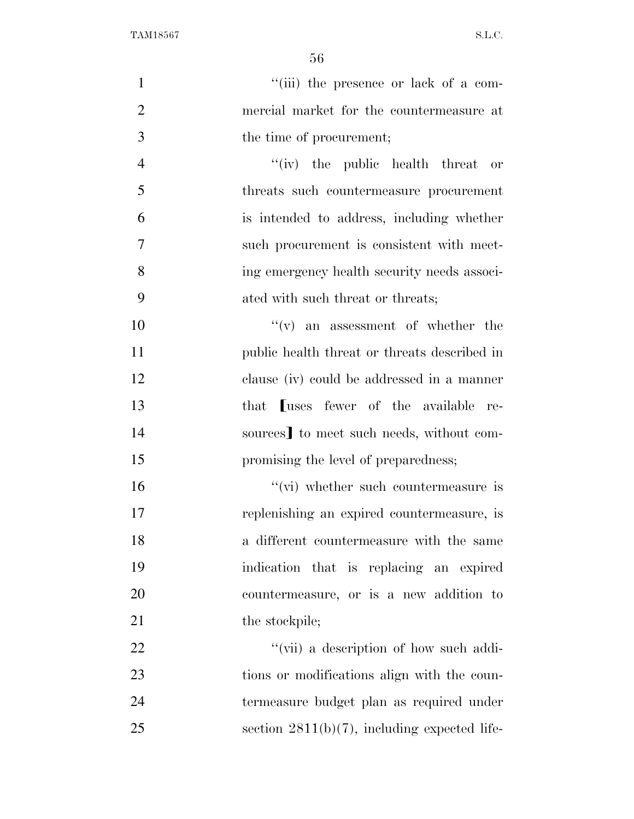56

 $''(iii)$  the presence or lack of a com- mercial market for the countermeasure at the time of procurement; 4 ''(iv) the public health threat or threats such countermeasure procurement is intended to address, including whether such procurement is consistent with meet- ing emergency health security needs associ- ated with such threat or threats;  $''(v)$  an assessment of whether the public health threat or threats described in clause (iv) could be addressed in a manner 13 that **Luses fewer of the available re-**14 sources] to meet such needs, without com-15 promising the level of preparedness;

 $''(vi)$  whether such countermeasure is replenishing an expired countermeasure, is a different countermeasure with the same indication that is replacing an expired countermeasure, or is a new addition to 21 the stockpile;

 $\frac{((\text{vii}) \cdot \text{a description of how such addi-1})}{((\text{viii}) \cdot \text{a description of how such addi-1})}$ 23 tions or modifications align with the coun- termeasure budget plan as required under section 2811(b)(7), including expected life-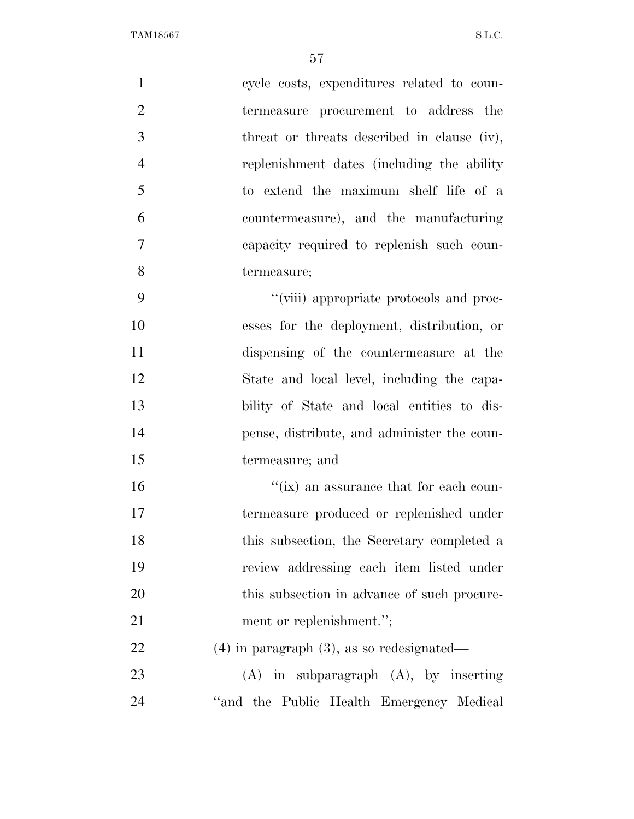| $\mathbf{1}$   | cycle costs, expenditures related to coun-     |
|----------------|------------------------------------------------|
| $\overline{2}$ | termeasure procurement to address the          |
| 3              | threat or threats described in clause (iv),    |
| $\overline{4}$ | replenishment dates (including the ability     |
| 5              | to extend the maximum shelf life of a          |
| 6              | countermeasure), and the manufacturing         |
| $\tau$         | capacity required to replenish such coun-      |
| 8              | termeasure;                                    |
| 9              | "(viii) appropriate protocols and proc-        |
| 10             | esses for the deployment, distribution, or     |
| 11             | dispensing of the countermeasure at the        |
| 12             | State and local level, including the capa-     |
| 13             | bility of State and local entities to dis-     |
| 14             | pense, distribute, and administer the coun-    |
| 15             | termeasure; and                                |
| 16             | $\lq\lq$ (ix) an assurance that for each coun- |
| 17             | termeasure produced or replenished under       |
| 18             | this subsection, the Secretary completed a     |
| 19             | review addressing each item listed under       |
| 20             | this subsection in advance of such procure-    |
| 21             | ment or replenishment.";                       |
| 22             | $(4)$ in paragraph $(3)$ , as so redesignated— |
| 23             | $(A)$ in subparagraph $(A)$ , by inserting     |
| 24             | "and the Public Health Emergency Medical       |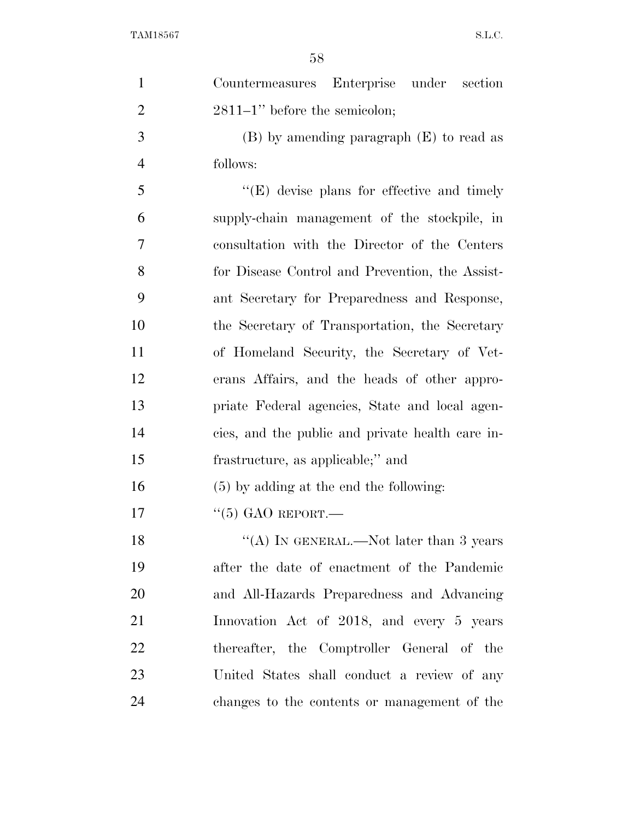| $\mathbf{1}$   | Countermeasures Enterprise under section           |
|----------------|----------------------------------------------------|
| $\overline{2}$ | $2811-1$ " before the semicolon;                   |
| 3              | $(B)$ by amending paragraph $(E)$ to read as       |
| $\overline{4}$ | follows:                                           |
| 5              | $\lq\lq$ (E) devise plans for effective and timely |
| 6              | supply-chain management of the stockpile, in       |
| 7              | consultation with the Director of the Centers      |
| 8              | for Disease Control and Prevention, the Assist-    |
| 9              | ant Secretary for Preparedness and Response,       |
| 10             | the Secretary of Transportation, the Secretary     |
| 11             | of Homeland Security, the Secretary of Vet-        |
| 12             | erans Affairs, and the heads of other appro-       |
| 13             | priate Federal agencies, State and local agen-     |
| 14             | cies, and the public and private health care in-   |
| 15             | frastructure, as applicable;" and                  |
| 16             | $(5)$ by adding at the end the following:          |
| 17             | $\cdot$ (5) GAO REPORT.—                           |
| 18             | "(A) IN GENERAL.—Not later than 3 years            |
| 19             | after the date of enactment of the Pandemic        |
| 20             | and All-Hazards Preparedness and Advancing         |
| 21             | Innovation Act of 2018, and every 5 years          |
| 22             | thereafter, the Comptroller General of the         |
| 23             | United States shall conduct a review of any        |
| 24             | changes to the contents or management of the       |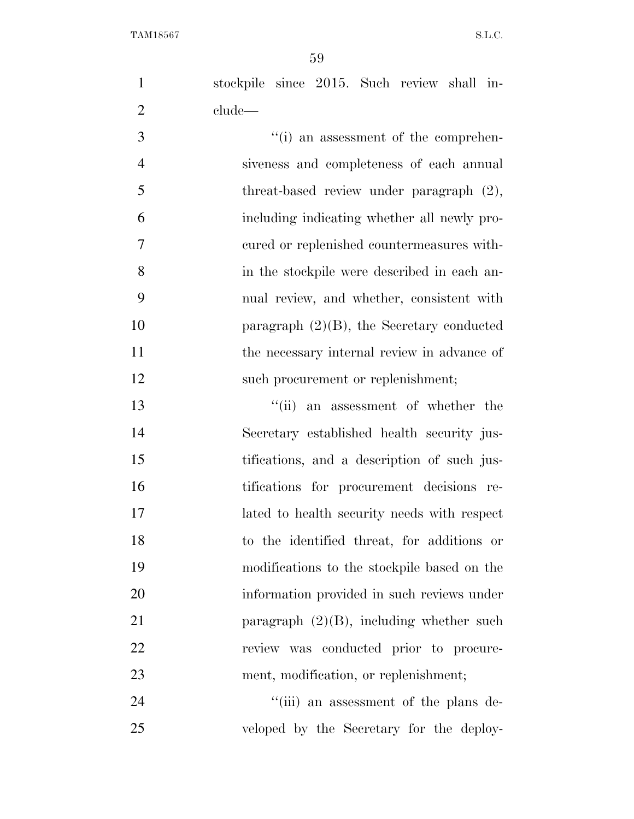stockpile since 2015. Such review shall in-clude—

3  $\frac{1}{10}$  an assessment of the comprehen- siveness and completeness of each annual 5 threat-based review under paragraph  $(2)$ , including indicating whether all newly pro- cured or replenished countermeasures with- in the stockpile were described in each an- nual review, and whether, consistent with 10 paragraph (2)(B), the Secretary conducted 11 the necessary internal review in advance of 12 such procurement or replenishment;

13 ''(ii) an assessment of whether the Secretary established health security jus- tifications, and a description of such jus- tifications for procurement decisions re- lated to health security needs with respect to the identified threat, for additions or modifications to the stockpile based on the information provided in such reviews under 21 paragraph (2)(B), including whether such review was conducted prior to procure-ment, modification, or replenishment;

24 ''(iii) an assessment of the plans de-veloped by the Secretary for the deploy-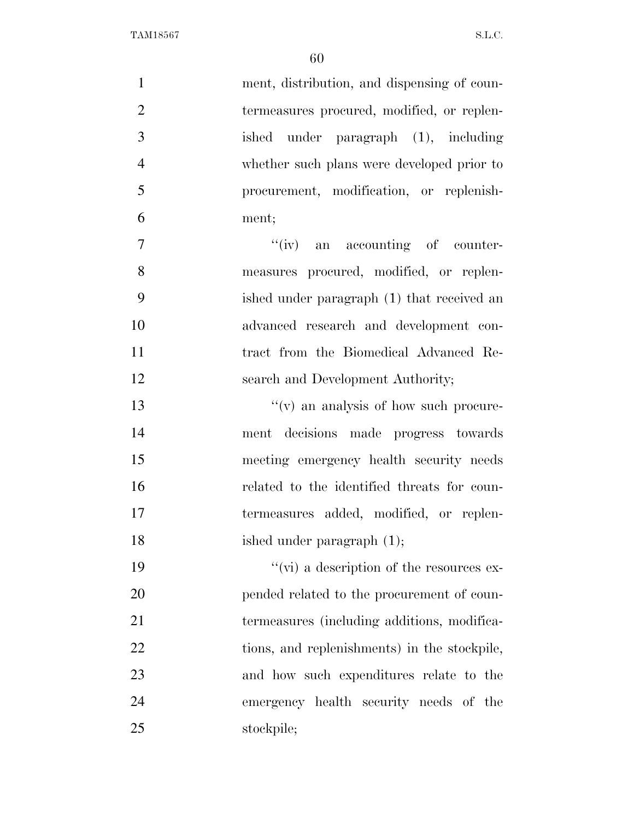| $\mathbf{1}$   | ment, distribution, and dispensing of coun-      |
|----------------|--------------------------------------------------|
| $\overline{2}$ | termeasures procured, modified, or replen-       |
| 3              | under paragraph (1), including<br>ished          |
| $\overline{4}$ | whether such plans were developed prior to       |
| 5              | procurement, modification, or replenish-         |
| 6              | ment;                                            |
| $\overline{7}$ | "(iv) an accounting of counter-                  |
| 8              | measures procured, modified, or replen-          |
| 9              | ished under paragraph (1) that received an       |
| 10             | advanced research and development con-           |
| 11             | tract from the Biomedical Advanced Re-           |
| 12             | search and Development Authority;                |
| 13             | $f'(v)$ an analysis of how such procure-         |
| 14             | ment decisions made progress towards             |
| 15             | meeting emergency health security needs          |
| 16             | related to the identified threats for coun-      |
| 17             | termeasures added, modified, or replen-          |
| 18             | ished under paragraph (1);                       |
| 19             | $\lq\lq$ (vi) a description of the resources ex- |
| 20             | pended related to the procurement of coun-       |
| 21             | termeasures (including additions, modifica-      |
| 22             | tions, and replenishments) in the stockpile,     |
| 23             | and how such expenditures relate to the          |
| 24             | emergency health security needs of the           |
| 25             | stockpile;                                       |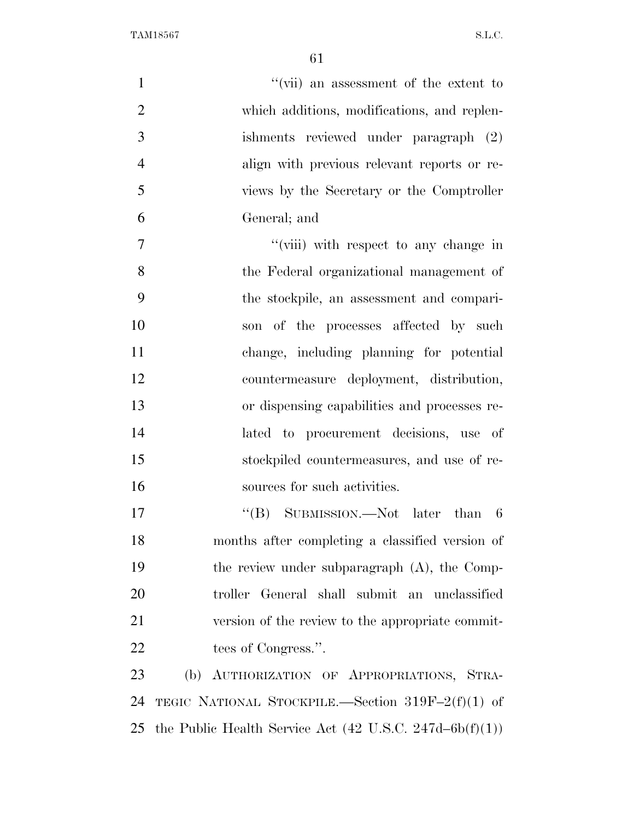| $\mathbf{1}$<br>"(vii) an assessment of the extent to                                  |
|----------------------------------------------------------------------------------------|
| $\overline{2}$<br>which additions, modifications, and replen-                          |
| 3<br>ishments reviewed under paragraph (2)                                             |
| $\overline{4}$<br>align with previous relevant reports or re-                          |
| 5<br>views by the Secretary or the Comptroller                                         |
| 6<br>General; and                                                                      |
| $\overline{7}$<br>"(viii) with respect to any change in                                |
| 8<br>the Federal organizational management of                                          |
| 9<br>the stockpile, an assessment and compari-                                         |
| 10<br>son of the processes affected by such                                            |
| 11<br>change, including planning for potential                                         |
| 12<br>countermeasure deployment, distribution,                                         |
| 13<br>or dispensing capabilities and processes re-                                     |
| 14<br>lated to procurement decisions, use of                                           |
| 15<br>stockpiled countermeasures, and use of re-                                       |
| 16<br>sources for such activities.                                                     |
| 17<br>"(B) SUBMISSION.—Not later than 6                                                |
| 18<br>months after completing a classified version of                                  |
| 19<br>the review under subparagraph $(A)$ , the Comp-                                  |
| 20<br>troller General shall submit an unclassified                                     |
| 21<br>version of the review to the appropriate commit-                                 |
| 22<br>tees of Congress.".                                                              |
| 23<br>(b) AUTHORIZATION OF APPROPRIATIONS, STRA-                                       |
| 24<br>TEGIC NATIONAL STOCKPILE.—Section $319F-2(f)(1)$ of                              |
| the Public Health Service Act $(42 \text{ U.S.C. } 247\text{d}-6\text{b(f)}(1))$<br>25 |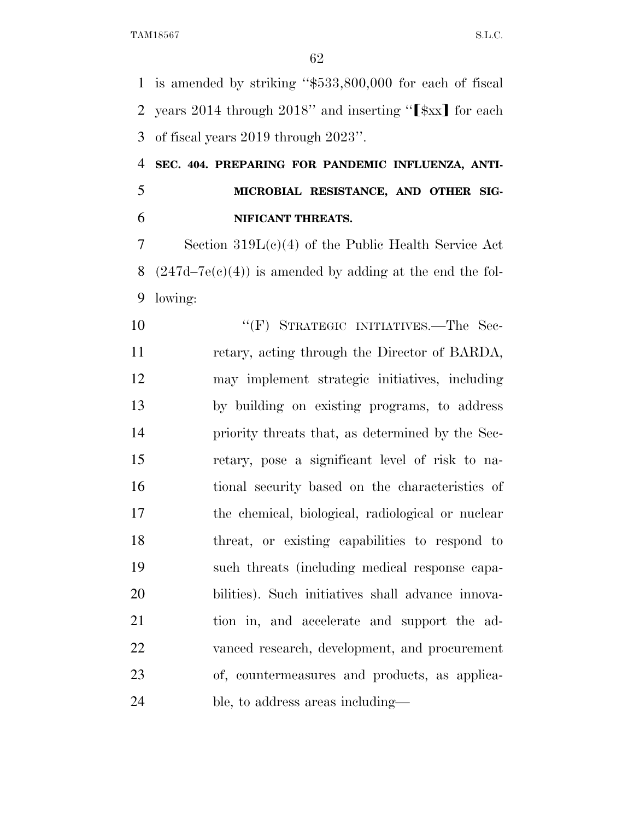is amended by striking ''\$533,800,000 for each of fiscal 2 years 2014 through 2018" and inserting " $\left[\frac{1}{2}x\right]$  for each of fiscal years 2019 through 2023''.

 **SEC. 404. PREPARING FOR PANDEMIC INFLUENZA, ANTI- MICROBIAL RESISTANCE, AND OTHER SIG-NIFICANT THREATS.** 

 Section 319L(c)(4) of the Public Health Service Act 8  $(247d-7e(c)(4))$  is amended by adding at the end the fol-lowing:

10 "'(F) STRATEGIC INITIATIVES.—The Sec- retary, acting through the Director of BARDA, may implement strategic initiatives, including by building on existing programs, to address priority threats that, as determined by the Sec- retary, pose a significant level of risk to na- tional security based on the characteristics of the chemical, biological, radiological or nuclear threat, or existing capabilities to respond to such threats (including medical response capa- bilities). Such initiatives shall advance innova- tion in, and accelerate and support the ad- vanced research, development, and procurement of, countermeasures and products, as applica-ble, to address areas including—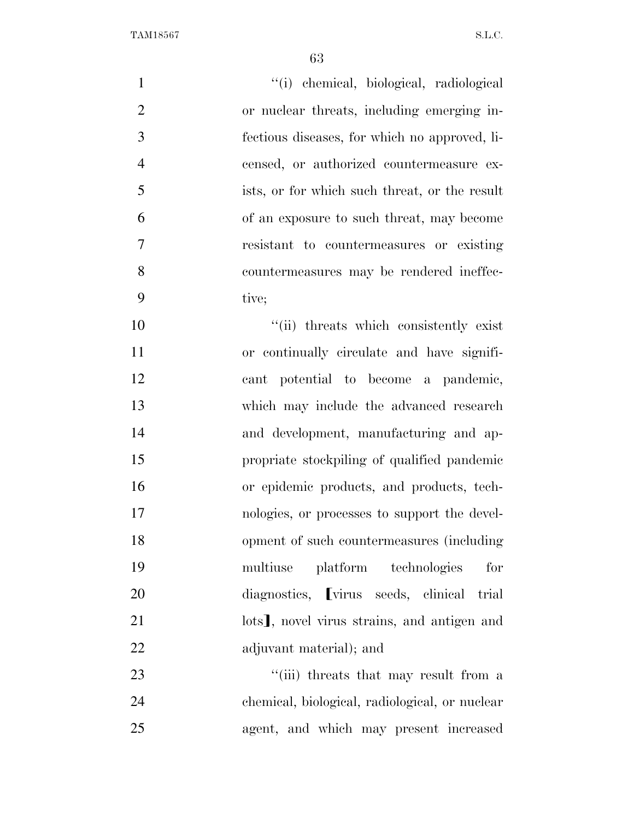''(i) chemical, biological, radiological or nuclear threats, including emerging in- fectious diseases, for which no approved, li- censed, or authorized countermeasure ex- ists, or for which such threat, or the result of an exposure to such threat, may become resistant to countermeasures or existing countermeasures may be rendered ineffec- tive;  $\frac{1}{10}$  threats which consistently exist or continually circulate and have signifi-

 cant potential to become a pandemic, which may include the advanced research and development, manufacturing and ap- propriate stockpiling of qualified pandemic or epidemic products, and products, tech- nologies, or processes to support the devel- opment of such countermeasures (including multiuse platform technologies for 20 diagnostics, virus seeds, clinical trial 21 lots<sup>1</sup>, novel virus strains, and antigen and adjuvant material); and

23 ''(iii) threats that may result from a chemical, biological, radiological, or nuclear agent, and which may present increased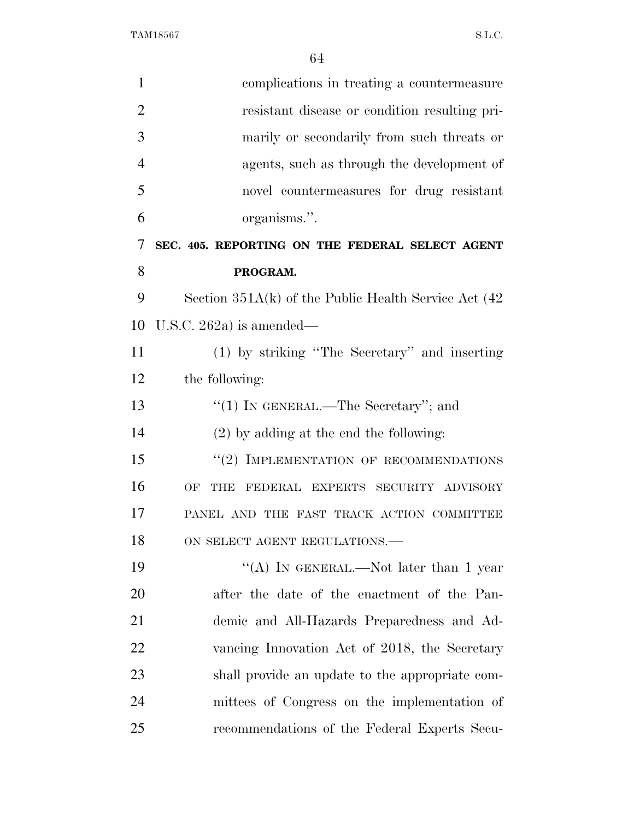| $\mathbf{1}$   | complications in treating a countermeasure                |
|----------------|-----------------------------------------------------------|
| $\overline{2}$ | resistant disease or condition resulting pri-             |
| 3              | marily or secondarily from such threats or                |
| 4              | agents, such as through the development of                |
| 5              | novel countermeasures for drug resistant                  |
| 6              | organisms.".                                              |
| 7              | SEC. 405. REPORTING ON THE FEDERAL SELECT AGENT           |
| 8              | PROGRAM.                                                  |
| 9              | Section $351A(k)$ of the Public Health Service Act $(42)$ |
| 10             | U.S.C. 262a) is amended—                                  |
| 11             | (1) by striking "The Secretary" and inserting             |
| 12             | the following:                                            |
| 13             | "(1) IN GENERAL.—The Secretary"; and                      |
| 14             | $(2)$ by adding at the end the following:                 |
| 15             | "(2) IMPLEMENTATION OF RECOMMENDATIONS                    |
| 16             | OF<br><b>THE</b><br>FEDERAL EXPERTS SECURITY ADVISORY     |
| 17             | PANEL AND THE FAST TRACK ACTION COMMITTEE                 |
| 18             | ON SELECT AGENT REGULATIONS.-                             |
| 19             | "(A) IN GENERAL.—Not later than 1 year                    |
| 20             | after the date of the enactment of the Pan-               |
| 21             | demic and All-Hazards Preparedness and Ad-                |
| 22             | vancing Innovation Act of 2018, the Secretary             |
| 23             | shall provide an update to the appropriate com-           |
| 24             | mittees of Congress on the implementation of              |
| 25             | recommendations of the Federal Experts Secu-              |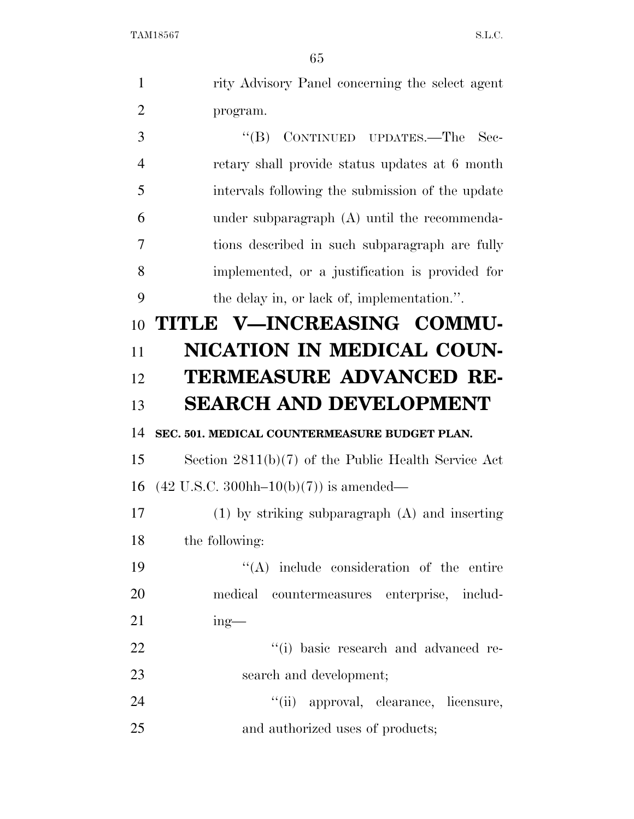|                | υə                                                                  |
|----------------|---------------------------------------------------------------------|
| $\mathbf{1}$   | rity Advisory Panel concerning the select agent                     |
| $\overline{2}$ | program.                                                            |
| 3              | $\lq\lq (B)$<br>CONTINUED UPDATES.—The<br>Sec-                      |
| $\overline{4}$ | retary shall provide status updates at 6 month                      |
| 5              | intervals following the submission of the update                    |
| 6              | under subparagraph (A) until the recommenda-                        |
| 7              | tions described in such subparagraph are fully                      |
| 8              | implemented, or a justification is provided for                     |
| 9              | the delay in, or lack of, implementation.".                         |
| 10             | TITLE V-INCREASING COMMU-                                           |
| 11             | NICATION IN MEDICAL COUN-                                           |
| 12             | <b>TERMEASURE ADVANCED RE-</b>                                      |
| 13             | <b>SEARCH AND DEVELOPMENT</b>                                       |
| 14             | SEC. 501. MEDICAL COUNTERMEASURE BUDGET PLAN.                       |
| 15             | Section $2811(b)(7)$ of the Public Health Service Act               |
| 16             | $(42 \text{ U.S.C. } 300 \text{hh} - 10 \text{(b)}(7))$ is amended— |
| 17             | $(1)$ by striking subparagraph $(A)$ and inserting                  |
| 18             | the following:                                                      |
| 19             | $\lq\lq$ include consideration of the entire                        |
| 20             | medical countermeasures enterprise, includ-                         |
| 21             | $ing$ —                                                             |
| 22             | "(i) basic research and advanced re-                                |
| 23             | search and development;                                             |
| 24             | "(ii) approval, clearance, licensure,                               |
| 25             | and authorized uses of products;                                    |
|                |                                                                     |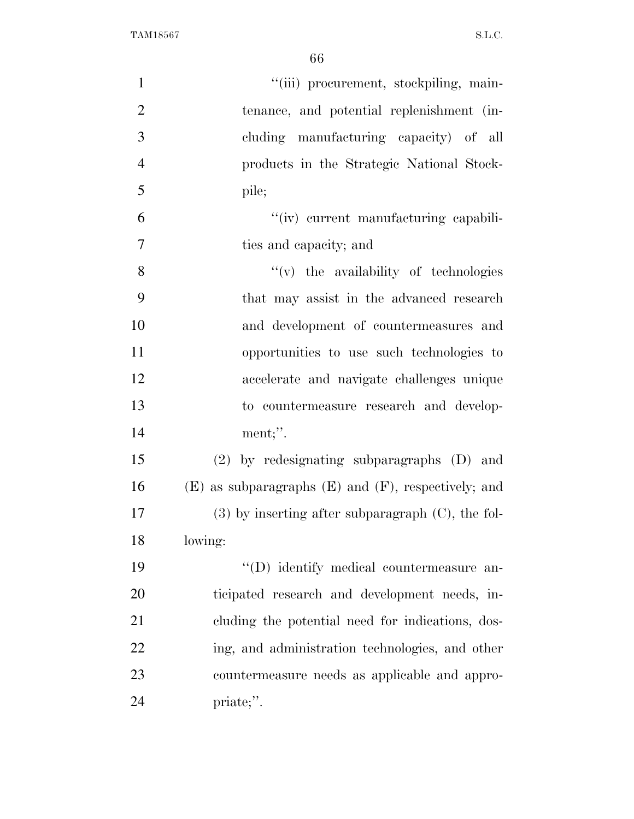| $\mathbf{1}$   | "(iii) procurement, stockpiling, main-                     |
|----------------|------------------------------------------------------------|
| $\overline{2}$ | tenance, and potential replenishment (in-                  |
| 3              | cluding manufacturing capacity) of all                     |
| $\overline{4}$ | products in the Strategic National Stock-                  |
| 5              | pile;                                                      |
| 6              | "(iv) current manufacturing capabili-                      |
| 7              | ties and capacity; and                                     |
| 8              | $f'(v)$ the availability of technologies                   |
| 9              | that may assist in the advanced research                   |
| 10             | and development of countermeasures and                     |
| 11             | opportunities to use such technologies to                  |
| 12             | accelerate and navigate challenges unique                  |
| 13             | to countermeasure research and develop-                    |
| 14             | ment;".                                                    |
| 15             | (2) by redesignating subparagraphs (D) and                 |
| 16             | $(E)$ as subparagraphs $(E)$ and $(F)$ , respectively; and |
| 17             | $(3)$ by inserting after subparagraph $(C)$ , the fol-     |
| 18             | lowing:                                                    |
| 19             | "(D) identify medical countermeasure an-                   |
| 20             | ticipated research and development needs, in-              |
| 21             | cluding the potential need for indications, dos-           |
| 22             | ing, and administration technologies, and other            |
| 23             | countermeasure needs as applicable and appro-              |
| 24             | priate;".                                                  |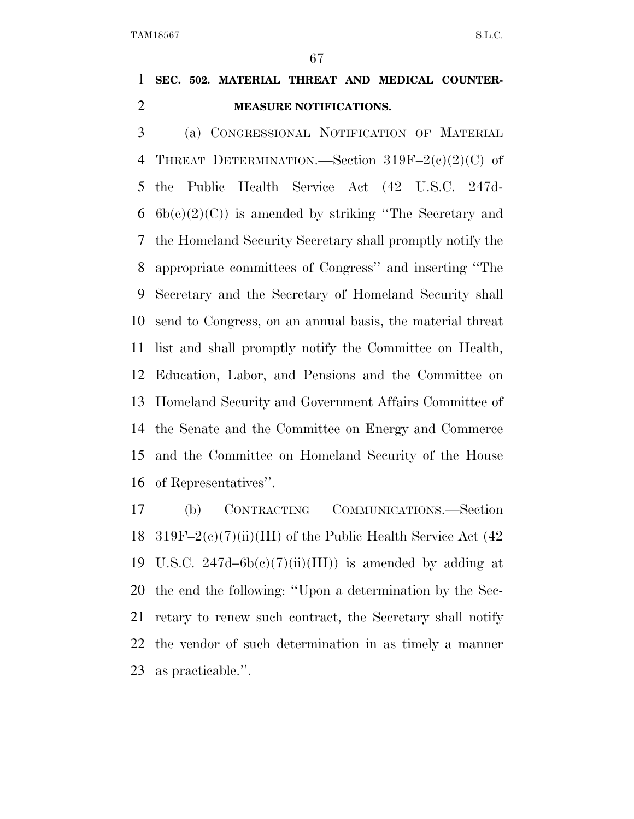**SEC. 502. MATERIAL THREAT AND MEDICAL COUNTER-MEASURE NOTIFICATIONS.** 

 (a) CONGRESSIONAL NOTIFICATION OF MATERIAL THREAT DETERMINATION.—Section 319F–2(c)(2)(C) of the Public Health Service Act (42 U.S.C. 247d- $6b(c)(2)(C)$  is amended by striking "The Secretary and the Homeland Security Secretary shall promptly notify the appropriate committees of Congress'' and inserting ''The Secretary and the Secretary of Homeland Security shall send to Congress, on an annual basis, the material threat list and shall promptly notify the Committee on Health, Education, Labor, and Pensions and the Committee on Homeland Security and Government Affairs Committee of the Senate and the Committee on Energy and Commerce and the Committee on Homeland Security of the House of Representatives''.

 (b) CONTRACTING COMMUNICATIONS.—Section 18 319F–2(c)(7)(ii)(III) of the Public Health Service Act  $(42)$ 19 U.S.C.  $247d-6b(e)(7)(ii)(III)$  is amended by adding at the end the following: ''Upon a determination by the Sec- retary to renew such contract, the Secretary shall notify the vendor of such determination in as timely a manner as practicable.''.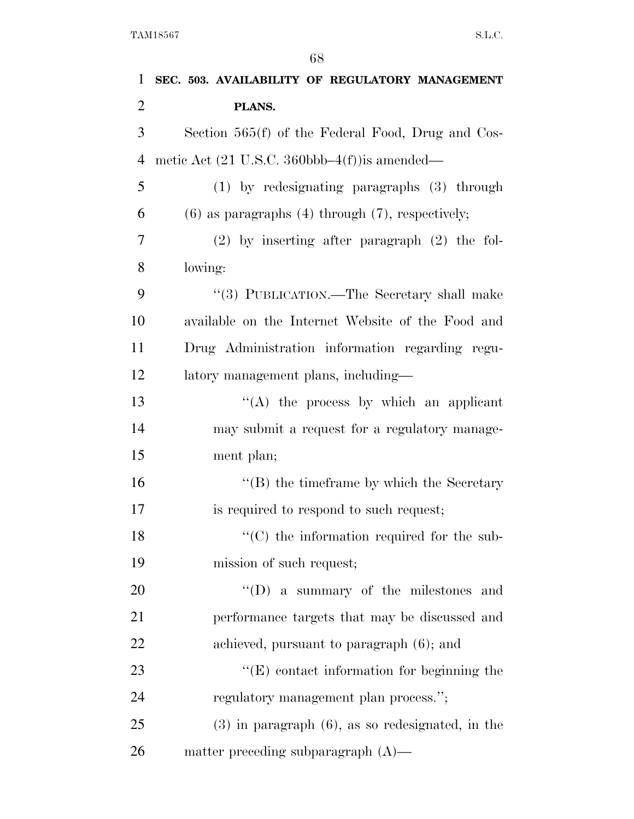| $\mathbf 1$    | SEC. 503. AVAILABILITY OF REGULATORY MANAGEMENT                    |
|----------------|--------------------------------------------------------------------|
| $\overline{2}$ | PLANS.                                                             |
| 3              | Section $565(f)$ of the Federal Food, Drug and Cos-                |
| 4              | metic Act $(21 \text{ U.S.C. } 360 \text{bbb} - 4(f))$ is amended— |
| 5              | (1) by redesignating paragraphs (3) through                        |
| 6              | $(6)$ as paragraphs $(4)$ through $(7)$ , respectively;            |
| 7              | $(2)$ by inserting after paragraph $(2)$ the fol-                  |
| 8              | lowing:                                                            |
| 9              | "(3) PUBLICATION.—The Secretary shall make                         |
| 10             | available on the Internet Website of the Food and                  |
| 11             | Drug Administration information regarding regu-                    |
| 12             | latory management plans, including—                                |
| 13             | $\lq\lq$ the process by which an applicant                         |
| 14             | may submit a request for a regulatory manage-                      |
| 15             | ment plan;                                                         |
| 16             | $\lq\lq$ the time frame by which the Secretary                     |
| 17             | is required to respond to such request;                            |
| 18             | $\lq\lq$ (C) the information required for the sub-                 |
| 19             | mission of such request;                                           |
| 20             | $\lq\lq$ (D) a summary of the milestones and                       |
| 21             | performance targets that may be discussed and                      |
| 22             | achieved, pursuant to paragraph (6); and                           |
| 23             | $\lq\lq$ contact information for beginning the                     |
| 24             | regulatory management plan process.";                              |
| 25             | $(3)$ in paragraph $(6)$ , as so redesignated, in the              |
| 26             | matter preceding subparagraph $(A)$ —                              |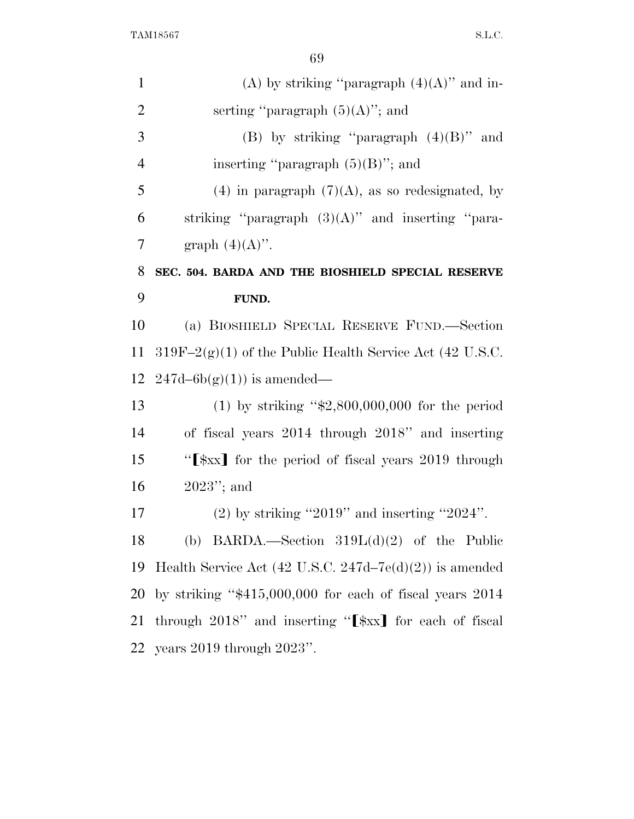| $\mathbf{1}$   | (A) by striking "paragraph $(4)(A)$ " and in-                           |
|----------------|-------------------------------------------------------------------------|
| $\overline{2}$ | serting "paragraph $(5)(A)$ "; and                                      |
| 3              | (B) by striking "paragraph $(4)(B)$ " and                               |
| $\overline{4}$ | inserting "paragraph $(5)(B)$ "; and                                    |
| 5              | (4) in paragraph $(7)(A)$ , as so redesignated, by                      |
| 6              | striking "paragraph $(3)(A)$ " and inserting "para-                     |
| 7              | graph $(4)(A)$ ".                                                       |
| 8              | SEC. 504. BARDA AND THE BIOSHIELD SPECIAL RESERVE                       |
| 9              | FUND.                                                                   |
| 10             | (a) BIOSHIELD SPECIAL RESERVE FUND.—Section                             |
| 11             | $319F-2(g)(1)$ of the Public Health Service Act (42 U.S.C.              |
| 12             | $247d-6b(g)(1)$ is amended—                                             |
| 13             | (1) by striking " $$2,800,000,000$ for the period                       |
| 14             | of fiscal years 2014 through 2018" and inserting                        |
| 15             | "[\frac{\frac{xx}}\$\left\] for the period of fiscal years 2019 through |
| 16             | $2023$ "; and                                                           |
| 17             | $(2)$ by striking "2019" and inserting "2024".                          |
| 18             | (b) BARDA.—Section $319L(d)(2)$ of the Public                           |
| 19             | Health Service Act $(42 \text{ U.S.C. } 247d-7e(d)(2))$ is amended      |
| 20             | by striking " $$415,000,000$ for each of fiscal years 2014              |
| 21             | through 2018" and inserting "[ $\frac{1}{2}$ ] for each of fiscal       |
| 22             | years $2019$ through $2023$ ".                                          |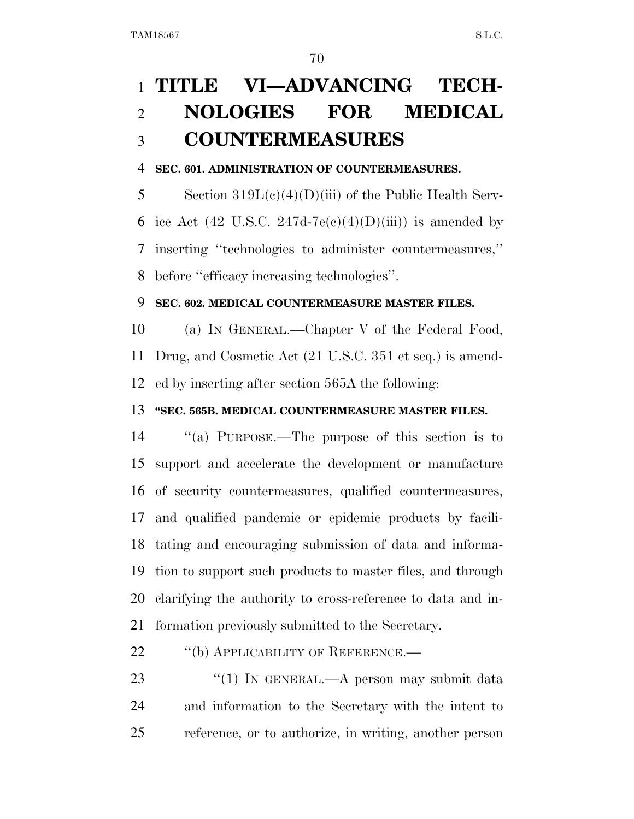## **TITLE VI—ADVANCING TECH- NOLOGIES FOR MEDICAL COUNTERMEASURES**

#### **SEC. 601. ADMINISTRATION OF COUNTERMEASURES.**

 Section 319L(c)(4)(D)(iii) of the Public Health Serv-6 ice Act (42 U.S.C. 247d-7e(c)(4)(D)(iii)) is amended by inserting ''technologies to administer countermeasures,'' before ''efficacy increasing technologies''.

#### **SEC. 602. MEDICAL COUNTERMEASURE MASTER FILES.**

 (a) IN GENERAL.—Chapter V of the Federal Food, Drug, and Cosmetic Act (21 U.S.C. 351 et seq.) is amend-ed by inserting after section 565A the following:

#### **''SEC. 565B. MEDICAL COUNTERMEASURE MASTER FILES.**

 ''(a) PURPOSE.—The purpose of this section is to support and accelerate the development or manufacture of security countermeasures, qualified countermeasures, and qualified pandemic or epidemic products by facili- tating and encouraging submission of data and informa- tion to support such products to master files, and through clarifying the authority to cross-reference to data and in-formation previously submitted to the Secretary.

#### 22 "(b) APPLICABILITY OF REFERENCE.—

23 "(1) IN GENERAL.—A person may submit data and information to the Secretary with the intent to reference, or to authorize, in writing, another person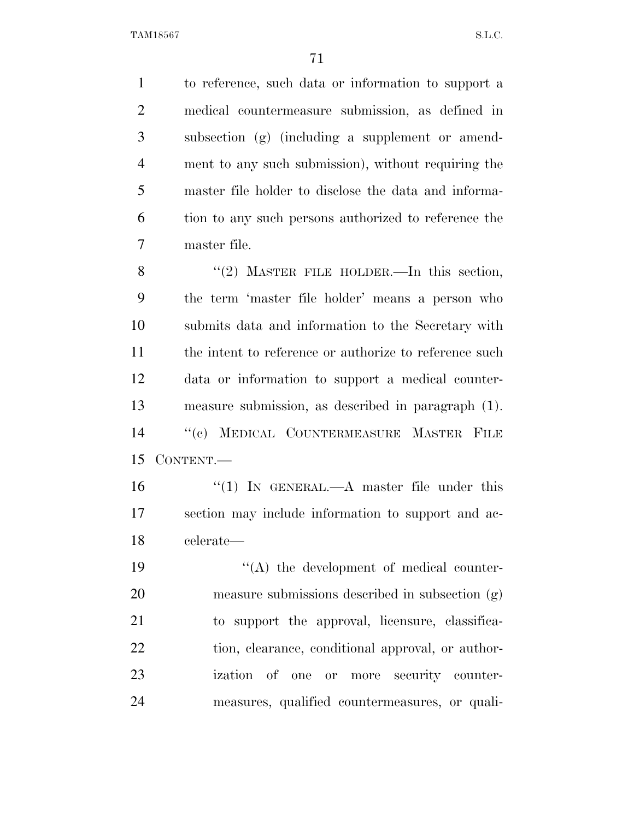to reference, such data or information to support a medical countermeasure submission, as defined in subsection (g) (including a supplement or amend- ment to any such submission), without requiring the master file holder to disclose the data and informa- tion to any such persons authorized to reference the master file.

8 "(2) MASTER FILE HOLDER.—In this section, the term 'master file holder' means a person who submits data and information to the Secretary with 11 the intent to reference or authorize to reference such data or information to support a medical counter- measure submission, as described in paragraph (1). ''(c) MEDICAL COUNTERMEASURE MASTER FILE CONTENT.—

 ''(1) IN GENERAL.—A master file under this section may include information to support and ac-celerate—

 $\langle (A)$  the development of medical counter- measure submissions described in subsection (g) to support the approval, licensure, classifica-22 tion, clearance, conditional approval, or author- ization of one or more security counter-measures, qualified countermeasures, or quali-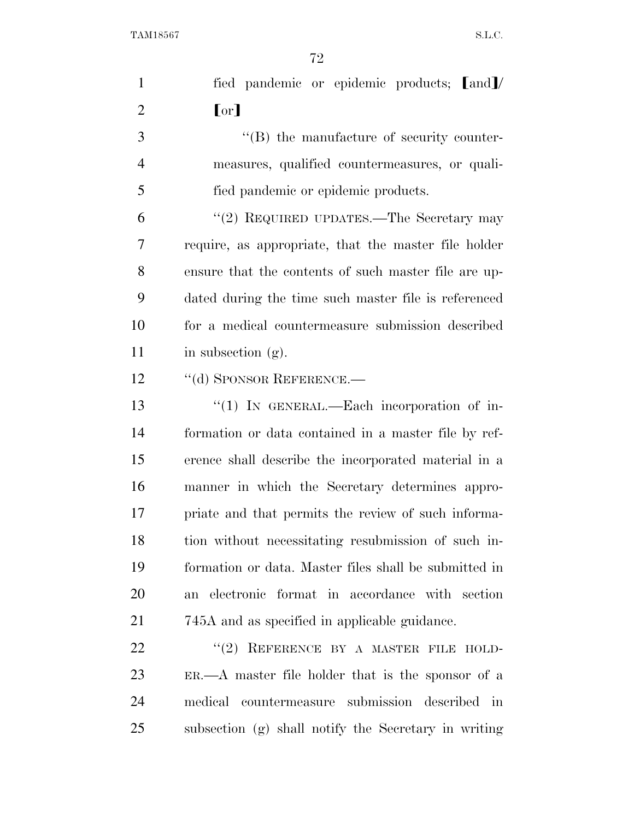| $\mathbf{1}$   | fied pandemic or epidemic products; [and]/                      |
|----------------|-----------------------------------------------------------------|
| $\overline{2}$ | [or]                                                            |
| 3              | $\lq\lq (B)$ the manufacture of security counter-               |
| $\overline{4}$ | measures, qualified countermeasures, or quali-                  |
| 5              | fied pandemic or epidemic products.                             |
| 6              | "(2) REQUIRED UPDATES.—The Secretary may                        |
| 7              | require, as appropriate, that the master file holder            |
| 8              | ensure that the contents of such master file are up-            |
| 9              | dated during the time such master file is referenced            |
| 10             | for a medical countermeasure submission described               |
| 11             | in subsection $(g)$ .                                           |
| 12             | "(d) SPONSOR REFERENCE.—                                        |
| 13             | " $(1)$ IN GENERAL.—Each incorporation of in-                   |
| 14             | formation or data contained in a master file by ref-            |
| 15             | erence shall describe the incorporated material in a            |
| 16             | manner in which the Secretary determines appro-                 |
| 17             | priate and that permits the review of such informa-             |
| 18             | tion without necessitating resubmission of such in-             |
| 19             | formation or data. Master files shall be submitted in           |
| 20             | an electronic format in accordance with section                 |
| 21             | 745A and as specified in applicable guidance.                   |
| 22             | "(2) REFERENCE BY A MASTER FILE HOLD-                           |
| 23             | $ER. \rightarrow A$ master file holder that is the sponsor of a |
| 24             | countermeasure submission described<br>medical<br>$\dot{m}$     |
| 25             | subsection (g) shall notify the Secretary in writing            |
|                |                                                                 |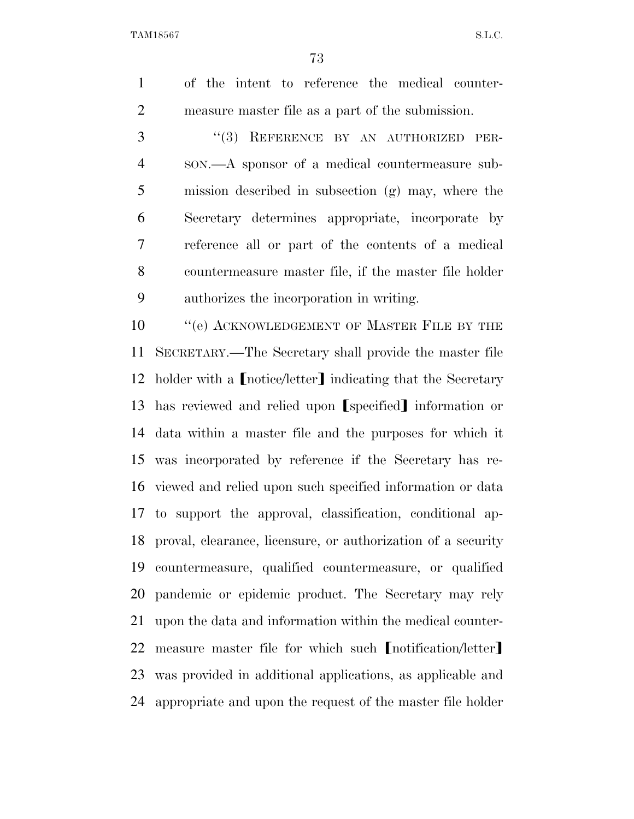of the intent to reference the medical counter-measure master file as a part of the submission.

3 "(3) REFERENCE BY AN AUTHORIZED PER- SON.—A sponsor of a medical countermeasure sub- mission described in subsection (g) may, where the Secretary determines appropriate, incorporate by reference all or part of the contents of a medical countermeasure master file, if the master file holder authorizes the incorporation in writing.

**''**(e) ACKNOWLEDGEMENT OF MASTER FILE BY THE SECRETARY.—The Secretary shall provide the master file 12 holder with a [notice/letter] indicating that the Secretary 13 has reviewed and relied upon [specified] information or data within a master file and the purposes for which it was incorporated by reference if the Secretary has re- viewed and relied upon such specified information or data to support the approval, classification, conditional ap- proval, clearance, licensure, or authorization of a security countermeasure, qualified countermeasure, or qualified pandemic or epidemic product. The Secretary may rely upon the data and information within the medical counter-22 measure master file for which such  $[$  notification/letter $]$  was provided in additional applications, as applicable and appropriate and upon the request of the master file holder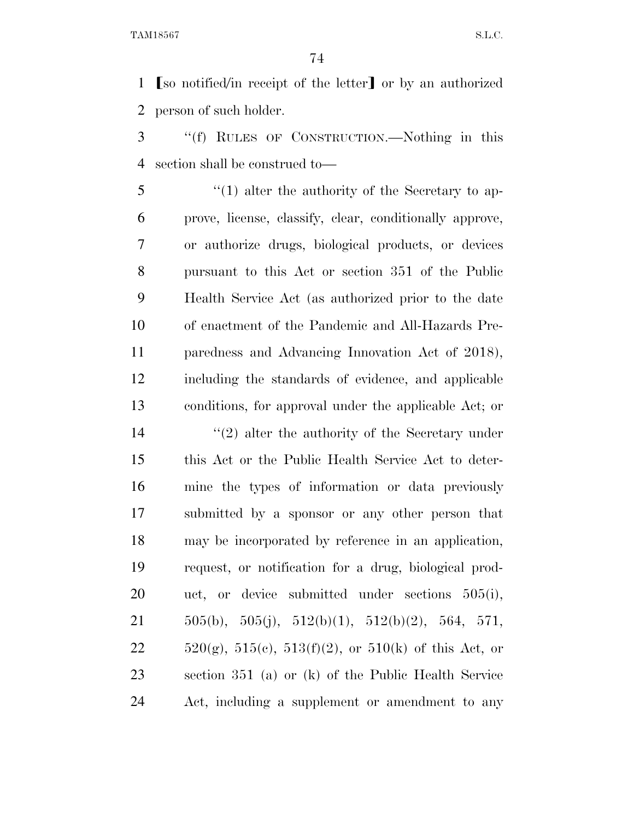**So notified**/in receipt of the letter or by an authorized person of such holder.

 ''(f) RULES OF CONSTRUCTION.—Nothing in this section shall be construed to—

 ''(1) alter the authority of the Secretary to ap- prove, license, classify, clear, conditionally approve, or authorize drugs, biological products, or devices pursuant to this Act or section 351 of the Public Health Service Act (as authorized prior to the date of enactment of the Pandemic and All-Hazards Pre- paredness and Advancing Innovation Act of 2018), including the standards of evidence, and applicable conditions, for approval under the applicable Act; or

14 ''(2) alter the authority of the Secretary under this Act or the Public Health Service Act to deter- mine the types of information or data previously submitted by a sponsor or any other person that may be incorporated by reference in an application, request, or notification for a drug, biological prod- uct, or device submitted under sections 505(i),  $505(b)$ ,  $505(j)$ ,  $512(b)(1)$ ,  $512(b)(2)$ ,  $564$ ,  $571$ ,  $520(g)$ ,  $515(e)$ ,  $513(f)(2)$ , or  $510(k)$  of this Act, or section 351 (a) or (k) of the Public Health Service Act, including a supplement or amendment to any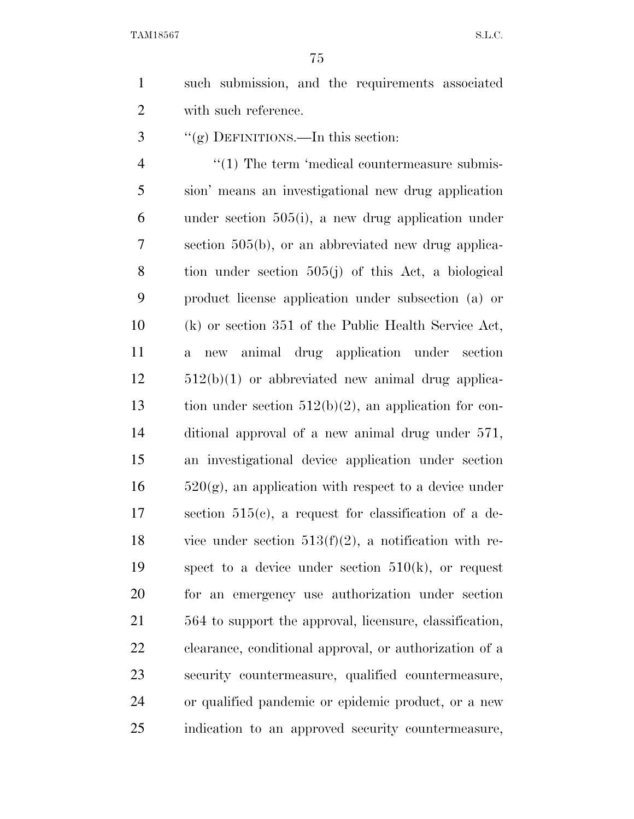such submission, and the requirements associated with such reference.

''(g) DEFINITIONS.—In this section:

 $\frac{4}{1}$  The term 'medical countermeasure submis- sion' means an investigational new drug application under section 505(i), a new drug application under section 505(b), or an abbreviated new drug applica- tion under section 505(j) of this Act, a biological product license application under subsection (a) or (k) or section 351 of the Public Health Service Act, a new animal drug application under section 512(b)(1) or abbreviated new animal drug applica- tion under section 512(b)(2), an application for con- ditional approval of a new animal drug under 571, an investigational device application under section  $16 \qquad 520(g)$ , an application with respect to a device under section 515(c), a request for classification of a de-18 vice under section  $513(f)(2)$ , a notification with re-19 spect to a device under section  $510(k)$ , or request for an emergency use authorization under section 564 to support the approval, licensure, classification, clearance, conditional approval, or authorization of a security countermeasure, qualified countermeasure, or qualified pandemic or epidemic product, or a new indication to an approved security countermeasure,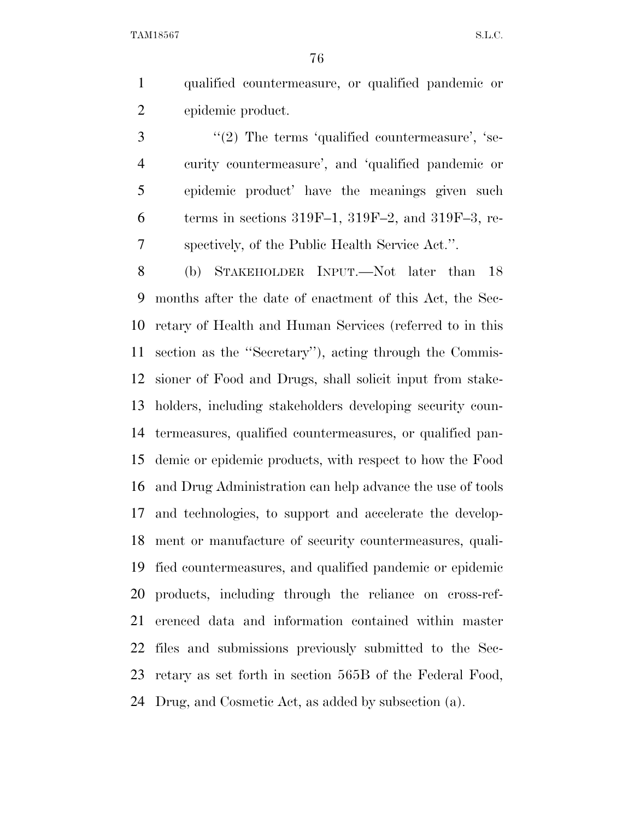qualified countermeasure, or qualified pandemic or epidemic product.

 $\frac{4}{2}$  The terms 'qualified countermeasure', 'se- curity countermeasure', and 'qualified pandemic or epidemic product' have the meanings given such 6 terms in sections  $319F-1$ ,  $319F-2$ , and  $319F-3$ , re-spectively, of the Public Health Service Act.''.

 (b) STAKEHOLDER INPUT.—Not later than 18 months after the date of enactment of this Act, the Sec- retary of Health and Human Services (referred to in this section as the ''Secretary''), acting through the Commis- sioner of Food and Drugs, shall solicit input from stake- holders, including stakeholders developing security coun- termeasures, qualified countermeasures, or qualified pan- demic or epidemic products, with respect to how the Food and Drug Administration can help advance the use of tools and technologies, to support and accelerate the develop- ment or manufacture of security countermeasures, quali- fied countermeasures, and qualified pandemic or epidemic products, including through the reliance on cross-ref- erenced data and information contained within master files and submissions previously submitted to the Sec- retary as set forth in section 565B of the Federal Food, Drug, and Cosmetic Act, as added by subsection (a).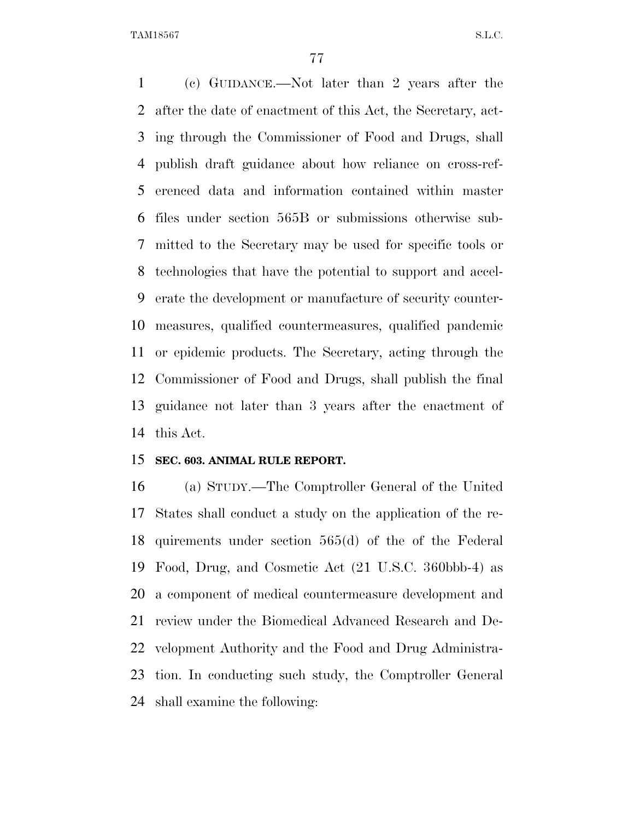(c) GUIDANCE.—Not later than 2 years after the after the date of enactment of this Act, the Secretary, act- ing through the Commissioner of Food and Drugs, shall publish draft guidance about how reliance on cross-ref- erenced data and information contained within master files under section 565B or submissions otherwise sub- mitted to the Secretary may be used for specific tools or technologies that have the potential to support and accel- erate the development or manufacture of security counter- measures, qualified countermeasures, qualified pandemic or epidemic products. The Secretary, acting through the Commissioner of Food and Drugs, shall publish the final guidance not later than 3 years after the enactment of this Act.

## **SEC. 603. ANIMAL RULE REPORT.**

 (a) STUDY.—The Comptroller General of the United States shall conduct a study on the application of the re- quirements under section 565(d) of the of the Federal Food, Drug, and Cosmetic Act (21 U.S.C. 360bbb-4) as a component of medical countermeasure development and review under the Biomedical Advanced Research and De- velopment Authority and the Food and Drug Administra- tion. In conducting such study, the Comptroller General shall examine the following: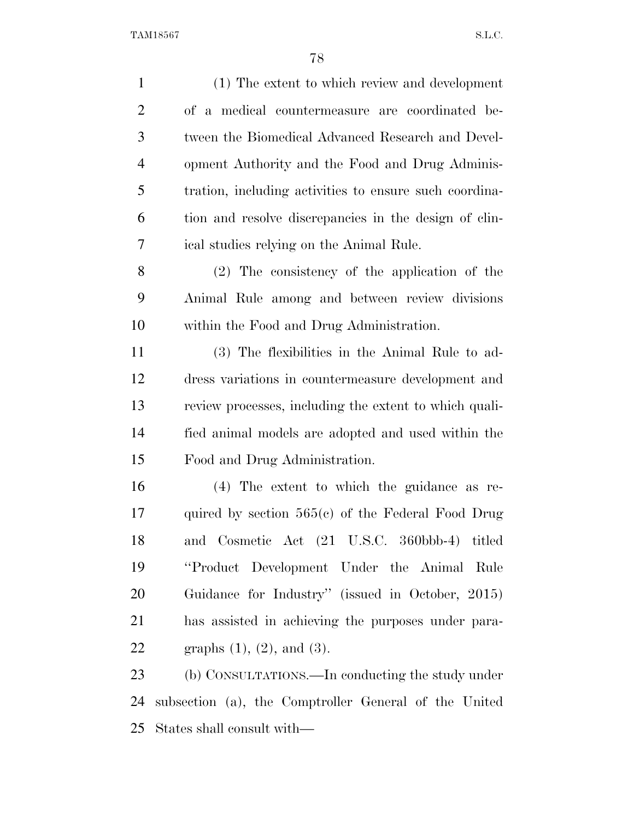| $\mathbf{1}$   | (1) The extent to which review and development         |
|----------------|--------------------------------------------------------|
| $\overline{2}$ | of a medical countermeasure are coordinated be-        |
| 3              | tween the Biomedical Advanced Research and Devel-      |
| $\overline{4}$ | opment Authority and the Food and Drug Adminis-        |
| 5              | tration, including activities to ensure such coordina- |
| 6              | tion and resolve discrepancies in the design of clin-  |
| 7              | ical studies relying on the Animal Rule.               |
| 8              | $(2)$ The consistency of the application of the        |
| 9              | Animal Rule among and between review divisions         |
| 10             | within the Food and Drug Administration.               |
| 11             | (3) The flexibilities in the Animal Rule to ad-        |
| 12             | dress variations in countermeasure development and     |
| 13             | review processes, including the extent to which quali- |
| 14             | fied animal models are adopted and used within the     |
| 15             | Food and Drug Administration.                          |
| 16             | $(4)$ The extent to which the guidance as re-          |
| 17             | quired by section $565(e)$ of the Federal Food Drug    |
| 18             | and Cosmetic Act (21 U.S.C. 360bbb-4) titled           |
| 19             | "Product Development Under the Animal Rule"            |
| 20             | Guidance for Industry" (issued in October, 2015)       |
| 21             | has assisted in achieving the purposes under para-     |
| 22             | graphs $(1)$ , $(2)$ , and $(3)$ .                     |
| 23             | (b) CONSULTATIONS.—In conducting the study under       |
| 24             | subsection (a), the Comptroller General of the United  |

States shall consult with—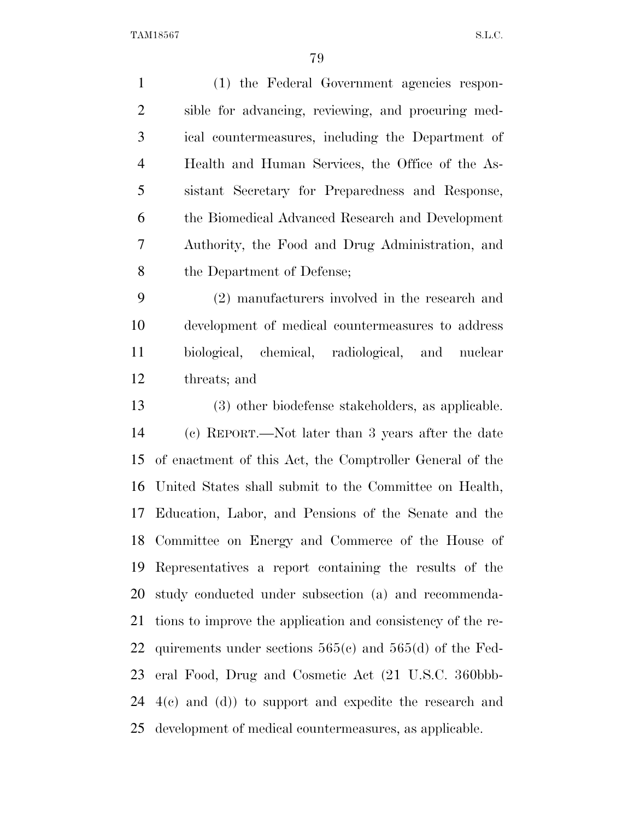| $\mathbf{1}$   | (1) the Federal Government agencies respon-                 |
|----------------|-------------------------------------------------------------|
| $\overline{2}$ | sible for advancing, reviewing, and procuring med-          |
| 3              | ical countermeasures, including the Department of           |
| $\overline{4}$ | Health and Human Services, the Office of the As-            |
| 5              | sistant Secretary for Preparedness and Response,            |
| 6              | the Biomedical Advanced Research and Development            |
| $\tau$         | Authority, the Food and Drug Administration, and            |
| 8              | the Department of Defense;                                  |
| 9              | (2) manufacturers involved in the research and              |
| 10             | development of medical countermeasures to address           |
| 11             | biological, chemical, radiological, and nuclear             |
| 12             | threats; and                                                |
| 13             | (3) other biodefense stakeholders, as applicable.           |
| 14             | (c) REPORT.—Not later than 3 years after the date           |
| 15             | of enactment of this Act, the Comptroller General of the    |
| 16             | United States shall submit to the Committee on Health,      |
| 17             | Education, Labor, and Pensions of the Senate and the        |
|                | 18 Committee on Energy and Commerce of the House of         |
| 19             | Representatives a report containing the results of the      |
| 20             | study conducted under subsection (a) and recommenda-        |
| 21             | tions to improve the application and consistency of the re- |
| 22             | quirements under sections $565(c)$ and $565(d)$ of the Fed- |
| 23             | eral Food, Drug and Cosmetic Act (21 U.S.C. 360bbb-         |
| 24             | $4(e)$ and $(d)$ ) to support and expedite the research and |
| 25             | development of medical countermeasures, as applicable.      |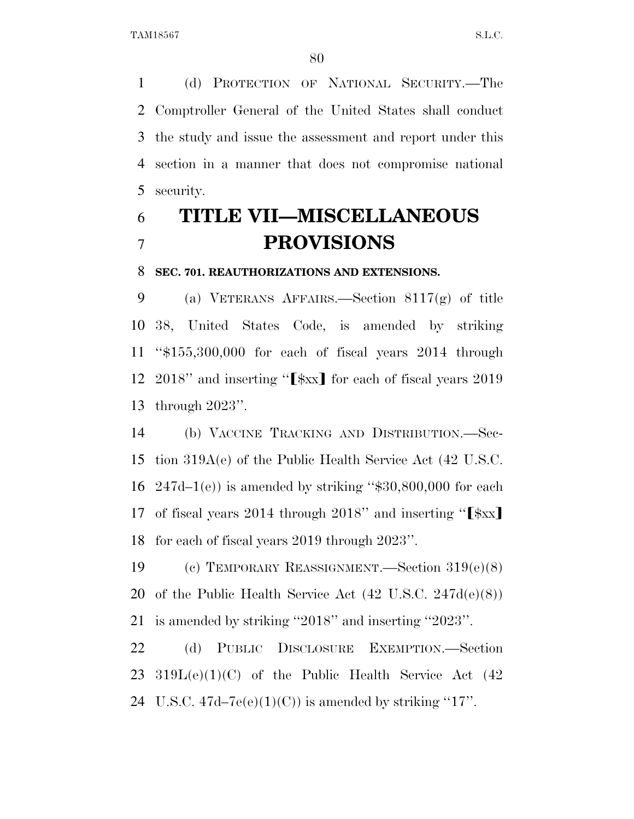(d) PROTECTION OF NATIONAL SECURITY.—The Comptroller General of the United States shall conduct the study and issue the assessment and report under this section in a manner that does not compromise national security.

## **TITLE VII—MISCELLANEOUS PROVISIONS**

## **SEC. 701. REAUTHORIZATIONS AND EXTENSIONS.**

 (a) VETERANS AFFAIRS.—Section 8117(g) of title 38, United States Code, is amended by striking ''\$155,300,000 for each of fiscal years 2014 through 12 2018" and inserting " $[\frac{3}{2}x]$  for each of fiscal years 2019 through 2023''.

 (b) VACCINE TRACKING AND DISTRIBUTION.—Sec- tion 319A(e) of the Public Health Service Act (42 U.S.C.  $247d-1(e)$  is amended by striking "\$30,800,000 for each 17 of fiscal years 2014 through 2018" and inserting " $[\frac{1}{8}xx]$ for each of fiscal years 2019 through 2023''.

 (c) TEMPORARY REASSIGNMENT.—Section 319(e)(8) of the Public Health Service Act (42 U.S.C. 247d(e)(8)) is amended by striking ''2018'' and inserting ''2023''.

 (d) PUBLIC DISCLOSURE EXEMPTION.—Section 319L(e)(1)(C) of the Public Health Service Act (42 24 U.S.C.  $47d-7e(e)(1)(C)$  is amended by striking "17".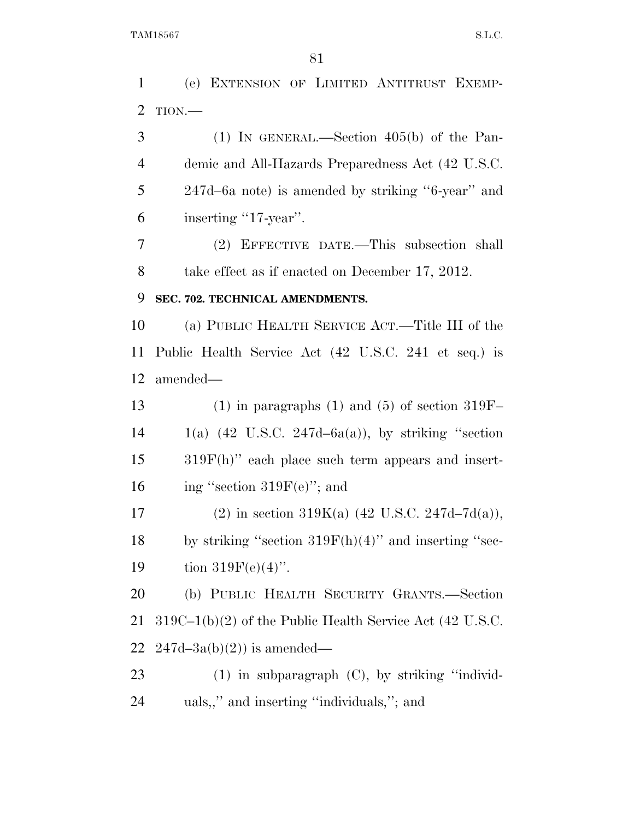(e) EXTENSION OF LIMITED ANTITRUST EXEMP- TION.— (1) IN GENERAL.—Section 405(b) of the Pan- demic and All-Hazards Preparedness Act (42 U.S.C. 247d–6a note) is amended by striking ''6-year'' and inserting "17-year".

 (2) EFFECTIVE DATE.—This subsection shall take effect as if enacted on December 17, 2012.

## **SEC. 702. TECHNICAL AMENDMENTS.**

 (a) PUBLIC HEALTH SERVICE ACT.—Title III of the Public Health Service Act (42 U.S.C. 241 et seq.) is amended—

13 (1) in paragraphs (1) and (5) of section  $319F-$ 14 1(a)  $(42 \text{ U.S.C. } 247d-6a(a))$ , by striking "section 319F(h)'' each place such term appears and insert-16 ing "section  $319F(e)$ "; and

17 (2) in section  $319K(a)$  (42 U.S.C. 247d–7d(a)), 18 by striking "section  $319F(h)(4)$ " and inserting "sec-19 tion  $319F(e)(4)$ ".

 (b) PUBLIC HEALTH SECURITY GRANTS.—Section 319C–1(b)(2) of the Public Health Service Act (42 U.S.C. 22 247d-3a(b)(2)) is amended—

 (1) in subparagraph (C), by striking ''individ-uals,,'' and inserting ''individuals,''; and